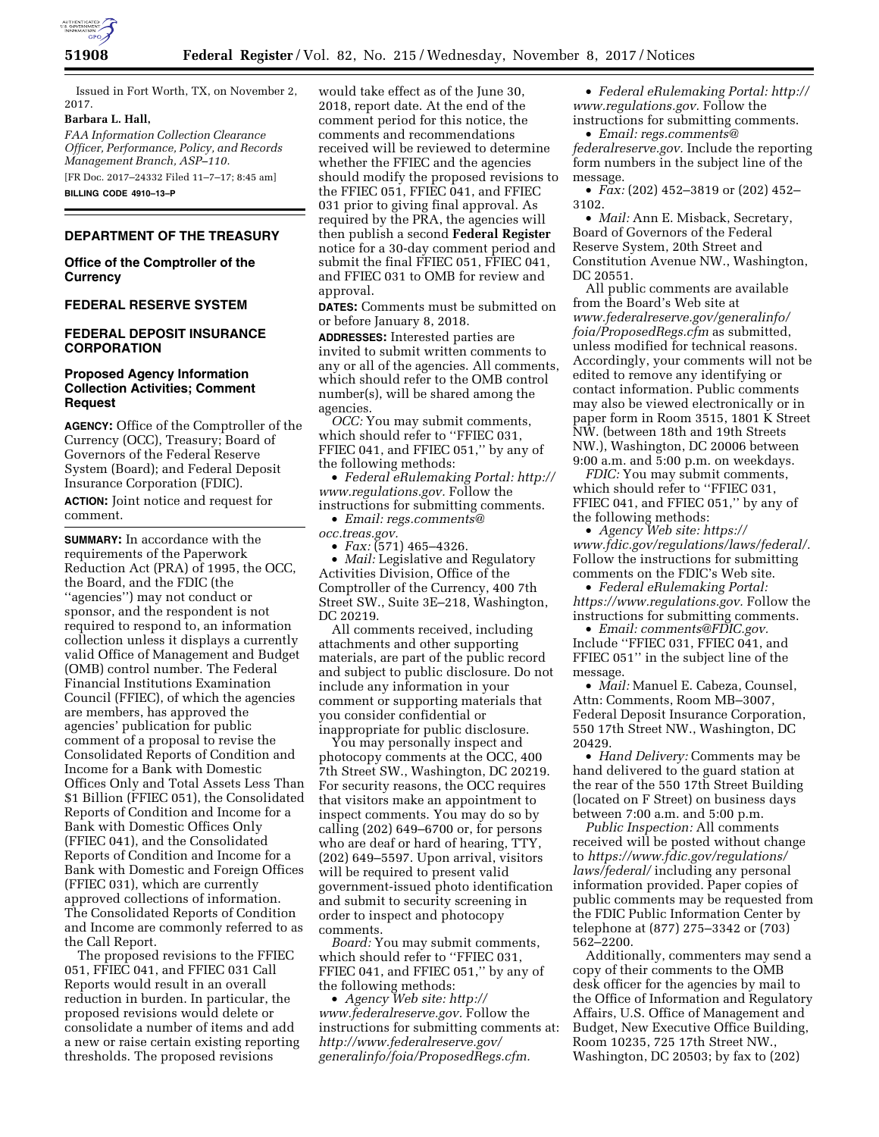

Issued in Fort Worth, TX, on November 2, 2017.

#### **Barbara L. Hall,**

*FAA Information Collection Clearance Officer, Performance, Policy, and Records Management Branch, ASP–110.* 

[FR Doc. 2017–24332 Filed 11–7–17; 8:45 am] **BILLING CODE 4910–13–P** 

## **DEPARTMENT OF THE TREASURY**

## **Office of the Comptroller of the Currency**

## **FEDERAL RESERVE SYSTEM**

## **FEDERAL DEPOSIT INSURANCE CORPORATION**

## **Proposed Agency Information Collection Activities; Comment Request**

**AGENCY:** Office of the Comptroller of the Currency (OCC), Treasury; Board of Governors of the Federal Reserve System (Board); and Federal Deposit Insurance Corporation (FDIC). **ACTION:** Joint notice and request for comment.

**SUMMARY:** In accordance with the requirements of the Paperwork Reduction Act (PRA) of 1995, the OCC, the Board, and the FDIC (the ''agencies'') may not conduct or sponsor, and the respondent is not required to respond to, an information collection unless it displays a currently valid Office of Management and Budget (OMB) control number. The Federal Financial Institutions Examination Council (FFIEC), of which the agencies are members, has approved the agencies' publication for public comment of a proposal to revise the Consolidated Reports of Condition and Income for a Bank with Domestic Offices Only and Total Assets Less Than \$1 Billion (FFIEC 051), the Consolidated Reports of Condition and Income for a Bank with Domestic Offices Only (FFIEC 041), and the Consolidated Reports of Condition and Income for a Bank with Domestic and Foreign Offices (FFIEC 031), which are currently approved collections of information. The Consolidated Reports of Condition and Income are commonly referred to as the Call Report.

The proposed revisions to the FFIEC 051, FFIEC 041, and FFIEC 031 Call Reports would result in an overall reduction in burden. In particular, the proposed revisions would delete or consolidate a number of items and add a new or raise certain existing reporting thresholds. The proposed revisions

would take effect as of the June 30, 2018, report date. At the end of the comment period for this notice, the comments and recommendations received will be reviewed to determine whether the FFIEC and the agencies should modify the proposed revisions to the FFIEC 051, FFIEC 041, and FFIEC 031 prior to giving final approval. As required by the PRA, the agencies will then publish a second **Federal Register**  notice for a 30-day comment period and submit the final FFIEC 051, FFIEC 041, and FFIEC 031 to OMB for review and approval.

**DATES:** Comments must be submitted on or before January 8, 2018.

**ADDRESSES:** Interested parties are invited to submit written comments to any or all of the agencies. All comments, which should refer to the OMB control number(s), will be shared among the agencies.

*OCC:* You may submit comments, which should refer to ''FFIEC 031, FFIEC 041, and FFIEC 051,'' by any of the following methods:

• *Federal eRulemaking Portal: [http://](http://www.regulations.gov)  [www.regulations.gov.](http://www.regulations.gov)* Follow the instructions for submitting comments.

• *Email: [regs.comments@](mailto:regs.comments@occ.treas.gov)*

*[occ.treas.gov.](mailto:regs.comments@occ.treas.gov)* 

• *Fax:* (571) 465–4326. • *Mail:* Legislative and Regulatory Activities Division, Office of the Comptroller of the Currency, 400 7th Street SW., Suite 3E–218, Washington, DC 20219.

All comments received, including attachments and other supporting materials, are part of the public record and subject to public disclosure. Do not include any information in your comment or supporting materials that you consider confidential or inappropriate for public disclosure.

You may personally inspect and photocopy comments at the OCC, 400 7th Street SW., Washington, DC 20219. For security reasons, the OCC requires that visitors make an appointment to inspect comments. You may do so by calling (202) 649–6700 or, for persons who are deaf or hard of hearing, TTY, (202) 649–5597. Upon arrival, visitors will be required to present valid government-issued photo identification and submit to security screening in order to inspect and photocopy comments.

*Board:* You may submit comments, which should refer to ''FFIEC 031, FFIEC 041, and FFIEC 051,'' by any of the following methods:

• *Agency Web site: [http://](http://www.federalreserve.gov) [www.federalreserve.gov.](http://www.federalreserve.gov)* Follow the instructions for submitting comments at: *[http://www.federalreserve.gov/](http://www.federalreserve.gov/generalinfo/foia/ProposedRegs.cfm)  [generalinfo/foia/ProposedRegs.cfm.](http://www.federalreserve.gov/generalinfo/foia/ProposedRegs.cfm)* 

• *Federal eRulemaking Portal: [http://](http://www.regulations.gov)  [www.regulations.gov.](http://www.regulations.gov)* Follow the instructions for submitting comments.

• *Email: [regs.comments@](mailto:regs.comments@federalreserve.gov) [federalreserve.gov.](mailto:regs.comments@federalreserve.gov)* Include the reporting form numbers in the subject line of the message.

• *Fax:* (202) 452–3819 or (202) 452– 3102.

• *Mail:* Ann E. Misback, Secretary, Board of Governors of the Federal Reserve System, 20th Street and Constitution Avenue NW., Washington, DC 20551.

All public comments are available from the Board's Web site at *[www.federalreserve.gov/generalinfo/](http://www.federalreserve.gov/generalinfo/foia/ProposedRegs.cfm) [foia/ProposedRegs.cfm](http://www.federalreserve.gov/generalinfo/foia/ProposedRegs.cfm)* as submitted, unless modified for technical reasons. Accordingly, your comments will not be edited to remove any identifying or contact information. Public comments may also be viewed electronically or in paper form in Room 3515, 1801 K Street NW. (between 18th and 19th Streets NW.), Washington, DC 20006 between 9:00 a.m. and 5:00 p.m. on weekdays.

*FDIC:* You may submit comments, which should refer to ''FFIEC 031, FFIEC 041, and FFIEC 051,'' by any of the following methods:

• *Agency Web site: [https://](https://www.fdic.gov/regulations/laws/federal/) [www.fdic.gov/regulations/laws/federal/.](https://www.fdic.gov/regulations/laws/federal/)*  Follow the instructions for submitting comments on the FDIC's Web site.

• *Federal eRulemaking Portal: [https://www.regulations.gov.](https://www.regulations.gov)* Follow the instructions for submitting comments.

• *Email: [comments@FDIC.gov.](mailto:comments@FDIC.gov)*  Include ''FFIEC 031, FFIEC 041, and FFIEC 051'' in the subject line of the message.

• *Mail:* Manuel E. Cabeza, Counsel, Attn: Comments, Room MB–3007, Federal Deposit Insurance Corporation, 550 17th Street NW., Washington, DC 20429.

• *Hand Delivery:* Comments may be hand delivered to the guard station at the rear of the 550 17th Street Building (located on F Street) on business days between 7:00 a.m. and 5:00 p.m.

*Public Inspection:* All comments received will be posted without change to *[https://www.fdic.gov/regulations/](https://www.fdic.gov/regulations/laws/federal/)  [laws/federal/](https://www.fdic.gov/regulations/laws/federal/)* including any personal information provided. Paper copies of public comments may be requested from the FDIC Public Information Center by telephone at (877) 275–3342 or (703) 562–2200.

Additionally, commenters may send a copy of their comments to the OMB desk officer for the agencies by mail to the Office of Information and Regulatory Affairs, U.S. Office of Management and Budget, New Executive Office Building, Room 10235, 725 17th Street NW., Washington, DC 20503; by fax to (202)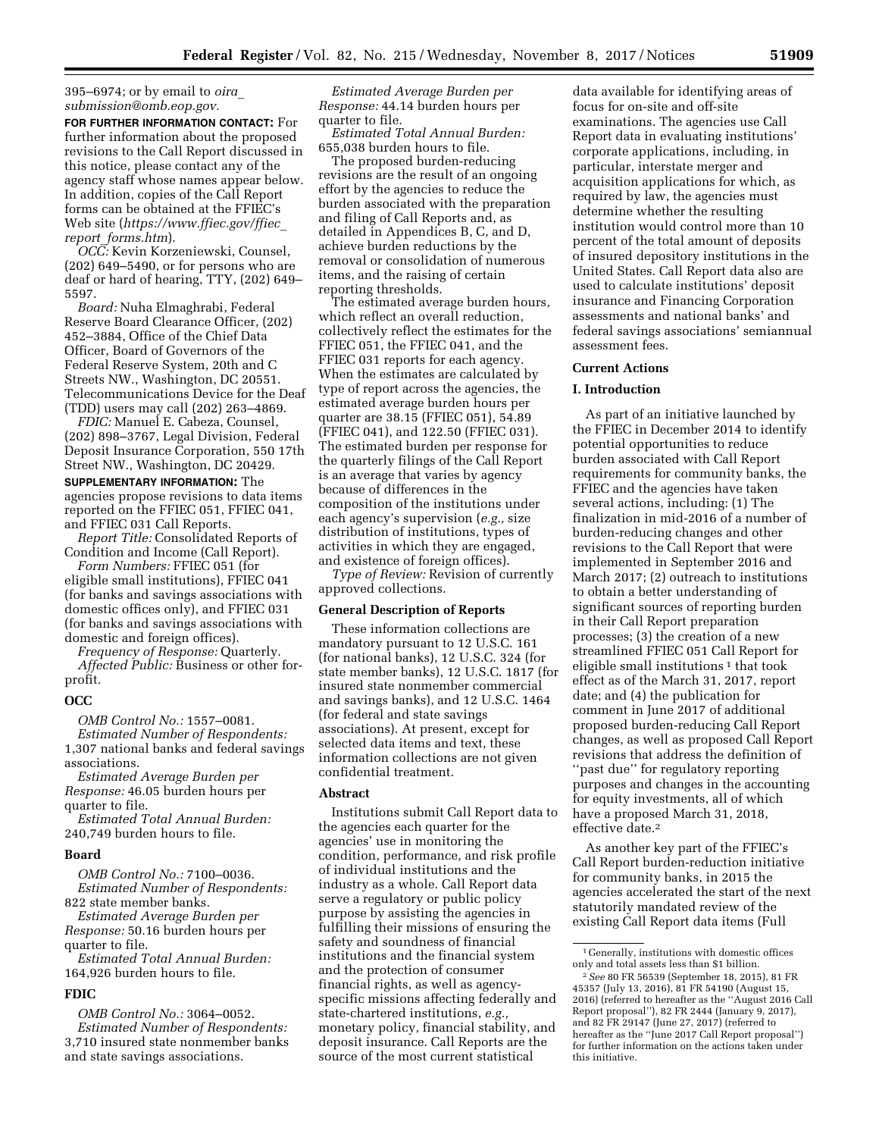395–6974; or by email to *[oira](mailto:oira_submission@omb.eop.gov)*\_ *[submission@omb.eop.gov.](mailto:oira_submission@omb.eop.gov)* 

**FOR FURTHER INFORMATION CONTACT:** For further information about the proposed revisions to the Call Report discussed in this notice, please contact any of the agency staff whose names appear below. In addition, copies of the Call Report forms can be obtained at the FFIEC's Web site (*[https://www.ffiec.gov/ffiec](https://www.ffiec.gov/ffiec_report_forms.htm)*\_ *report*\_*[forms.htm](https://www.ffiec.gov/ffiec_report_forms.htm)*).

*OCC:* Kevin Korzeniewski, Counsel, (202) 649–5490, or for persons who are deaf or hard of hearing, TTY, (202) 649– 5597.

*Board:* Nuha Elmaghrabi, Federal Reserve Board Clearance Officer, (202) 452–3884, Office of the Chief Data Officer, Board of Governors of the Federal Reserve System, 20th and C Streets NW., Washington, DC 20551. Telecommunications Device for the Deaf (TDD) users may call (202) 263–4869.

*FDIC:* Manuel E. Cabeza, Counsel, (202) 898–3767, Legal Division, Federal Deposit Insurance Corporation, 550 17th Street NW., Washington, DC 20429.

**SUPPLEMENTARY INFORMATION:** The agencies propose revisions to data items reported on the FFIEC 051, FFIEC 041, and FFIEC 031 Call Reports.

*Report Title:* Consolidated Reports of Condition and Income (Call Report).

*Form Numbers:* FFIEC 051 (for eligible small institutions), FFIEC 041 (for banks and savings associations with domestic offices only), and FFIEC 031 (for banks and savings associations with domestic and foreign offices).

*Frequency of Response:* Quarterly. *Affected Public:* Business or other for-

# profit. **OCC**

*OMB Control No.:* 1557–0081.

*Estimated Number of Respondents:*  1,307 national banks and federal savings associations.

*Estimated Average Burden per Response:* 46.05 burden hours per quarter to file.

*Estimated Total Annual Burden:*  240,749 burden hours to file.

#### **Board**

*OMB Control No.:* 7100–0036. *Estimated Number of Respondents:*  822 state member banks.

*Estimated Average Burden per Response:* 50.16 burden hours per quarter to file.

*Estimated Total Annual Burden:*  164,926 burden hours to file.

## **FDIC**

*OMB Control No.:* 3064–0052. *Estimated Number of Respondents:*  3,710 insured state nonmember banks and state savings associations.

*Estimated Average Burden per Response:* 44.14 burden hours per quarter to file.

*Estimated Total Annual Burden:*  655,038 burden hours to file.

The proposed burden-reducing revisions are the result of an ongoing effort by the agencies to reduce the burden associated with the preparation and filing of Call Reports and, as detailed in Appendices B, C, and D, achieve burden reductions by the removal or consolidation of numerous items, and the raising of certain reporting thresholds.

The estimated average burden hours, which reflect an overall reduction, collectively reflect the estimates for the FFIEC 051, the FFIEC 041, and the FFIEC 031 reports for each agency. When the estimates are calculated by type of report across the agencies, the estimated average burden hours per quarter are 38.15 (FFIEC 051), 54.89 (FFIEC 041), and 122.50 (FFIEC 031). The estimated burden per response for the quarterly filings of the Call Report is an average that varies by agency because of differences in the composition of the institutions under each agency's supervision (*e.g.,* size distribution of institutions, types of activities in which they are engaged, and existence of foreign offices).

*Type of Review:* Revision of currently approved collections.

#### **General Description of Reports**

These information collections are mandatory pursuant to 12 U.S.C. 161 (for national banks), 12 U.S.C. 324 (for state member banks), 12 U.S.C. 1817 (for insured state nonmember commercial and savings banks), and 12 U.S.C. 1464 (for federal and state savings associations). At present, except for selected data items and text, these information collections are not given confidential treatment.

## **Abstract**

Institutions submit Call Report data to the agencies each quarter for the agencies' use in monitoring the condition, performance, and risk profile of individual institutions and the industry as a whole. Call Report data serve a regulatory or public policy purpose by assisting the agencies in fulfilling their missions of ensuring the safety and soundness of financial institutions and the financial system and the protection of consumer financial rights, as well as agencyspecific missions affecting federally and state-chartered institutions, *e.g.,*  monetary policy, financial stability, and deposit insurance. Call Reports are the source of the most current statistical

data available for identifying areas of focus for on-site and off-site examinations. The agencies use Call Report data in evaluating institutions' corporate applications, including, in particular, interstate merger and acquisition applications for which, as required by law, the agencies must determine whether the resulting institution would control more than 10 percent of the total amount of deposits of insured depository institutions in the United States. Call Report data also are used to calculate institutions' deposit insurance and Financing Corporation assessments and national banks' and federal savings associations' semiannual assessment fees.

#### **Current Actions**

### **I. Introduction**

As part of an initiative launched by the FFIEC in December 2014 to identify potential opportunities to reduce burden associated with Call Report requirements for community banks, the FFIEC and the agencies have taken several actions, including: (1) The finalization in mid-2016 of a number of burden-reducing changes and other revisions to the Call Report that were implemented in September 2016 and March 2017; (2) outreach to institutions to obtain a better understanding of significant sources of reporting burden in their Call Report preparation processes; (3) the creation of a new streamlined FFIEC 051 Call Report for eligible small institutions  $\frac{1}{1}$  that took effect as of the March 31, 2017, report date; and (4) the publication for comment in June 2017 of additional proposed burden-reducing Call Report changes, as well as proposed Call Report revisions that address the definition of ''past due'' for regulatory reporting purposes and changes in the accounting for equity investments, all of which have a proposed March 31, 2018, effective date.2

As another key part of the FFIEC's Call Report burden-reduction initiative for community banks, in 2015 the agencies accelerated the start of the next statutorily mandated review of the existing Call Report data items (Full

<sup>1</sup> Generally, institutions with domestic offices only and total assets less than \$1 billion.

<sup>2</sup>*See* 80 FR 56539 (September 18, 2015), 81 FR 45357 (July 13, 2016), 81 FR 54190 (August 15, 2016) (referred to hereafter as the ''August 2016 Call Report proposal''), 82 FR 2444 (January 9, 2017), and 82 FR 29147 (June 27, 2017) (referred to hereafter as the ''June 2017 Call Report proposal'') for further information on the actions taken under this initiative.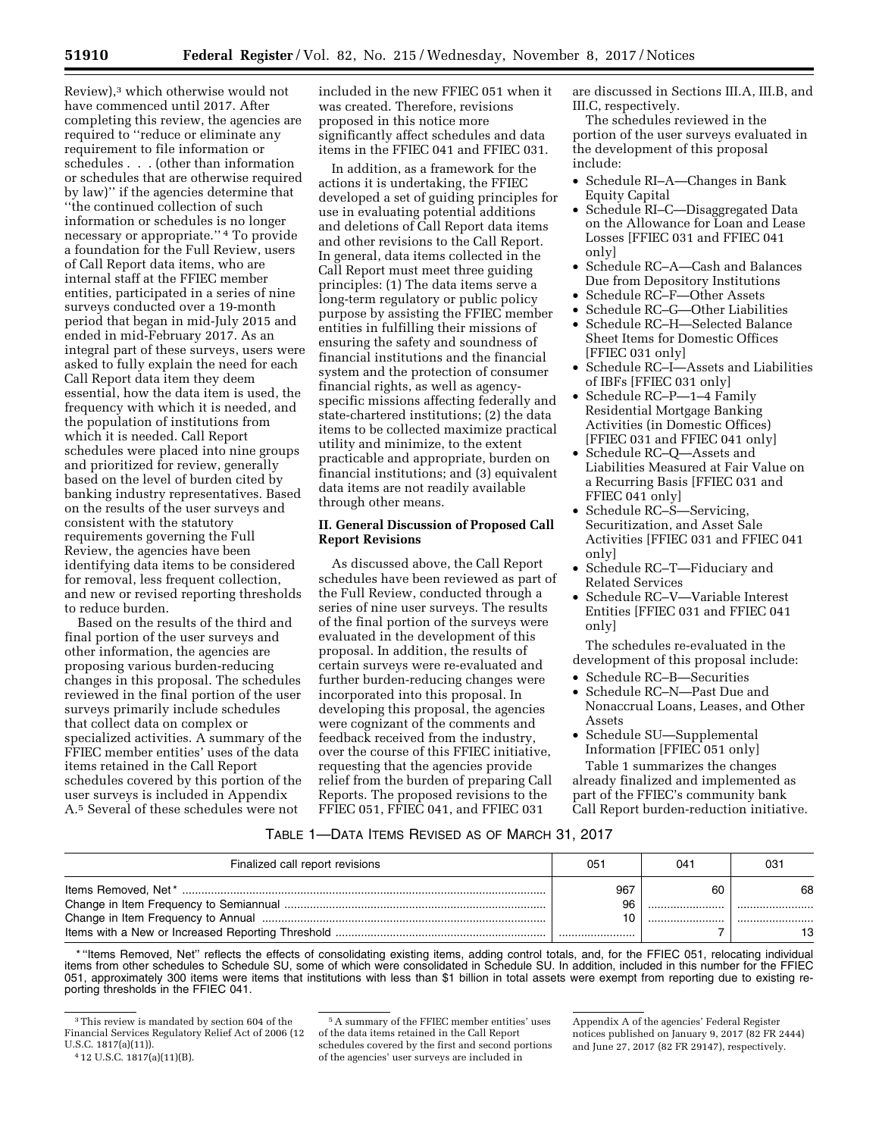Review),3 which otherwise would not have commenced until 2017. After completing this review, the agencies are required to ''reduce or eliminate any requirement to file information or schedules . . . (other than information or schedules that are otherwise required by law)'' if the agencies determine that ''the continued collection of such information or schedules is no longer necessary or appropriate.'' 4 To provide a foundation for the Full Review, users of Call Report data items, who are internal staff at the FFIEC member entities, participated in a series of nine surveys conducted over a 19-month period that began in mid-July 2015 and ended in mid-February 2017. As an integral part of these surveys, users were asked to fully explain the need for each Call Report data item they deem essential, how the data item is used, the frequency with which it is needed, and the population of institutions from which it is needed. Call Report schedules were placed into nine groups and prioritized for review, generally based on the level of burden cited by banking industry representatives. Based on the results of the user surveys and consistent with the statutory requirements governing the Full Review, the agencies have been identifying data items to be considered for removal, less frequent collection, and new or revised reporting thresholds to reduce burden.

Based on the results of the third and final portion of the user surveys and other information, the agencies are proposing various burden-reducing changes in this proposal. The schedules reviewed in the final portion of the user surveys primarily include schedules that collect data on complex or specialized activities. A summary of the FFIEC member entities' uses of the data items retained in the Call Report schedules covered by this portion of the user surveys is included in Appendix A.5 Several of these schedules were not

included in the new FFIEC 051 when it was created. Therefore, revisions proposed in this notice more significantly affect schedules and data items in the FFIEC 041 and FFIEC 031.

In addition, as a framework for the actions it is undertaking, the FFIEC developed a set of guiding principles for use in evaluating potential additions and deletions of Call Report data items and other revisions to the Call Report. In general, data items collected in the Call Report must meet three guiding principles: (1) The data items serve a long-term regulatory or public policy purpose by assisting the FFIEC member entities in fulfilling their missions of ensuring the safety and soundness of financial institutions and the financial system and the protection of consumer financial rights, as well as agencyspecific missions affecting federally and state-chartered institutions; (2) the data items to be collected maximize practical utility and minimize, to the extent practicable and appropriate, burden on financial institutions; and (3) equivalent data items are not readily available through other means.

## **II. General Discussion of Proposed Call Report Revisions**

As discussed above, the Call Report schedules have been reviewed as part of the Full Review, conducted through a series of nine user surveys. The results of the final portion of the surveys were evaluated in the development of this proposal. In addition, the results of certain surveys were re-evaluated and further burden-reducing changes were incorporated into this proposal. In developing this proposal, the agencies were cognizant of the comments and feedback received from the industry, over the course of this FFIEC initiative, requesting that the agencies provide relief from the burden of preparing Call Reports. The proposed revisions to the FFIEC 051, FFIEC 041, and FFIEC 031

are discussed in Sections III.A, III.B, and III.C, respectively.

The schedules reviewed in the portion of the user surveys evaluated in the development of this proposal include:

- Schedule RI–A—Changes in Bank Equity Capital
- Schedule RI–C—Disaggregated Data on the Allowance for Loan and Lease Losses [FFIEC 031 and FFIEC 041 only]
- Schedule RC–A—Cash and Balances Due from Depository Institutions
- Schedule RC–F—Other Assets
- Schedule RC–G—Other Liabilities
- Schedule RC–H—Selected Balance Sheet Items for Domestic Offices [FFIEC 031 only]
- Schedule RC–I—Assets and Liabilities of IBFs [FFIEC 031 only]
- Schedule RC–P—1–4 Family Residential Mortgage Banking Activities (in Domestic Offices) [FFIEC 031 and FFIEC 041 only]
- Schedule RC–Q—Assets and Liabilities Measured at Fair Value on a Recurring Basis [FFIEC 031 and FFIEC 041 only]
- Schedule RC–S—Servicing, Securitization, and Asset Sale Activities [FFIEC 031 and FFIEC 041 only]
- Schedule RC–T—Fiduciary and Related Services
- Schedule RC–V—Variable Interest Entities [FFIEC 031 and FFIEC 041 only]

The schedules re-evaluated in the development of this proposal include:

- Schedule RC–B—Securities
- Schedule RC–N—Past Due and Nonaccrual Loans, Leases, and Other Assets
- Schedule SU—Supplemental Information [FFIEC 051 only]

Table 1 summarizes the changes already finalized and implemented as part of the FFIEC's community bank Call Report burden-reduction initiative.

## TABLE 1—DATA ITEMS REVISED AS OF MARCH 31, 2017

| Finalized call report revisions | 051                 | $04^+$ | -03      |
|---------------------------------|---------------------|--------|----------|
|                                 | 967<br>96<br>10<br> | 60     | 68<br>13 |

\* ''Items Removed, Net'' reflects the effects of consolidating existing items, adding control totals, and, for the FFIEC 051, relocating individual items from other schedules to Schedule SU, some of which were consolidated in Schedule SU. In addition, included in this number for the FFIEC 051, approximately 300 items were items that institutions with less than \$1 billion in total assets were exempt from reporting due to existing reporting thresholds in the FFIEC 041.

<sup>3</sup>This review is mandated by section 604 of the Financial Services Regulatory Relief Act of 2006 (12 U.S.C. 1817(a)(11)).

<sup>4</sup> 12 U.S.C. 1817(a)(11)(B).

<sup>5</sup>A summary of the FFIEC member entities' uses of the data items retained in the Call Report schedules covered by the first and second portions of the agencies' user surveys are included in

Appendix A of the agencies' Federal Register notices published on January 9, 2017 (82 FR 2444) and June 27, 2017 (82 FR 29147), respectively.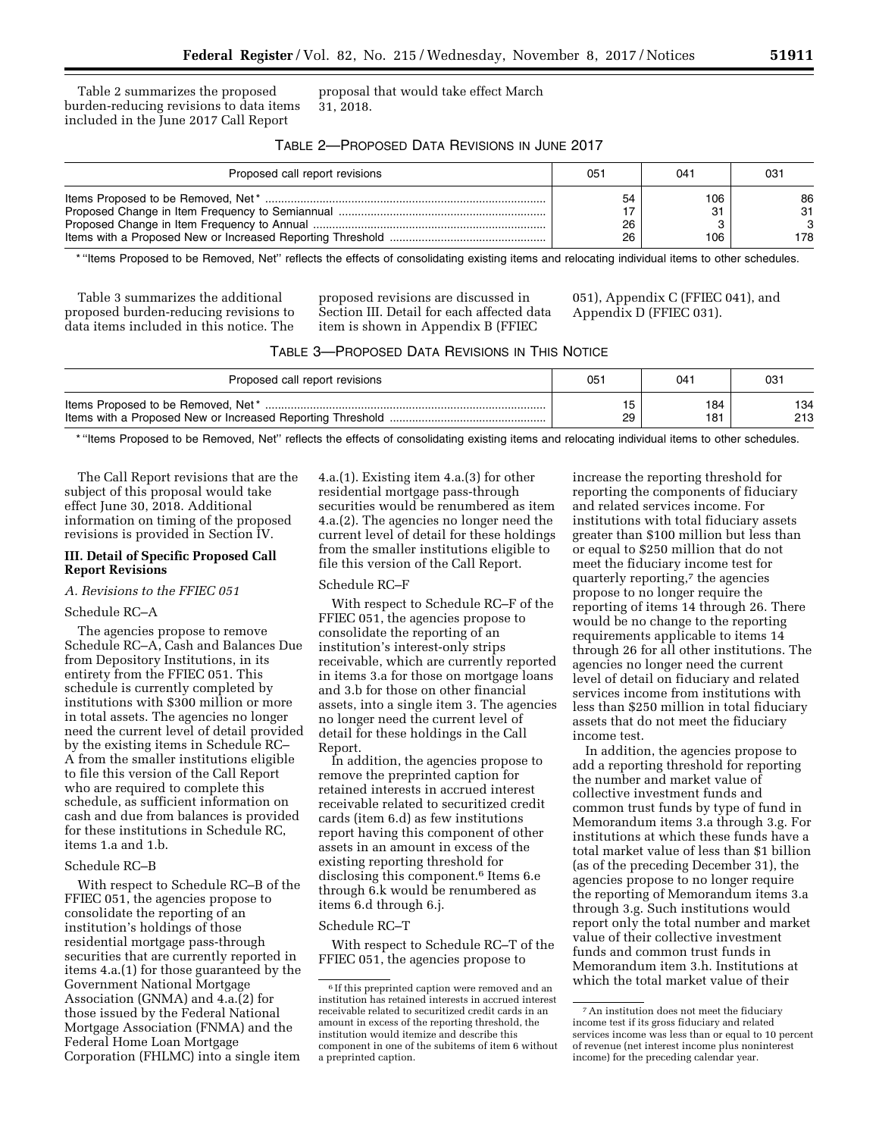Table 2 summarizes the proposed burden-reducing revisions to data items included in the June 2017 Call Report

proposal that would take effect March 31, 2018.

# TABLE 2—PROPOSED DATA REVISIONS IN JUNE 2017

| Proposed call report revisions | 051 | 04 <sup>1</sup> | 03  |
|--------------------------------|-----|-----------------|-----|
|                                | 54  | 106             | 86  |
|                                | 17  | - 21            | 31  |
|                                | 26  |                 | 3   |
|                                | 26  | 106             | 178 |

\* ''Items Proposed to be Removed, Net'' reflects the effects of consolidating existing items and relocating individual items to other schedules.

Table 3 summarizes the additional proposed burden-reducing revisions to data items included in this notice. The

proposed revisions are discussed in Section III. Detail for each affected data item is shown in Appendix B (FFIEC

051), Appendix C (FFIEC 041), and Appendix D (FFIEC 031).

| TABLE 3—PROPOSED DATA REVISIONS IN THIS NOTICE |
|------------------------------------------------|
|------------------------------------------------|

| Proposed call report revisions     | 05. | 04. | 03  |
|------------------------------------|-----|-----|-----|
| ltems Proposed to be Removed, Net* | 29  | 184 | 134 |
|                                    |     | 181 | 213 |

\* ''Items Proposed to be Removed, Net'' reflects the effects of consolidating existing items and relocating individual items to other schedules.

The Call Report revisions that are the subject of this proposal would take effect June 30, 2018. Additional information on timing of the proposed revisions is provided in Section IV.

## **III. Detail of Specific Proposed Call Report Revisions**

## *A. Revisions to the FFIEC 051*

#### Schedule RC–A

The agencies propose to remove Schedule RC–A, Cash and Balances Due from Depository Institutions, in its entirety from the FFIEC 051. This schedule is currently completed by institutions with \$300 million or more in total assets. The agencies no longer need the current level of detail provided by the existing items in Schedule RC– A from the smaller institutions eligible to file this version of the Call Report who are required to complete this schedule, as sufficient information on cash and due from balances is provided for these institutions in Schedule RC, items 1.a and 1.b.

#### Schedule RC–B

With respect to Schedule RC–B of the FFIEC 051, the agencies propose to consolidate the reporting of an institution's holdings of those residential mortgage pass-through securities that are currently reported in items 4.a.(1) for those guaranteed by the Government National Mortgage Association (GNMA) and 4.a.(2) for those issued by the Federal National Mortgage Association (FNMA) and the Federal Home Loan Mortgage Corporation (FHLMC) into a single item 4.a.(1). Existing item 4.a.(3) for other residential mortgage pass-through securities would be renumbered as item 4.a.(2). The agencies no longer need the current level of detail for these holdings from the smaller institutions eligible to file this version of the Call Report.

#### Schedule RC–F

With respect to Schedule RC–F of the FFIEC 051, the agencies propose to consolidate the reporting of an institution's interest-only strips receivable, which are currently reported in items 3.a for those on mortgage loans and 3.b for those on other financial assets, into a single item 3. The agencies no longer need the current level of detail for these holdings in the Call Report.

In addition, the agencies propose to remove the preprinted caption for retained interests in accrued interest receivable related to securitized credit cards (item 6.d) as few institutions report having this component of other assets in an amount in excess of the existing reporting threshold for disclosing this component.6 Items 6.e through 6.k would be renumbered as items 6.d through 6.j.

#### Schedule RC–T

With respect to Schedule RC–T of the FFIEC 051, the agencies propose to

increase the reporting threshold for reporting the components of fiduciary and related services income. For institutions with total fiduciary assets greater than \$100 million but less than or equal to \$250 million that do not meet the fiduciary income test for quarterly reporting,7 the agencies propose to no longer require the reporting of items 14 through 26. There would be no change to the reporting requirements applicable to items 14 through 26 for all other institutions. The agencies no longer need the current level of detail on fiduciary and related services income from institutions with less than \$250 million in total fiduciary assets that do not meet the fiduciary income test.

In addition, the agencies propose to add a reporting threshold for reporting the number and market value of collective investment funds and common trust funds by type of fund in Memorandum items 3.a through 3.g. For institutions at which these funds have a total market value of less than \$1 billion (as of the preceding December 31), the agencies propose to no longer require the reporting of Memorandum items 3.a through 3.g. Such institutions would report only the total number and market value of their collective investment funds and common trust funds in Memorandum item 3.h. Institutions at which the total market value of their

<sup>6</sup> If this preprinted caption were removed and an institution has retained interests in accrued interest receivable related to securitized credit cards in an amount in excess of the reporting threshold, the institution would itemize and describe this component in one of the subitems of item 6 without a preprinted caption.

<sup>7</sup>An institution does not meet the fiduciary income test if its gross fiduciary and related services income was less than or equal to 10 percent of revenue (net interest income plus noninterest income) for the preceding calendar year.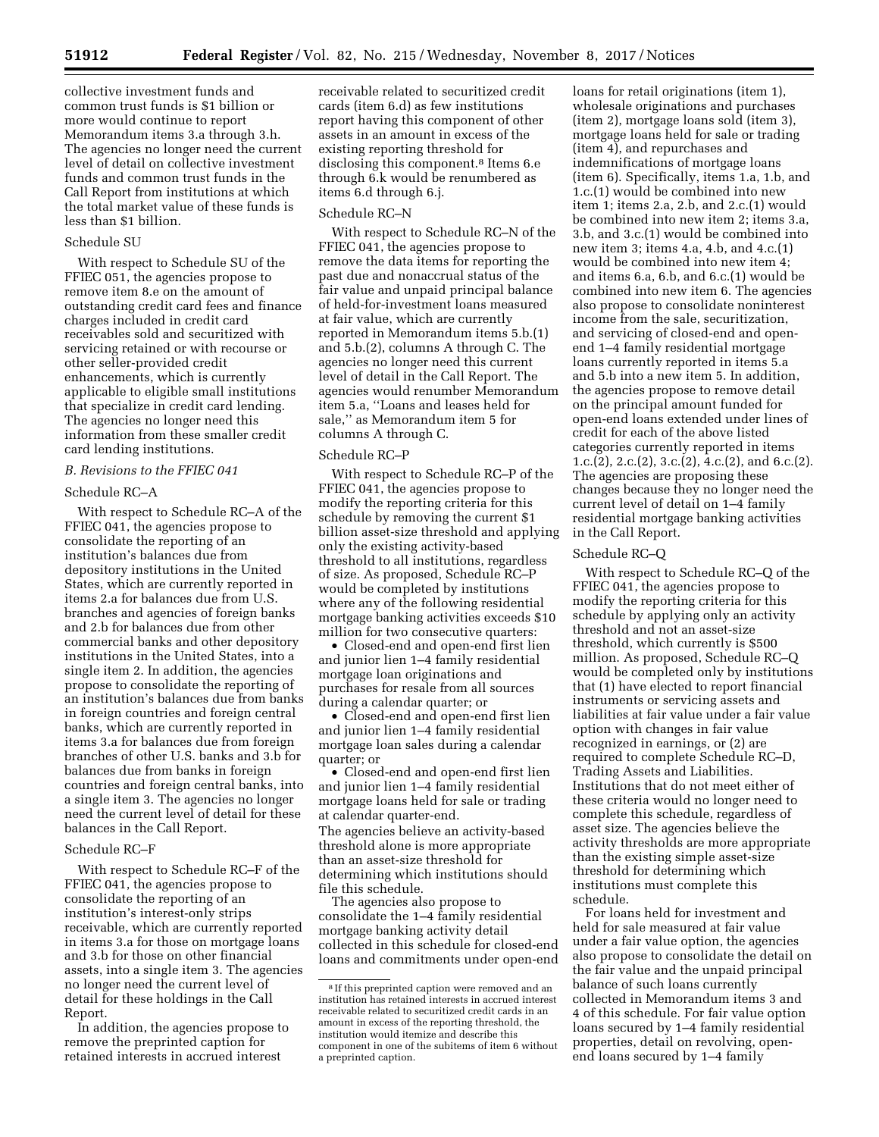collective investment funds and common trust funds is \$1 billion or more would continue to report Memorandum items 3.a through 3.h. The agencies no longer need the current level of detail on collective investment funds and common trust funds in the Call Report from institutions at which the total market value of these funds is less than \$1 billion.

#### Schedule SU

With respect to Schedule SU of the FFIEC 051, the agencies propose to remove item 8.e on the amount of outstanding credit card fees and finance charges included in credit card receivables sold and securitized with servicing retained or with recourse or other seller-provided credit enhancements, which is currently applicable to eligible small institutions that specialize in credit card lending. The agencies no longer need this information from these smaller credit card lending institutions.

## *B. Revisions to the FFIEC 041*

## Schedule RC–A

With respect to Schedule RC–A of the FFIEC 041, the agencies propose to consolidate the reporting of an institution's balances due from depository institutions in the United States, which are currently reported in items 2.a for balances due from U.S. branches and agencies of foreign banks and 2.b for balances due from other commercial banks and other depository institutions in the United States, into a single item 2. In addition, the agencies propose to consolidate the reporting of an institution's balances due from banks in foreign countries and foreign central banks, which are currently reported in items 3.a for balances due from foreign branches of other U.S. banks and 3.b for balances due from banks in foreign countries and foreign central banks, into a single item 3. The agencies no longer need the current level of detail for these balances in the Call Report.

## Schedule RC–F

With respect to Schedule RC–F of the FFIEC 041, the agencies propose to consolidate the reporting of an institution's interest-only strips receivable, which are currently reported in items 3.a for those on mortgage loans and 3.b for those on other financial assets, into a single item 3. The agencies no longer need the current level of detail for these holdings in the Call Report.

In addition, the agencies propose to remove the preprinted caption for retained interests in accrued interest

receivable related to securitized credit cards (item 6.d) as few institutions report having this component of other assets in an amount in excess of the existing reporting threshold for disclosing this component.<sup>8</sup> Items 6.e through 6.k would be renumbered as items 6.d through 6.j.

#### Schedule RC–N

With respect to Schedule RC–N of the FFIEC 041, the agencies propose to remove the data items for reporting the past due and nonaccrual status of the fair value and unpaid principal balance of held-for-investment loans measured at fair value, which are currently reported in Memorandum items 5.b.(1) and 5.b.(2), columns A through C. The agencies no longer need this current level of detail in the Call Report. The agencies would renumber Memorandum item 5.a, ''Loans and leases held for sale,'' as Memorandum item 5 for columns A through C.

## Schedule RC–P

With respect to Schedule RC–P of the FFIEC 041, the agencies propose to modify the reporting criteria for this schedule by removing the current \$1 billion asset-size threshold and applying only the existing activity-based threshold to all institutions, regardless of size. As proposed, Schedule RC–P would be completed by institutions where any of the following residential mortgage banking activities exceeds \$10 million for two consecutive quarters:

• Closed-end and open-end first lien and junior lien 1–4 family residential mortgage loan originations and purchases for resale from all sources during a calendar quarter; or

• Closed-end and open-end first lien and junior lien 1–4 family residential mortgage loan sales during a calendar quarter; or

• Closed-end and open-end first lien and junior lien 1–4 family residential mortgage loans held for sale or trading at calendar quarter-end. The agencies believe an activity-based threshold alone is more appropriate than an asset-size threshold for determining which institutions should file this schedule.

The agencies also propose to consolidate the 1–4 family residential mortgage banking activity detail collected in this schedule for closed-end loans and commitments under open-end

loans for retail originations (item 1), wholesale originations and purchases (item 2), mortgage loans sold (item 3), mortgage loans held for sale or trading (item 4), and repurchases and indemnifications of mortgage loans (item 6). Specifically, items 1.a, 1.b, and 1.c.(1) would be combined into new item 1; items 2.a, 2.b, and 2.c.(1) would be combined into new item 2; items 3.a, 3.b, and 3.c.(1) would be combined into new item 3; items 4.a, 4.b, and 4.c.(1) would be combined into new item 4; and items 6.a, 6.b, and 6.c.(1) would be combined into new item 6. The agencies also propose to consolidate noninterest income from the sale, securitization, and servicing of closed-end and openend 1–4 family residential mortgage loans currently reported in items 5.a and 5.b into a new item 5. In addition, the agencies propose to remove detail on the principal amount funded for open-end loans extended under lines of credit for each of the above listed categories currently reported in items 1.c.(2), 2.c.(2), 3.c.(2), 4.c.(2), and 6.c.(2). The agencies are proposing these changes because they no longer need the current level of detail on 1–4 family residential mortgage banking activities in the Call Report.

#### Schedule RC–Q

With respect to Schedule RC–Q of the FFIEC 041, the agencies propose to modify the reporting criteria for this schedule by applying only an activity threshold and not an asset-size threshold, which currently is \$500 million. As proposed, Schedule RC–Q would be completed only by institutions that (1) have elected to report financial instruments or servicing assets and liabilities at fair value under a fair value option with changes in fair value recognized in earnings, or (2) are required to complete Schedule RC–D, Trading Assets and Liabilities. Institutions that do not meet either of these criteria would no longer need to complete this schedule, regardless of asset size. The agencies believe the activity thresholds are more appropriate than the existing simple asset-size threshold for determining which institutions must complete this schedule.

For loans held for investment and held for sale measured at fair value under a fair value option, the agencies also propose to consolidate the detail on the fair value and the unpaid principal balance of such loans currently collected in Memorandum items 3 and 4 of this schedule. For fair value option loans secured by 1–4 family residential properties, detail on revolving, openend loans secured by 1–4 family

<sup>8</sup> If this preprinted caption were removed and an institution has retained interests in accrued interest receivable related to securitized credit cards in an amount in excess of the reporting threshold, the institution would itemize and describe this component in one of the subitems of item 6 without a preprinted caption.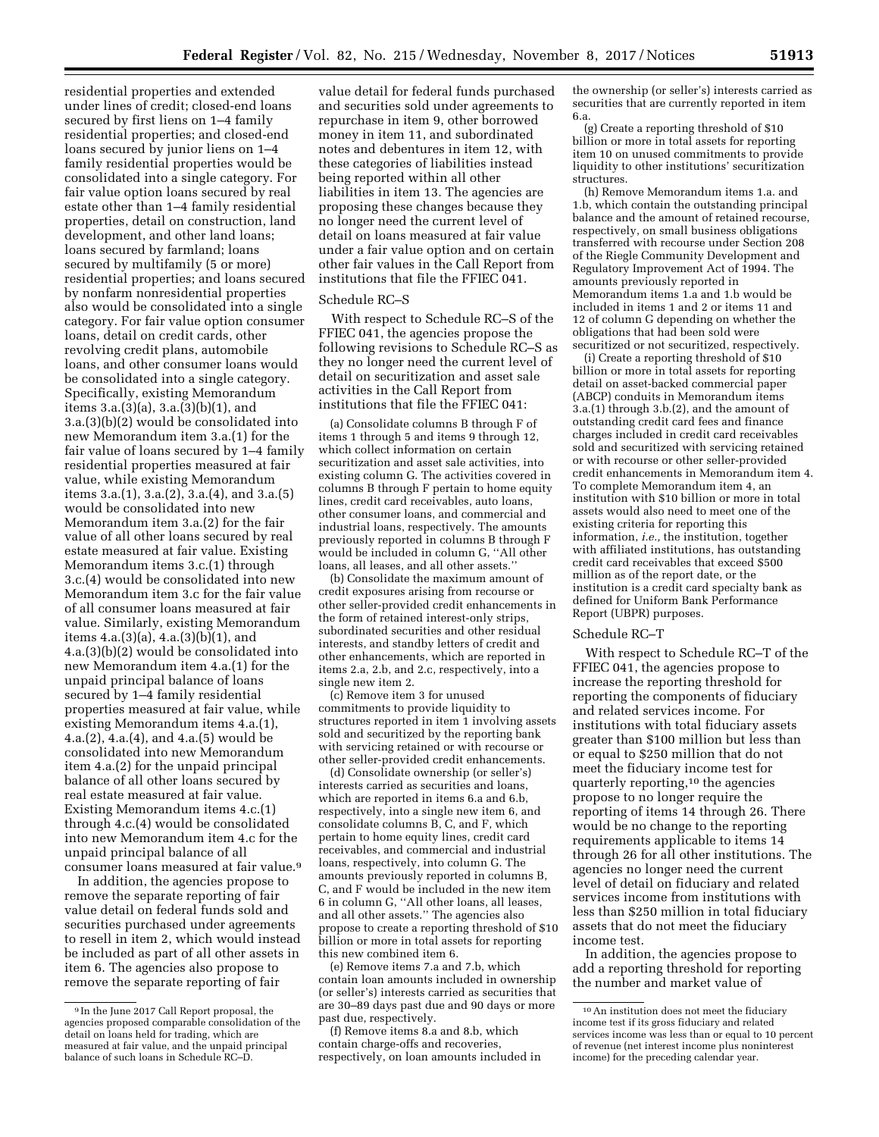residential properties and extended under lines of credit; closed-end loans secured by first liens on 1–4 family residential properties; and closed-end loans secured by junior liens on 1–4 family residential properties would be consolidated into a single category. For fair value option loans secured by real estate other than 1–4 family residential properties, detail on construction, land development, and other land loans; loans secured by farmland; loans secured by multifamily (5 or more) residential properties; and loans secured by nonfarm nonresidential properties also would be consolidated into a single category. For fair value option consumer loans, detail on credit cards, other revolving credit plans, automobile loans, and other consumer loans would be consolidated into a single category. Specifically, existing Memorandum items 3.a.(3)(a), 3.a.(3)(b)(1), and 3.a.(3)(b)(2) would be consolidated into new Memorandum item 3.a.(1) for the fair value of loans secured by 1–4 family residential properties measured at fair value, while existing Memorandum items 3.a.(1), 3.a.(2), 3.a.(4), and 3.a.(5) would be consolidated into new Memorandum item 3.a.(2) for the fair value of all other loans secured by real estate measured at fair value. Existing Memorandum items 3.c.(1) through 3.c.(4) would be consolidated into new Memorandum item 3.c for the fair value of all consumer loans measured at fair value. Similarly, existing Memorandum items  $4.a.(3)(a), 4.a.(3)(b)(1), and$ 4.a.(3)(b)(2) would be consolidated into new Memorandum item 4.a.(1) for the unpaid principal balance of loans secured by 1–4 family residential properties measured at fair value, while existing Memorandum items 4.a.(1), 4.a.(2), 4.a.(4), and 4.a.(5) would be consolidated into new Memorandum item 4.a.(2) for the unpaid principal balance of all other loans secured by real estate measured at fair value. Existing Memorandum items 4.c.(1) through 4.c.(4) would be consolidated into new Memorandum item 4.c for the unpaid principal balance of all consumer loans measured at fair value.9

In addition, the agencies propose to remove the separate reporting of fair value detail on federal funds sold and securities purchased under agreements to resell in item 2, which would instead be included as part of all other assets in item 6. The agencies also propose to remove the separate reporting of fair

value detail for federal funds purchased and securities sold under agreements to repurchase in item 9, other borrowed money in item 11, and subordinated notes and debentures in item 12, with these categories of liabilities instead being reported within all other liabilities in item 13. The agencies are proposing these changes because they no longer need the current level of detail on loans measured at fair value under a fair value option and on certain other fair values in the Call Report from institutions that file the FFIEC 041.

# Schedule RC–S

With respect to Schedule RC–S of the FFIEC 041, the agencies propose the following revisions to Schedule RC–S as they no longer need the current level of detail on securitization and asset sale activities in the Call Report from institutions that file the FFIEC 041:

(a) Consolidate columns B through F of items 1 through 5 and items 9 through 12, which collect information on certain securitization and asset sale activities, into existing column G. The activities covered in columns B through F pertain to home equity lines, credit card receivables, auto loans, other consumer loans, and commercial and industrial loans, respectively. The amounts previously reported in columns B through F would be included in column G, ''All other loans, all leases, and all other assets."

(b) Consolidate the maximum amount of credit exposures arising from recourse or other seller-provided credit enhancements in the form of retained interest-only strips, subordinated securities and other residual interests, and standby letters of credit and other enhancements, which are reported in items 2.a, 2.b, and 2.c, respectively, into a single new item 2.

(c) Remove item 3 for unused commitments to provide liquidity to structures reported in item 1 involving assets sold and securitized by the reporting bank with servicing retained or with recourse or other seller-provided credit enhancements.

(d) Consolidate ownership (or seller's) interests carried as securities and loans, which are reported in items 6.a and 6.b, respectively, into a single new item 6, and consolidate columns B, C, and F, which pertain to home equity lines, credit card receivables, and commercial and industrial loans, respectively, into column G. The amounts previously reported in columns B, C, and F would be included in the new item 6 in column G, ''All other loans, all leases, and all other assets.'' The agencies also propose to create a reporting threshold of \$10 billion or more in total assets for reporting this new combined item 6.

(e) Remove items 7.a and 7.b, which contain loan amounts included in ownership (or seller's) interests carried as securities that are 30–89 days past due and 90 days or more past due, respectively.

(f) Remove items 8.a and 8.b, which contain charge-offs and recoveries, respectively, on loan amounts included in the ownership (or seller's) interests carried as securities that are currently reported in item 6.a.

(g) Create a reporting threshold of \$10 billion or more in total assets for reporting item 10 on unused commitments to provide liquidity to other institutions' securitization structures.

(h) Remove Memorandum items 1.a. and 1.b, which contain the outstanding principal balance and the amount of retained recourse, respectively, on small business obligations transferred with recourse under Section 208 of the Riegle Community Development and Regulatory Improvement Act of 1994. The amounts previously reported in Memorandum items 1.a and 1.b would be included in items 1 and 2 or items 11 and 12 of column G depending on whether the obligations that had been sold were securitized or not securitized, respectively.

(i) Create a reporting threshold of \$10 billion or more in total assets for reporting detail on asset-backed commercial paper (ABCP) conduits in Memorandum items 3.a.(1) through 3.b.(2), and the amount of outstanding credit card fees and finance charges included in credit card receivables sold and securitized with servicing retained or with recourse or other seller-provided credit enhancements in Memorandum item 4. To complete Memorandum item 4, an institution with \$10 billion or more in total assets would also need to meet one of the existing criteria for reporting this information, *i.e.,* the institution, together with affiliated institutions, has outstanding credit card receivables that exceed \$500 million as of the report date, or the institution is a credit card specialty bank as defined for Uniform Bank Performance Report (UBPR) purposes.

## Schedule RC–T

With respect to Schedule RC–T of the FFIEC 041, the agencies propose to increase the reporting threshold for reporting the components of fiduciary and related services income. For institutions with total fiduciary assets greater than \$100 million but less than or equal to \$250 million that do not meet the fiduciary income test for quarterly reporting,10 the agencies propose to no longer require the reporting of items 14 through 26. There would be no change to the reporting requirements applicable to items 14 through 26 for all other institutions. The agencies no longer need the current level of detail on fiduciary and related services income from institutions with less than \$250 million in total fiduciary assets that do not meet the fiduciary income test.

In addition, the agencies propose to add a reporting threshold for reporting the number and market value of

<sup>9</sup> In the June 2017 Call Report proposal, the agencies proposed comparable consolidation of the detail on loans held for trading, which are measured at fair value, and the unpaid principal balance of such loans in Schedule RC–D.

<sup>10</sup>An institution does not meet the fiduciary income test if its gross fiduciary and related services income was less than or equal to 10 percent of revenue (net interest income plus noninterest income) for the preceding calendar year.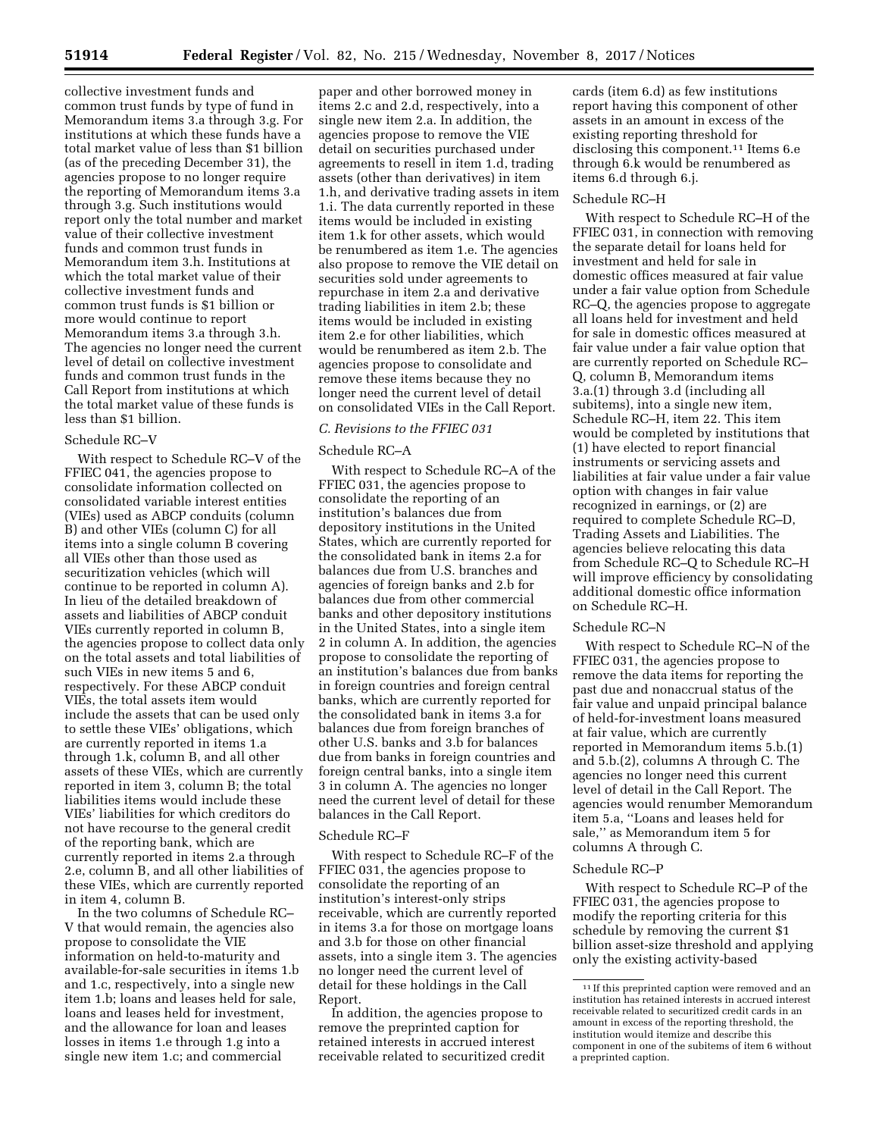collective investment funds and common trust funds by type of fund in Memorandum items 3.a through 3.g. For institutions at which these funds have a total market value of less than \$1 billion (as of the preceding December 31), the agencies propose to no longer require the reporting of Memorandum items 3.a through 3.g. Such institutions would report only the total number and market value of their collective investment funds and common trust funds in Memorandum item 3.h. Institutions at which the total market value of their collective investment funds and common trust funds is \$1 billion or more would continue to report Memorandum items 3.a through 3.h. The agencies no longer need the current level of detail on collective investment funds and common trust funds in the Call Report from institutions at which the total market value of these funds is less than \$1 billion.

## Schedule RC–V

With respect to Schedule RC–V of the FFIEC 041, the agencies propose to consolidate information collected on consolidated variable interest entities (VIEs) used as ABCP conduits (column B) and other VIEs (column C) for all items into a single column B covering all VIEs other than those used as securitization vehicles (which will continue to be reported in column A). In lieu of the detailed breakdown of assets and liabilities of ABCP conduit VIEs currently reported in column B, the agencies propose to collect data only on the total assets and total liabilities of such VIEs in new items 5 and 6, respectively. For these ABCP conduit VIEs, the total assets item would include the assets that can be used only to settle these VIEs' obligations, which are currently reported in items 1.a through 1.k, column B, and all other assets of these VIEs, which are currently reported in item 3, column B; the total liabilities items would include these VIEs' liabilities for which creditors do not have recourse to the general credit of the reporting bank, which are currently reported in items 2.a through 2.e, column B, and all other liabilities of these VIEs, which are currently reported in item 4, column B.

In the two columns of Schedule RC– V that would remain, the agencies also propose to consolidate the VIE information on held-to-maturity and available-for-sale securities in items 1.b and 1.c, respectively, into a single new item 1.b; loans and leases held for sale, loans and leases held for investment, and the allowance for loan and leases losses in items 1.e through 1.g into a single new item 1.c; and commercial

paper and other borrowed money in items 2.c and 2.d, respectively, into a single new item 2.a. In addition, the agencies propose to remove the VIE detail on securities purchased under agreements to resell in item 1.d, trading assets (other than derivatives) in item 1.h, and derivative trading assets in item 1.i. The data currently reported in these items would be included in existing item 1.k for other assets, which would be renumbered as item 1.e. The agencies also propose to remove the VIE detail on securities sold under agreements to repurchase in item 2.a and derivative trading liabilities in item 2.b; these items would be included in existing item 2.e for other liabilities, which would be renumbered as item 2.b. The agencies propose to consolidate and remove these items because they no longer need the current level of detail on consolidated VIEs in the Call Report.

# *C. Revisions to the FFIEC 031*

#### Schedule RC–A

With respect to Schedule RC–A of the FFIEC 031, the agencies propose to consolidate the reporting of an institution's balances due from depository institutions in the United States, which are currently reported for the consolidated bank in items 2.a for balances due from U.S. branches and agencies of foreign banks and 2.b for balances due from other commercial banks and other depository institutions in the United States, into a single item 2 in column A. In addition, the agencies propose to consolidate the reporting of an institution's balances due from banks in foreign countries and foreign central banks, which are currently reported for the consolidated bank in items 3.a for balances due from foreign branches of other U.S. banks and 3.b for balances due from banks in foreign countries and foreign central banks, into a single item 3 in column A. The agencies no longer need the current level of detail for these balances in the Call Report.

#### Schedule RC–F

With respect to Schedule RC–F of the FFIEC 031, the agencies propose to consolidate the reporting of an institution's interest-only strips receivable, which are currently reported in items 3.a for those on mortgage loans and 3.b for those on other financial assets, into a single item 3. The agencies no longer need the current level of detail for these holdings in the Call Report.

In addition, the agencies propose to remove the preprinted caption for retained interests in accrued interest receivable related to securitized credit

cards (item 6.d) as few institutions report having this component of other assets in an amount in excess of the existing reporting threshold for disclosing this component.11 Items 6.e through 6.k would be renumbered as items 6.d through 6.j.

#### Schedule RC–H

With respect to Schedule RC–H of the FFIEC 031, in connection with removing the separate detail for loans held for investment and held for sale in domestic offices measured at fair value under a fair value option from Schedule RC–Q, the agencies propose to aggregate all loans held for investment and held for sale in domestic offices measured at fair value under a fair value option that are currently reported on Schedule RC– Q, column B, Memorandum items 3.a.(1) through 3.d (including all subitems), into a single new item, Schedule RC–H, item 22. This item would be completed by institutions that (1) have elected to report financial instruments or servicing assets and liabilities at fair value under a fair value option with changes in fair value recognized in earnings, or (2) are required to complete Schedule RC–D, Trading Assets and Liabilities. The agencies believe relocating this data from Schedule RC–Q to Schedule RC–H will improve efficiency by consolidating additional domestic office information on Schedule RC–H.

#### Schedule RC–N

With respect to Schedule RC–N of the FFIEC 031, the agencies propose to remove the data items for reporting the past due and nonaccrual status of the fair value and unpaid principal balance of held-for-investment loans measured at fair value, which are currently reported in Memorandum items 5.b.(1) and 5.b.(2), columns A through C. The agencies no longer need this current level of detail in the Call Report. The agencies would renumber Memorandum item 5.a, ''Loans and leases held for sale,'' as Memorandum item 5 for columns A through C.

#### Schedule RC–P

With respect to Schedule RC–P of the FFIEC 031, the agencies propose to modify the reporting criteria for this schedule by removing the current \$1 billion asset-size threshold and applying only the existing activity-based

<sup>11</sup> If this preprinted caption were removed and an institution has retained interests in accrued interest receivable related to securitized credit cards in an amount in excess of the reporting threshold, the institution would itemize and describe this component in one of the subitems of item 6 without a preprinted caption.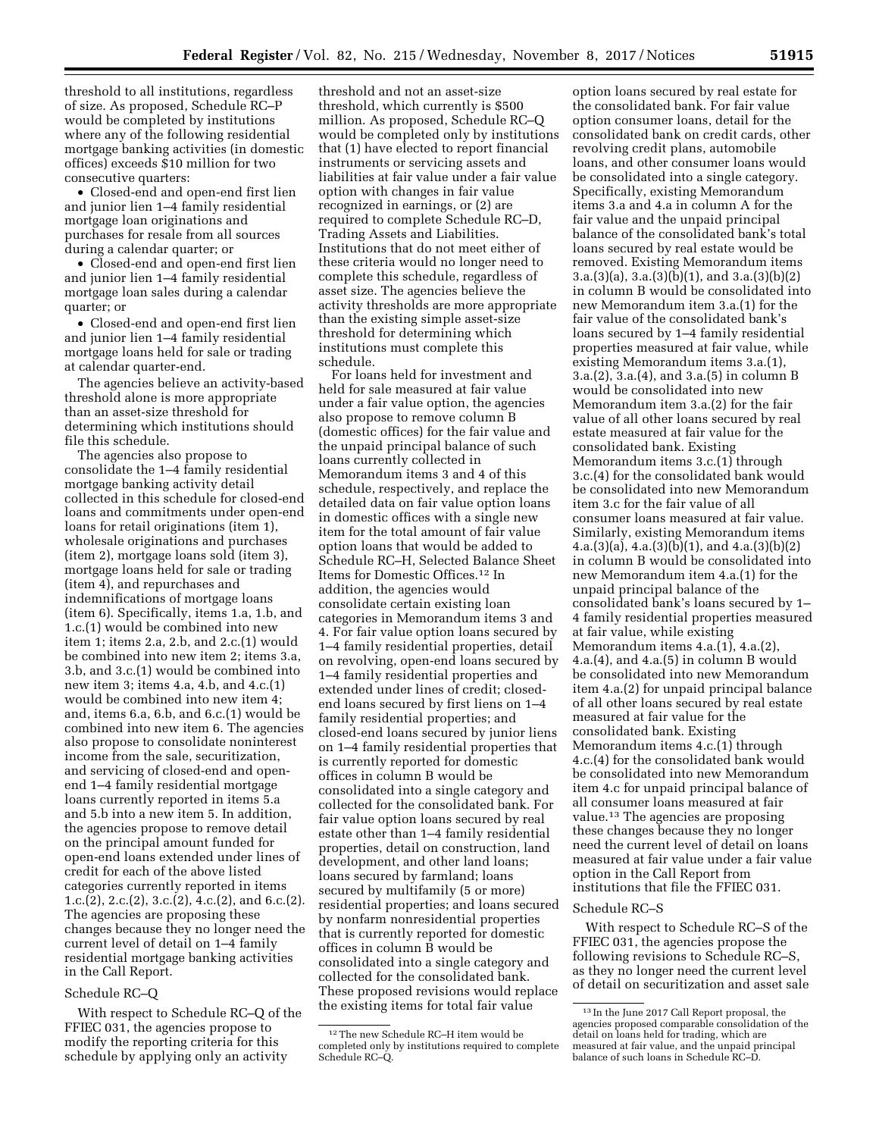threshold to all institutions, regardless of size. As proposed, Schedule RC–P would be completed by institutions where any of the following residential mortgage banking activities (in domestic offices) exceeds \$10 million for two consecutive quarters:

• Closed-end and open-end first lien and junior lien 1–4 family residential mortgage loan originations and purchases for resale from all sources during a calendar quarter; or

• Closed-end and open-end first lien and junior lien 1–4 family residential mortgage loan sales during a calendar quarter; or

• Closed-end and open-end first lien and junior lien 1–4 family residential mortgage loans held for sale or trading at calendar quarter-end.

The agencies believe an activity-based threshold alone is more appropriate than an asset-size threshold for determining which institutions should file this schedule.

The agencies also propose to consolidate the 1–4 family residential mortgage banking activity detail collected in this schedule for closed-end loans and commitments under open-end loans for retail originations (item 1), wholesale originations and purchases (item 2), mortgage loans sold (item 3), mortgage loans held for sale or trading (item 4), and repurchases and indemnifications of mortgage loans (item 6). Specifically, items 1.a, 1.b, and 1.c.(1) would be combined into new item 1; items 2.a, 2.b, and 2.c.(1) would be combined into new item 2; items 3.a, 3.b, and 3.c.(1) would be combined into new item 3; items 4.a, 4.b, and 4.c.(1) would be combined into new item 4; and, items 6.a, 6.b, and 6.c.(1) would be combined into new item 6. The agencies also propose to consolidate noninterest income from the sale, securitization, and servicing of closed-end and openend 1–4 family residential mortgage loans currently reported in items 5.a and 5.b into a new item 5. In addition, the agencies propose to remove detail on the principal amount funded for open-end loans extended under lines of credit for each of the above listed categories currently reported in items 1.c.(2), 2.c.(2), 3.c.(2), 4.c.(2), and 6.c.(2). The agencies are proposing these changes because they no longer need the current level of detail on 1–4 family residential mortgage banking activities in the Call Report.

## Schedule RC–Q

With respect to Schedule RC–Q of the FFIEC 031, the agencies propose to modify the reporting criteria for this schedule by applying only an activity

threshold and not an asset-size threshold, which currently is \$500 million. As proposed, Schedule RC–Q would be completed only by institutions that (1) have elected to report financial instruments or servicing assets and liabilities at fair value under a fair value option with changes in fair value recognized in earnings, or (2) are required to complete Schedule RC–D, Trading Assets and Liabilities. Institutions that do not meet either of these criteria would no longer need to complete this schedule, regardless of asset size. The agencies believe the activity thresholds are more appropriate than the existing simple asset-size threshold for determining which institutions must complete this schedule.

For loans held for investment and held for sale measured at fair value under a fair value option, the agencies also propose to remove column B (domestic offices) for the fair value and the unpaid principal balance of such loans currently collected in Memorandum items 3 and 4 of this schedule, respectively, and replace the detailed data on fair value option loans in domestic offices with a single new item for the total amount of fair value option loans that would be added to Schedule RC–H, Selected Balance Sheet Items for Domestic Offices.12 In addition, the agencies would consolidate certain existing loan categories in Memorandum items 3 and 4. For fair value option loans secured by 1–4 family residential properties, detail on revolving, open-end loans secured by 1–4 family residential properties and extended under lines of credit; closedend loans secured by first liens on 1–4 family residential properties; and closed-end loans secured by junior liens on 1–4 family residential properties that is currently reported for domestic offices in column B would be consolidated into a single category and collected for the consolidated bank. For fair value option loans secured by real estate other than 1–4 family residential properties, detail on construction, land development, and other land loans; loans secured by farmland; loans secured by multifamily (5 or more) residential properties; and loans secured by nonfarm nonresidential properties that is currently reported for domestic offices in column B would be consolidated into a single category and collected for the consolidated bank. These proposed revisions would replace the existing items for total fair value

option loans secured by real estate for the consolidated bank. For fair value option consumer loans, detail for the consolidated bank on credit cards, other revolving credit plans, automobile loans, and other consumer loans would be consolidated into a single category. Specifically, existing Memorandum items 3.a and 4.a in column A for the fair value and the unpaid principal balance of the consolidated bank's total loans secured by real estate would be removed. Existing Memorandum items 3.a.(3)(a), 3.a.(3)(b)(1), and 3.a.(3)(b)(2) in column B would be consolidated into new Memorandum item 3.a.(1) for the fair value of the consolidated bank's loans secured by 1–4 family residential properties measured at fair value, while existing Memorandum items 3.a.(1), 3.a.(2), 3.a.(4), and 3.a.(5) in column B would be consolidated into new Memorandum item 3.a.(2) for the fair value of all other loans secured by real estate measured at fair value for the consolidated bank. Existing Memorandum items 3.c.(1) through 3.c.(4) for the consolidated bank would be consolidated into new Memorandum item 3.c for the fair value of all consumer loans measured at fair value. Similarly, existing Memorandum items  $4.a.(3)(a), 4.a.(3)(b)(1), and 4.a.(3)(b)(2)$ in column B would be consolidated into new Memorandum item 4.a.(1) for the unpaid principal balance of the consolidated bank's loans secured by 1– 4 family residential properties measured at fair value, while existing Memorandum items 4.a.(1), 4.a.(2), 4.a.(4), and 4.a.(5) in column B would be consolidated into new Memorandum item 4.a.(2) for unpaid principal balance of all other loans secured by real estate measured at fair value for the consolidated bank. Existing Memorandum items 4.c.(1) through 4.c.(4) for the consolidated bank would be consolidated into new Memorandum item 4.c for unpaid principal balance of all consumer loans measured at fair value.13 The agencies are proposing these changes because they no longer need the current level of detail on loans measured at fair value under a fair value option in the Call Report from institutions that file the FFIEC 031.

## Schedule RC–S

With respect to Schedule RC–S of the FFIEC 031, the agencies propose the following revisions to Schedule RC–S, as they no longer need the current level of detail on securitization and asset sale

<sup>12</sup>The new Schedule RC–H item would be completed only by institutions required to complete Schedule RC–Q.

<sup>13</sup> In the June 2017 Call Report proposal, the agencies proposed comparable consolidation of the detail on loans held for trading, which are measured at fair value, and the unpaid principal balance of such loans in Schedule RC–D.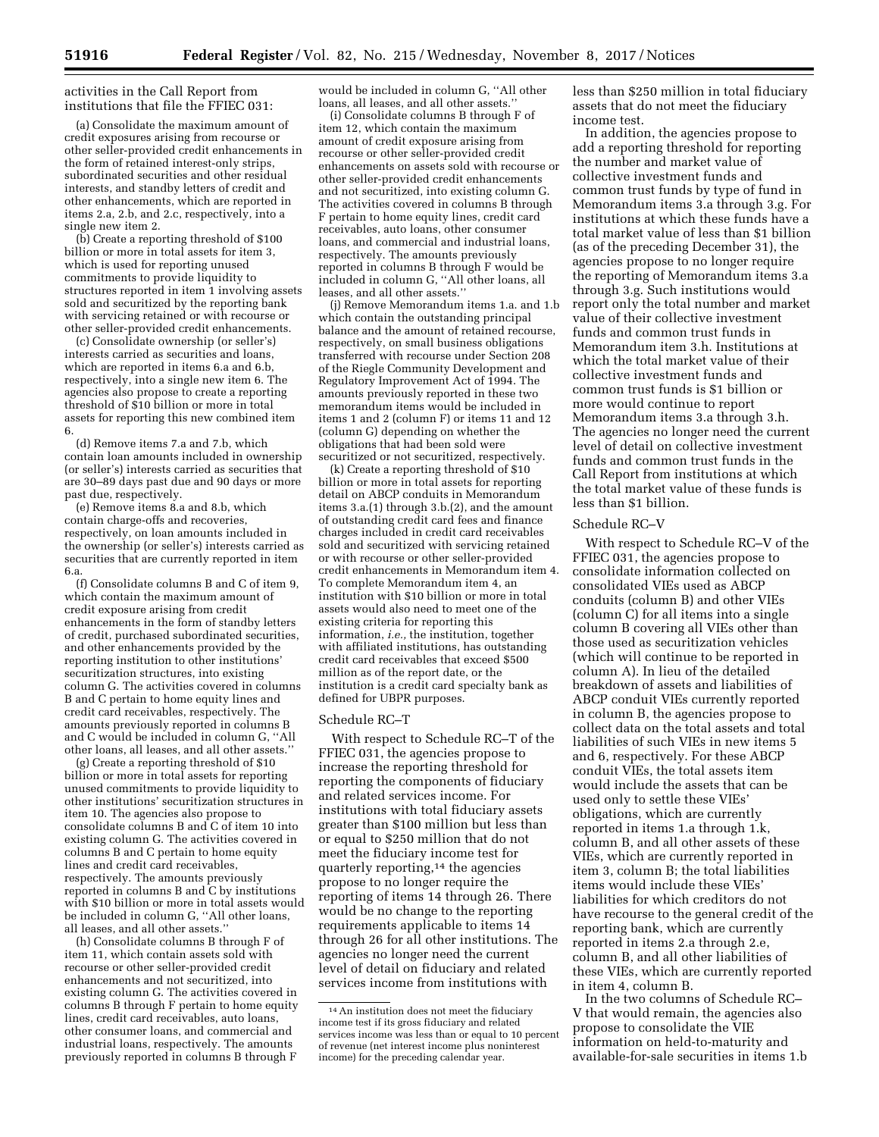activities in the Call Report from institutions that file the FFIEC 031:

(a) Consolidate the maximum amount of credit exposures arising from recourse or other seller-provided credit enhancements in the form of retained interest-only strips, subordinated securities and other residual interests, and standby letters of credit and other enhancements, which are reported in items 2.a, 2.b, and 2.c, respectively, into a single new item 2.

(b) Create a reporting threshold of \$100 billion or more in total assets for item 3, which is used for reporting unused commitments to provide liquidity to structures reported in item 1 involving assets sold and securitized by the reporting bank with servicing retained or with recourse or other seller-provided credit enhancements.

(c) Consolidate ownership (or seller's) interests carried as securities and loans, which are reported in items 6.a and 6.b, respectively, into a single new item 6. The agencies also propose to create a reporting threshold of \$10 billion or more in total assets for reporting this new combined item 6.

(d) Remove items 7.a and 7.b, which contain loan amounts included in ownership (or seller's) interests carried as securities that are 30–89 days past due and 90 days or more past due, respectively.

(e) Remove items 8.a and 8.b, which contain charge-offs and recoveries, respectively, on loan amounts included in the ownership (or seller's) interests carried as securities that are currently reported in item 6.a.

(f) Consolidate columns B and C of item 9, which contain the maximum amount of credit exposure arising from credit enhancements in the form of standby letters of credit, purchased subordinated securities, and other enhancements provided by the reporting institution to other institutions' securitization structures, into existing column G. The activities covered in columns B and C pertain to home equity lines and credit card receivables, respectively. The amounts previously reported in columns B and C would be included in column G, ''All other loans, all leases, and all other assets.''

(g) Create a reporting threshold of \$10 billion or more in total assets for reporting unused commitments to provide liquidity to other institutions' securitization structures in item 10. The agencies also propose to consolidate columns B and C of item 10 into existing column G. The activities covered in columns B and C pertain to home equity lines and credit card receivables, respectively. The amounts previously reported in columns B and C by institutions with \$10 billion or more in total assets would be included in column G, ''All other loans, all leases, and all other assets.''

(h) Consolidate columns B through F of item 11, which contain assets sold with recourse or other seller-provided credit enhancements and not securitized, into existing column G. The activities covered in columns B through F pertain to home equity lines, credit card receivables, auto loans, other consumer loans, and commercial and industrial loans, respectively. The amounts previously reported in columns B through F

would be included in column G, ''All other loans, all leases, and all other assets.''

(i) Consolidate columns B through F of item 12, which contain the maximum amount of credit exposure arising from recourse or other seller-provided credit enhancements on assets sold with recourse or other seller-provided credit enhancements and not securitized, into existing column G. The activities covered in columns B through F pertain to home equity lines, credit card receivables, auto loans, other consumer loans, and commercial and industrial loans, respectively. The amounts previously reported in columns B through F would be included in column G, ''All other loans, all leases, and all other assets.''

(j) Remove Memorandum items 1.a. and 1.b which contain the outstanding principal balance and the amount of retained recourse, respectively, on small business obligations transferred with recourse under Section 208 of the Riegle Community Development and Regulatory Improvement Act of 1994. The amounts previously reported in these two memorandum items would be included in items 1 and 2 (column F) or items 11 and 12 (column G) depending on whether the obligations that had been sold were securitized or not securitized, respectively.

(k) Create a reporting threshold of \$10 billion or more in total assets for reporting detail on ABCP conduits in Memorandum items 3.a.(1) through 3.b.(2), and the amount of outstanding credit card fees and finance charges included in credit card receivables sold and securitized with servicing retained or with recourse or other seller-provided credit enhancements in Memorandum item 4. To complete Memorandum item 4, an institution with \$10 billion or more in total assets would also need to meet one of the existing criteria for reporting this information, *i.e.,* the institution, together with affiliated institutions, has outstanding credit card receivables that exceed \$500 million as of the report date, or the institution is a credit card specialty bank as defined for UBPR purposes.

#### Schedule RC–T

With respect to Schedule RC–T of the FFIEC 031, the agencies propose to increase the reporting threshold for reporting the components of fiduciary and related services income. For institutions with total fiduciary assets greater than \$100 million but less than or equal to \$250 million that do not meet the fiduciary income test for quarterly reporting,14 the agencies propose to no longer require the reporting of items 14 through 26. There would be no change to the reporting requirements applicable to items 14 through 26 for all other institutions. The agencies no longer need the current level of detail on fiduciary and related services income from institutions with

less than \$250 million in total fiduciary assets that do not meet the fiduciary income test.

In addition, the agencies propose to add a reporting threshold for reporting the number and market value of collective investment funds and common trust funds by type of fund in Memorandum items 3.a through 3.g. For institutions at which these funds have a total market value of less than \$1 billion (as of the preceding December 31), the agencies propose to no longer require the reporting of Memorandum items 3.a through 3.g. Such institutions would report only the total number and market value of their collective investment funds and common trust funds in Memorandum item 3.h. Institutions at which the total market value of their collective investment funds and common trust funds is \$1 billion or more would continue to report Memorandum items 3.a through 3.h. The agencies no longer need the current level of detail on collective investment funds and common trust funds in the Call Report from institutions at which the total market value of these funds is less than \$1 billion.

#### Schedule RC–V

With respect to Schedule RC–V of the FFIEC 031, the agencies propose to consolidate information collected on consolidated VIEs used as ABCP conduits (column B) and other VIEs (column C) for all items into a single column B covering all VIEs other than those used as securitization vehicles (which will continue to be reported in column A). In lieu of the detailed breakdown of assets and liabilities of ABCP conduit VIEs currently reported in column B, the agencies propose to collect data on the total assets and total liabilities of such VIEs in new items 5 and 6, respectively. For these ABCP conduit VIEs, the total assets item would include the assets that can be used only to settle these VIEs' obligations, which are currently reported in items 1.a through 1.k, column B, and all other assets of these VIEs, which are currently reported in item 3, column B; the total liabilities items would include these VIEs' liabilities for which creditors do not have recourse to the general credit of the reporting bank, which are currently reported in items 2.a through 2.e, column B, and all other liabilities of these VIEs, which are currently reported in item 4, column B.

In the two columns of Schedule RC– V that would remain, the agencies also propose to consolidate the VIE information on held-to-maturity and available-for-sale securities in items 1.b

<sup>14</sup>An institution does not meet the fiduciary income test if its gross fiduciary and related services income was less than or equal to 10 percent of revenue (net interest income plus noninterest income) for the preceding calendar year.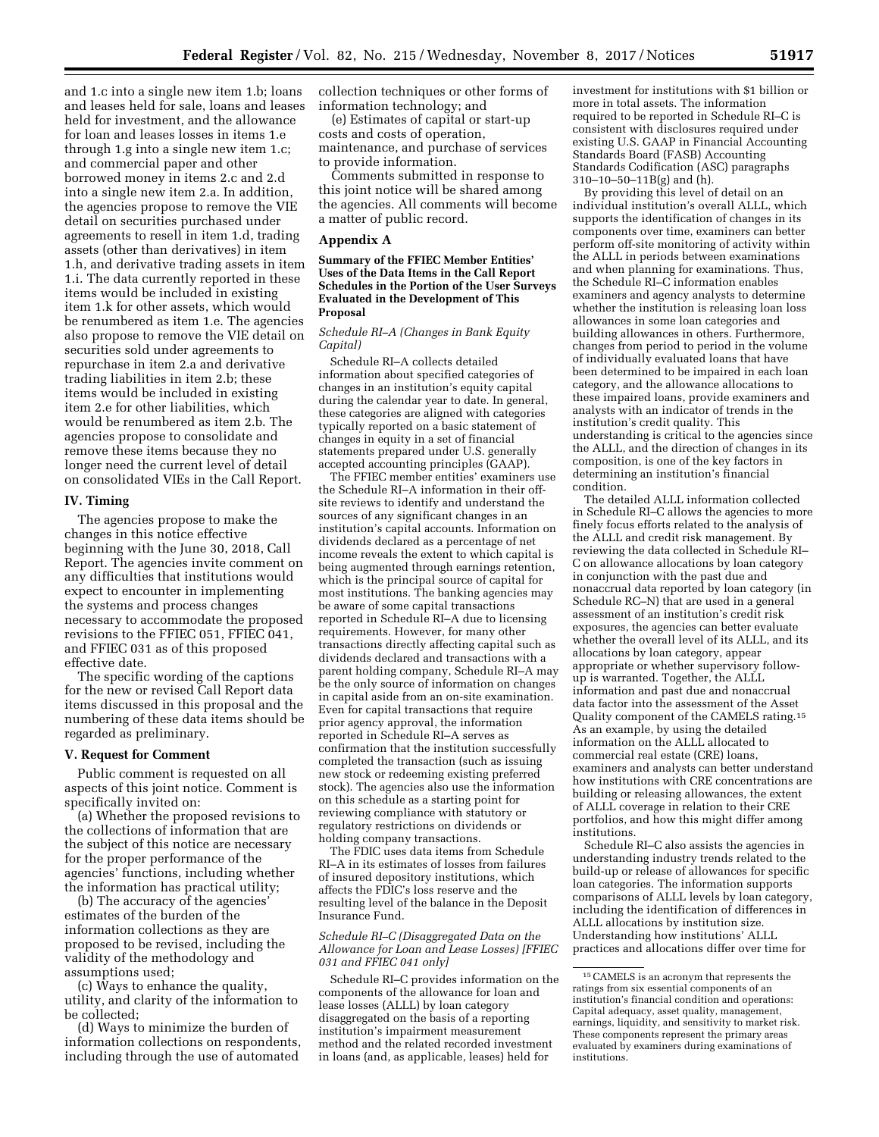and 1.c into a single new item 1.b; loans and leases held for sale, loans and leases held for investment, and the allowance for loan and leases losses in items 1.e through 1.g into a single new item 1.c; and commercial paper and other borrowed money in items 2.c and 2.d into a single new item 2.a. In addition, the agencies propose to remove the VIE detail on securities purchased under agreements to resell in item 1.d, trading assets (other than derivatives) in item 1.h, and derivative trading assets in item 1.i. The data currently reported in these items would be included in existing item 1.k for other assets, which would be renumbered as item 1.e. The agencies also propose to remove the VIE detail on securities sold under agreements to repurchase in item 2.a and derivative trading liabilities in item 2.b; these items would be included in existing item 2.e for other liabilities, which would be renumbered as item 2.b. The agencies propose to consolidate and remove these items because they no longer need the current level of detail on consolidated VIEs in the Call Report.

## **IV. Timing**

The agencies propose to make the changes in this notice effective beginning with the June 30, 2018, Call Report. The agencies invite comment on any difficulties that institutions would expect to encounter in implementing the systems and process changes necessary to accommodate the proposed revisions to the FFIEC 051, FFIEC 041, and FFIEC 031 as of this proposed effective date.

The specific wording of the captions for the new or revised Call Report data items discussed in this proposal and the numbering of these data items should be regarded as preliminary.

#### **V. Request for Comment**

Public comment is requested on all aspects of this joint notice. Comment is specifically invited on:

(a) Whether the proposed revisions to the collections of information that are the subject of this notice are necessary for the proper performance of the agencies' functions, including whether the information has practical utility;

(b) The accuracy of the agencies' estimates of the burden of the information collections as they are proposed to be revised, including the validity of the methodology and assumptions used;

(c) Ways to enhance the quality, utility, and clarity of the information to be collected;

(d) Ways to minimize the burden of information collections on respondents, including through the use of automated

collection techniques or other forms of information technology; and

(e) Estimates of capital or start-up costs and costs of operation, maintenance, and purchase of services to provide information.

Comments submitted in response to this joint notice will be shared among the agencies. All comments will become a matter of public record.

# **Appendix A**

## **Summary of the FFIEC Member Entities' Uses of the Data Items in the Call Report Schedules in the Portion of the User Surveys Evaluated in the Development of This Proposal**

## *Schedule RI–A (Changes in Bank Equity Capital)*

Schedule RI–A collects detailed information about specified categories of changes in an institution's equity capital during the calendar year to date. In general, these categories are aligned with categories typically reported on a basic statement of changes in equity in a set of financial statements prepared under U.S. generally accepted accounting principles (GAAP).

The FFIEC member entities' examiners use the Schedule RI–A information in their offsite reviews to identify and understand the sources of any significant changes in an institution's capital accounts. Information on dividends declared as a percentage of net income reveals the extent to which capital is being augmented through earnings retention, which is the principal source of capital for most institutions. The banking agencies may be aware of some capital transactions reported in Schedule RI–A due to licensing requirements. However, for many other transactions directly affecting capital such as dividends declared and transactions with a parent holding company, Schedule RI–A may be the only source of information on changes in capital aside from an on-site examination. Even for capital transactions that require prior agency approval, the information reported in Schedule RI–A serves as confirmation that the institution successfully completed the transaction (such as issuing new stock or redeeming existing preferred stock). The agencies also use the information on this schedule as a starting point for reviewing compliance with statutory or regulatory restrictions on dividends or holding company transactions.

The FDIC uses data items from Schedule RI–A in its estimates of losses from failures of insured depository institutions, which affects the FDIC's loss reserve and the resulting level of the balance in the Deposit Insurance Fund.

#### *Schedule RI–C (Disaggregated Data on the Allowance for Loan and Lease Losses) [FFIEC 031 and FFIEC 041 only]*

Schedule RI–C provides information on the components of the allowance for loan and lease losses (ALLL) by loan category disaggregated on the basis of a reporting institution's impairment measurement method and the related recorded investment in loans (and, as applicable, leases) held for

investment for institutions with \$1 billion or more in total assets. The information required to be reported in Schedule RI–C is consistent with disclosures required under existing U.S. GAAP in Financial Accounting Standards Board (FASB) Accounting Standards Codification (ASC) paragraphs 310–10–50–11B(g) and (h).

By providing this level of detail on an individual institution's overall ALLL, which supports the identification of changes in its components over time, examiners can better perform off-site monitoring of activity within the ALLL in periods between examinations and when planning for examinations. Thus, the Schedule RI–C information enables examiners and agency analysts to determine whether the institution is releasing loan loss allowances in some loan categories and building allowances in others. Furthermore, changes from period to period in the volume of individually evaluated loans that have been determined to be impaired in each loan category, and the allowance allocations to these impaired loans, provide examiners and analysts with an indicator of trends in the institution's credit quality. This understanding is critical to the agencies since the ALLL, and the direction of changes in its composition, is one of the key factors in determining an institution's financial condition.

The detailed ALLL information collected in Schedule RI–C allows the agencies to more finely focus efforts related to the analysis of the ALLL and credit risk management. By reviewing the data collected in Schedule RI– C on allowance allocations by loan category in conjunction with the past due and nonaccrual data reported by loan category (in Schedule RC–N) that are used in a general assessment of an institution's credit risk exposures, the agencies can better evaluate whether the overall level of its ALLL, and its allocations by loan category, appear appropriate or whether supervisory followup is warranted. Together, the ALLL information and past due and nonaccrual data factor into the assessment of the Asset Quality component of the CAMELS rating.15 As an example, by using the detailed information on the ALLL allocated to commercial real estate (CRE) loans, examiners and analysts can better understand how institutions with CRE concentrations are building or releasing allowances, the extent of ALLL coverage in relation to their CRE portfolios, and how this might differ among institutions.

Schedule RI–C also assists the agencies in understanding industry trends related to the build-up or release of allowances for specific loan categories. The information supports comparisons of ALLL levels by loan category, including the identification of differences in ALLL allocations by institution size. Understanding how institutions' ALLL practices and allocations differ over time for

<sup>15</sup>CAMELS is an acronym that represents the ratings from six essential components of an institution's financial condition and operations: Capital adequacy, asset quality, management, earnings, liquidity, and sensitivity to market risk. These components represent the primary areas evaluated by examiners during examinations of institutions.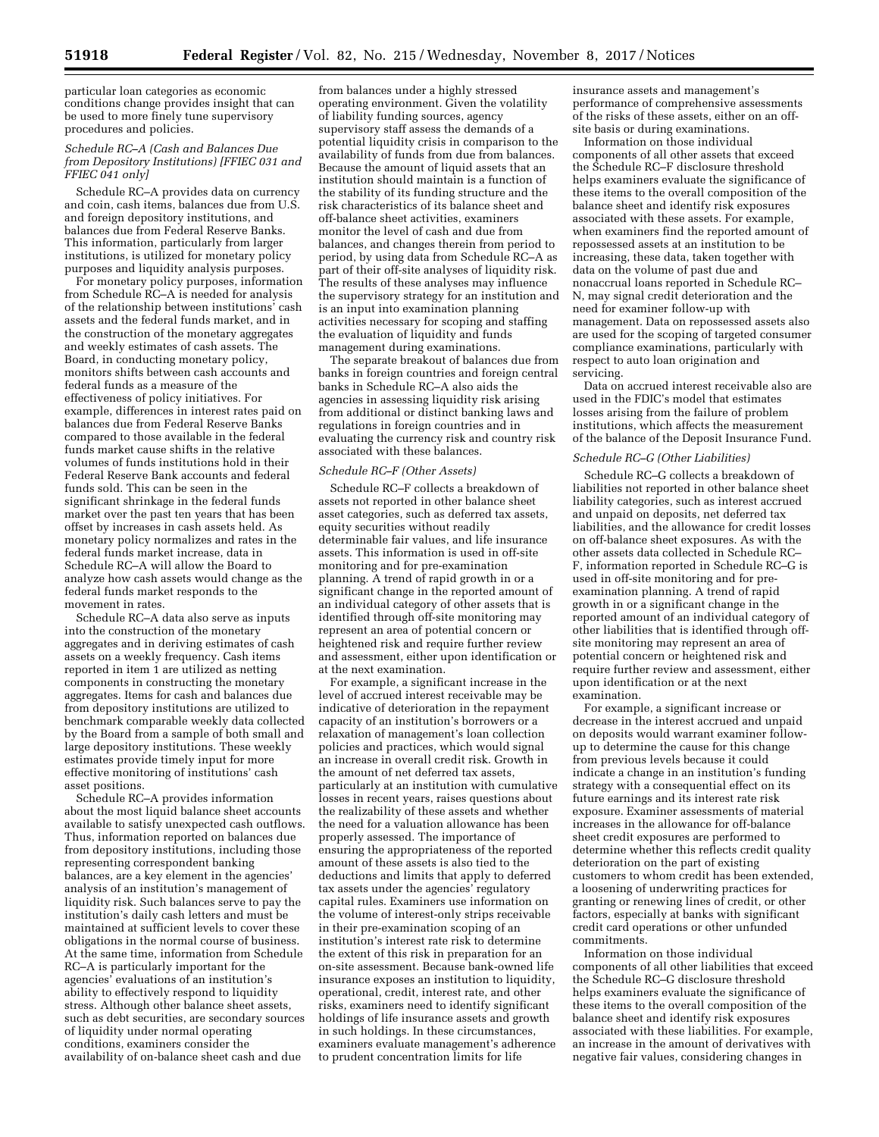particular loan categories as economic conditions change provides insight that can be used to more finely tune supervisory procedures and policies.

## *Schedule RC–A (Cash and Balances Due from Depository Institutions) [FFIEC 031 and FFIEC 041 only]*

Schedule RC–A provides data on currency and coin, cash items, balances due from U.S. and foreign depository institutions, and balances due from Federal Reserve Banks. This information, particularly from larger institutions, is utilized for monetary policy purposes and liquidity analysis purposes.

For monetary policy purposes, information from Schedule RC–A is needed for analysis of the relationship between institutions' cash assets and the federal funds market, and in the construction of the monetary aggregates and weekly estimates of cash assets. The Board, in conducting monetary policy, monitors shifts between cash accounts and federal funds as a measure of the effectiveness of policy initiatives. For example, differences in interest rates paid on balances due from Federal Reserve Banks compared to those available in the federal funds market cause shifts in the relative volumes of funds institutions hold in their Federal Reserve Bank accounts and federal funds sold. This can be seen in the significant shrinkage in the federal funds market over the past ten years that has been offset by increases in cash assets held. As monetary policy normalizes and rates in the federal funds market increase, data in Schedule RC–A will allow the Board to analyze how cash assets would change as the federal funds market responds to the movement in rates.

Schedule RC–A data also serve as inputs into the construction of the monetary aggregates and in deriving estimates of cash assets on a weekly frequency. Cash items reported in item 1 are utilized as netting components in constructing the monetary aggregates. Items for cash and balances due from depository institutions are utilized to benchmark comparable weekly data collected by the Board from a sample of both small and large depository institutions. These weekly estimates provide timely input for more effective monitoring of institutions' cash asset positions.

Schedule RC–A provides information about the most liquid balance sheet accounts available to satisfy unexpected cash outflows. Thus, information reported on balances due from depository institutions, including those representing correspondent banking balances, are a key element in the agencies' analysis of an institution's management of liquidity risk. Such balances serve to pay the institution's daily cash letters and must be maintained at sufficient levels to cover these obligations in the normal course of business. At the same time, information from Schedule RC–A is particularly important for the agencies' evaluations of an institution's ability to effectively respond to liquidity stress. Although other balance sheet assets, such as debt securities, are secondary sources of liquidity under normal operating conditions, examiners consider the availability of on-balance sheet cash and due

from balances under a highly stressed operating environment. Given the volatility of liability funding sources, agency supervisory staff assess the demands of a potential liquidity crisis in comparison to the availability of funds from due from balances. Because the amount of liquid assets that an institution should maintain is a function of the stability of its funding structure and the risk characteristics of its balance sheet and off-balance sheet activities, examiners monitor the level of cash and due from balances, and changes therein from period to period, by using data from Schedule RC–A as part of their off-site analyses of liquidity risk. The results of these analyses may influence the supervisory strategy for an institution and is an input into examination planning activities necessary for scoping and staffing the evaluation of liquidity and funds management during examinations.

The separate breakout of balances due from banks in foreign countries and foreign central banks in Schedule RC–A also aids the agencies in assessing liquidity risk arising from additional or distinct banking laws and regulations in foreign countries and in evaluating the currency risk and country risk associated with these balances.

# *Schedule RC–F (Other Assets)*

Schedule RC–F collects a breakdown of assets not reported in other balance sheet asset categories, such as deferred tax assets, equity securities without readily determinable fair values, and life insurance assets. This information is used in off-site monitoring and for pre-examination planning. A trend of rapid growth in or a significant change in the reported amount of an individual category of other assets that is identified through off-site monitoring may represent an area of potential concern or heightened risk and require further review and assessment, either upon identification or at the next examination.

For example, a significant increase in the level of accrued interest receivable may be indicative of deterioration in the repayment capacity of an institution's borrowers or a relaxation of management's loan collection policies and practices, which would signal an increase in overall credit risk. Growth in the amount of net deferred tax assets, particularly at an institution with cumulative losses in recent years, raises questions about the realizability of these assets and whether the need for a valuation allowance has been properly assessed. The importance of ensuring the appropriateness of the reported amount of these assets is also tied to the deductions and limits that apply to deferred tax assets under the agencies' regulatory capital rules. Examiners use information on the volume of interest-only strips receivable in their pre-examination scoping of an institution's interest rate risk to determine the extent of this risk in preparation for an on-site assessment. Because bank-owned life insurance exposes an institution to liquidity, operational, credit, interest rate, and other risks, examiners need to identify significant holdings of life insurance assets and growth in such holdings. In these circumstances, examiners evaluate management's adherence to prudent concentration limits for life

insurance assets and management's performance of comprehensive assessments of the risks of these assets, either on an offsite basis or during examinations.

Information on those individual components of all other assets that exceed the Schedule RC–F disclosure threshold helps examiners evaluate the significance of these items to the overall composition of the balance sheet and identify risk exposures associated with these assets. For example, when examiners find the reported amount of repossessed assets at an institution to be increasing, these data, taken together with data on the volume of past due and nonaccrual loans reported in Schedule RC– N, may signal credit deterioration and the need for examiner follow-up with management. Data on repossessed assets also are used for the scoping of targeted consumer compliance examinations, particularly with respect to auto loan origination and servicing.

Data on accrued interest receivable also are used in the FDIC's model that estimates losses arising from the failure of problem institutions, which affects the measurement of the balance of the Deposit Insurance Fund.

#### *Schedule RC–G (Other Liabilities)*

Schedule RC–G collects a breakdown of liabilities not reported in other balance sheet liability categories, such as interest accrued and unpaid on deposits, net deferred tax liabilities, and the allowance for credit losses on off-balance sheet exposures. As with the other assets data collected in Schedule RC– F, information reported in Schedule RC–G is used in off-site monitoring and for preexamination planning. A trend of rapid growth in or a significant change in the reported amount of an individual category of other liabilities that is identified through offsite monitoring may represent an area of potential concern or heightened risk and require further review and assessment, either upon identification or at the next examination.

For example, a significant increase or decrease in the interest accrued and unpaid on deposits would warrant examiner followup to determine the cause for this change from previous levels because it could indicate a change in an institution's funding strategy with a consequential effect on its future earnings and its interest rate risk exposure. Examiner assessments of material increases in the allowance for off-balance sheet credit exposures are performed to determine whether this reflects credit quality deterioration on the part of existing customers to whom credit has been extended, a loosening of underwriting practices for granting or renewing lines of credit, or other factors, especially at banks with significant credit card operations or other unfunded commitments.

Information on those individual components of all other liabilities that exceed the Schedule RC–G disclosure threshold helps examiners evaluate the significance of these items to the overall composition of the balance sheet and identify risk exposures associated with these liabilities. For example, an increase in the amount of derivatives with negative fair values, considering changes in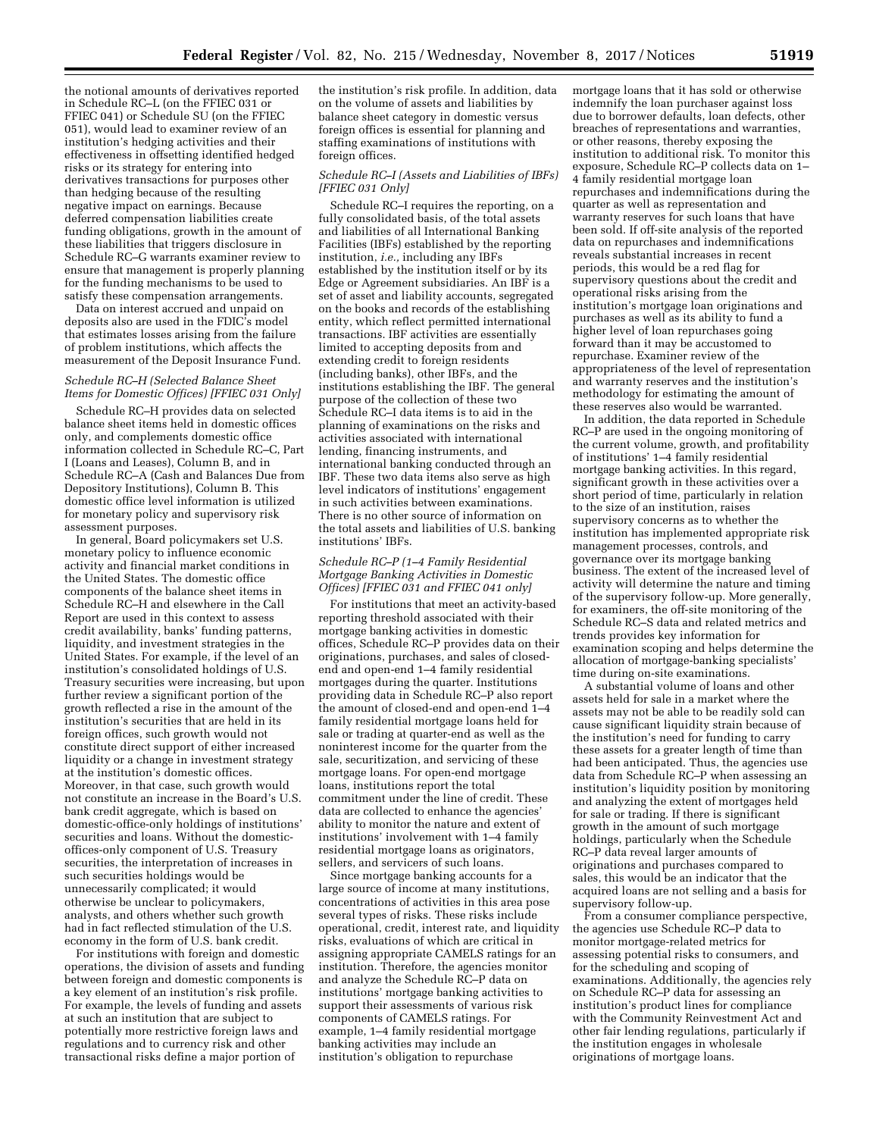the notional amounts of derivatives reported in Schedule RC–L (on the FFIEC 031 or FFIEC 041) or Schedule SU (on the FFIEC 051), would lead to examiner review of an institution's hedging activities and their effectiveness in offsetting identified hedged risks or its strategy for entering into derivatives transactions for purposes other than hedging because of the resulting negative impact on earnings. Because deferred compensation liabilities create funding obligations, growth in the amount of these liabilities that triggers disclosure in Schedule RC–G warrants examiner review to ensure that management is properly planning for the funding mechanisms to be used to satisfy these compensation arrangements.

Data on interest accrued and unpaid on deposits also are used in the FDIC's model that estimates losses arising from the failure of problem institutions, which affects the measurement of the Deposit Insurance Fund.

## *Schedule RC–H (Selected Balance Sheet Items for Domestic Offices) [FFIEC 031 Only]*

Schedule RC–H provides data on selected balance sheet items held in domestic offices only, and complements domestic office information collected in Schedule RC–C, Part I (Loans and Leases), Column B, and in Schedule RC–A (Cash and Balances Due from Depository Institutions), Column B. This domestic office level information is utilized for monetary policy and supervisory risk assessment purposes.

In general, Board policymakers set U.S. monetary policy to influence economic activity and financial market conditions in the United States. The domestic office components of the balance sheet items in Schedule RC–H and elsewhere in the Call Report are used in this context to assess credit availability, banks' funding patterns, liquidity, and investment strategies in the United States. For example, if the level of an institution's consolidated holdings of U.S. Treasury securities were increasing, but upon further review a significant portion of the growth reflected a rise in the amount of the institution's securities that are held in its foreign offices, such growth would not constitute direct support of either increased liquidity or a change in investment strategy at the institution's domestic offices. Moreover, in that case, such growth would not constitute an increase in the Board's U.S. bank credit aggregate, which is based on domestic-office-only holdings of institutions' securities and loans. Without the domesticoffices-only component of U.S. Treasury securities, the interpretation of increases in such securities holdings would be unnecessarily complicated; it would otherwise be unclear to policymakers, analysts, and others whether such growth had in fact reflected stimulation of the U.S. economy in the form of U.S. bank credit.

For institutions with foreign and domestic operations, the division of assets and funding between foreign and domestic components is a key element of an institution's risk profile. For example, the levels of funding and assets at such an institution that are subject to potentially more restrictive foreign laws and regulations and to currency risk and other transactional risks define a major portion of

the institution's risk profile. In addition, data on the volume of assets and liabilities by balance sheet category in domestic versus foreign offices is essential for planning and staffing examinations of institutions with foreign offices.

#### *Schedule RC–I (Assets and Liabilities of IBFs) [FFIEC 031 Only]*

Schedule RC–I requires the reporting, on a fully consolidated basis, of the total assets and liabilities of all International Banking Facilities (IBFs) established by the reporting institution, *i.e.,* including any IBFs established by the institution itself or by its Edge or Agreement subsidiaries. An IBF is a set of asset and liability accounts, segregated on the books and records of the establishing entity, which reflect permitted international transactions. IBF activities are essentially limited to accepting deposits from and extending credit to foreign residents (including banks), other IBFs, and the institutions establishing the IBF. The general purpose of the collection of these two Schedule RC–I data items is to aid in the planning of examinations on the risks and activities associated with international lending, financing instruments, and international banking conducted through an IBF. These two data items also serve as high level indicators of institutions' engagement in such activities between examinations. There is no other source of information on the total assets and liabilities of U.S. banking institutions' IBFs.

## *Schedule RC–P (1–4 Family Residential Mortgage Banking Activities in Domestic Offices) [FFIEC 031 and FFIEC 041 only]*

For institutions that meet an activity-based reporting threshold associated with their mortgage banking activities in domestic offices, Schedule RC–P provides data on their originations, purchases, and sales of closedend and open-end 1–4 family residential mortgages during the quarter. Institutions providing data in Schedule RC–P also report the amount of closed-end and open-end  $1-4$ family residential mortgage loans held for sale or trading at quarter-end as well as the noninterest income for the quarter from the sale, securitization, and servicing of these mortgage loans. For open-end mortgage loans, institutions report the total commitment under the line of credit. These data are collected to enhance the agencies' ability to monitor the nature and extent of institutions' involvement with 1–4 family residential mortgage loans as originators, sellers, and servicers of such loans.

Since mortgage banking accounts for a large source of income at many institutions, concentrations of activities in this area pose several types of risks. These risks include operational, credit, interest rate, and liquidity risks, evaluations of which are critical in assigning appropriate CAMELS ratings for an institution. Therefore, the agencies monitor and analyze the Schedule RC–P data on institutions' mortgage banking activities to support their assessments of various risk components of CAMELS ratings. For example, 1–4 family residential mortgage banking activities may include an institution's obligation to repurchase

mortgage loans that it has sold or otherwise indemnify the loan purchaser against loss due to borrower defaults, loan defects, other breaches of representations and warranties, or other reasons, thereby exposing the institution to additional risk. To monitor this exposure, Schedule RC–P collects data on 1– 4 family residential mortgage loan repurchases and indemnifications during the quarter as well as representation and warranty reserves for such loans that have been sold. If off-site analysis of the reported data on repurchases and indemnifications reveals substantial increases in recent periods, this would be a red flag for supervisory questions about the credit and operational risks arising from the institution's mortgage loan originations and purchases as well as its ability to fund a higher level of loan repurchases going forward than it may be accustomed to repurchase. Examiner review of the appropriateness of the level of representation and warranty reserves and the institution's methodology for estimating the amount of these reserves also would be warranted.

In addition, the data reported in Schedule RC–P are used in the ongoing monitoring of the current volume, growth, and profitability of institutions' 1–4 family residential mortgage banking activities. In this regard, significant growth in these activities over a short period of time, particularly in relation to the size of an institution, raises supervisory concerns as to whether the institution has implemented appropriate risk management processes, controls, and governance over its mortgage banking business. The extent of the increased level of activity will determine the nature and timing of the supervisory follow-up. More generally, for examiners, the off-site monitoring of the Schedule RC–S data and related metrics and trends provides key information for examination scoping and helps determine the allocation of mortgage-banking specialists' time during on-site examinations.

A substantial volume of loans and other assets held for sale in a market where the assets may not be able to be readily sold can cause significant liquidity strain because of the institution's need for funding to carry these assets for a greater length of time than had been anticipated. Thus, the agencies use data from Schedule RC–P when assessing an institution's liquidity position by monitoring and analyzing the extent of mortgages held for sale or trading. If there is significant growth in the amount of such mortgage holdings, particularly when the Schedule RC–P data reveal larger amounts of originations and purchases compared to sales, this would be an indicator that the acquired loans are not selling and a basis for supervisory follow-up.

From a consumer compliance perspective, the agencies use Schedule RC–P data to monitor mortgage-related metrics for assessing potential risks to consumers, and for the scheduling and scoping of examinations. Additionally, the agencies rely on Schedule RC–P data for assessing an institution's product lines for compliance with the Community Reinvestment Act and other fair lending regulations, particularly if the institution engages in wholesale originations of mortgage loans.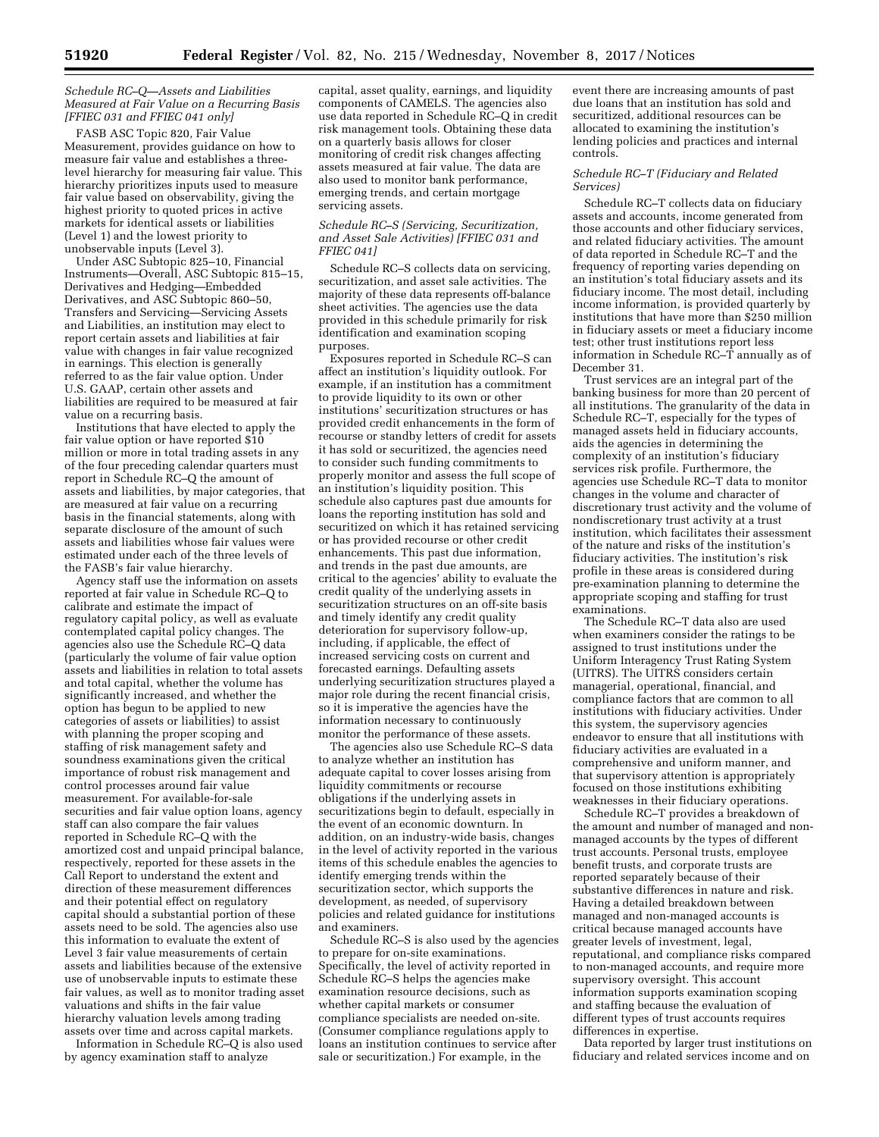*Schedule RC–Q—Assets and Liabilities Measured at Fair Value on a Recurring Basis [FFIEC 031 and FFIEC 041 only]* 

FASB ASC Topic 820, Fair Value Measurement, provides guidance on how to measure fair value and establishes a threelevel hierarchy for measuring fair value. This hierarchy prioritizes inputs used to measure fair value based on observability, giving the highest priority to quoted prices in active markets for identical assets or liabilities (Level 1) and the lowest priority to unobservable inputs (Level 3).

Under ASC Subtopic 825–10, Financial Instruments—Overall, ASC Subtopic 815–15, Derivatives and Hedging—Embedded Derivatives, and ASC Subtopic 860–50, Transfers and Servicing—Servicing Assets and Liabilities, an institution may elect to report certain assets and liabilities at fair value with changes in fair value recognized in earnings. This election is generally referred to as the fair value option. Under U.S. GAAP, certain other assets and liabilities are required to be measured at fair value on a recurring basis.

Institutions that have elected to apply the fair value option or have reported \$10 million or more in total trading assets in any of the four preceding calendar quarters must report in Schedule RC–Q the amount of assets and liabilities, by major categories, that are measured at fair value on a recurring basis in the financial statements, along with separate disclosure of the amount of such assets and liabilities whose fair values were estimated under each of the three levels of the FASB's fair value hierarchy.

Agency staff use the information on assets reported at fair value in Schedule RC–Q to calibrate and estimate the impact of regulatory capital policy, as well as evaluate contemplated capital policy changes. The agencies also use the Schedule RC–Q data (particularly the volume of fair value option assets and liabilities in relation to total assets and total capital, whether the volume has significantly increased, and whether the option has begun to be applied to new categories of assets or liabilities) to assist with planning the proper scoping and staffing of risk management safety and soundness examinations given the critical importance of robust risk management and control processes around fair value measurement. For available-for-sale securities and fair value option loans, agency staff can also compare the fair values reported in Schedule RC–Q with the amortized cost and unpaid principal balance, respectively, reported for these assets in the Call Report to understand the extent and direction of these measurement differences and their potential effect on regulatory capital should a substantial portion of these assets need to be sold. The agencies also use this information to evaluate the extent of Level 3 fair value measurements of certain assets and liabilities because of the extensive use of unobservable inputs to estimate these fair values, as well as to monitor trading asset valuations and shifts in the fair value hierarchy valuation levels among trading assets over time and across capital markets.

Information in Schedule RC–Q is also used by agency examination staff to analyze

capital, asset quality, earnings, and liquidity components of CAMELS. The agencies also use data reported in Schedule RC–Q in credit risk management tools. Obtaining these data on a quarterly basis allows for closer monitoring of credit risk changes affecting assets measured at fair value. The data are also used to monitor bank performance, emerging trends, and certain mortgage servicing assets.

#### *Schedule RC–S (Servicing, Securitization, and Asset Sale Activities) [FFIEC 031 and FFIEC 041]*

Schedule RC–S collects data on servicing, securitization, and asset sale activities. The majority of these data represents off-balance sheet activities. The agencies use the data provided in this schedule primarily for risk identification and examination scoping purposes.

Exposures reported in Schedule RC–S can affect an institution's liquidity outlook. For example, if an institution has a commitment to provide liquidity to its own or other institutions' securitization structures or has provided credit enhancements in the form of recourse or standby letters of credit for assets it has sold or securitized, the agencies need to consider such funding commitments to properly monitor and assess the full scope of an institution's liquidity position. This schedule also captures past due amounts for loans the reporting institution has sold and securitized on which it has retained servicing or has provided recourse or other credit enhancements. This past due information, and trends in the past due amounts, are critical to the agencies' ability to evaluate the credit quality of the underlying assets in securitization structures on an off-site basis and timely identify any credit quality deterioration for supervisory follow-up, including, if applicable, the effect of increased servicing costs on current and forecasted earnings. Defaulting assets underlying securitization structures played a major role during the recent financial crisis, so it is imperative the agencies have the information necessary to continuously monitor the performance of these assets.

The agencies also use Schedule RC–S data to analyze whether an institution has adequate capital to cover losses arising from liquidity commitments or recourse obligations if the underlying assets in securitizations begin to default, especially in the event of an economic downturn. In addition, on an industry-wide basis, changes in the level of activity reported in the various items of this schedule enables the agencies to identify emerging trends within the securitization sector, which supports the development, as needed, of supervisory policies and related guidance for institutions and examiners.

Schedule RC–S is also used by the agencies to prepare for on-site examinations. Specifically, the level of activity reported in Schedule RC–S helps the agencies make examination resource decisions, such as whether capital markets or consumer compliance specialists are needed on-site. (Consumer compliance regulations apply to loans an institution continues to service after sale or securitization.) For example, in the

event there are increasing amounts of past due loans that an institution has sold and securitized, additional resources can be allocated to examining the institution's lending policies and practices and internal controls.

## *Schedule RC–T (Fiduciary and Related Services)*

Schedule RC–T collects data on fiduciary assets and accounts, income generated from those accounts and other fiduciary services, and related fiduciary activities. The amount of data reported in Schedule RC–T and the frequency of reporting varies depending on an institution's total fiduciary assets and its fiduciary income. The most detail, including income information, is provided quarterly by institutions that have more than \$250 million in fiduciary assets or meet a fiduciary income test; other trust institutions report less information in Schedule RC–T annually as of December 31.

Trust services are an integral part of the banking business for more than 20 percent of all institutions. The granularity of the data in Schedule RC–T, especially for the types of managed assets held in fiduciary accounts, aids the agencies in determining the complexity of an institution's fiduciary services risk profile. Furthermore, the agencies use Schedule RC–T data to monitor changes in the volume and character of discretionary trust activity and the volume of nondiscretionary trust activity at a trust institution, which facilitates their assessment of the nature and risks of the institution's fiduciary activities. The institution's risk profile in these areas is considered during pre-examination planning to determine the appropriate scoping and staffing for trust examinations.

The Schedule RC–T data also are used when examiners consider the ratings to be assigned to trust institutions under the Uniform Interagency Trust Rating System (UITRS). The UITRS considers certain managerial, operational, financial, and compliance factors that are common to all institutions with fiduciary activities. Under this system, the supervisory agencies endeavor to ensure that all institutions with fiduciary activities are evaluated in a comprehensive and uniform manner, and that supervisory attention is appropriately focused on those institutions exhibiting weaknesses in their fiduciary operations.

Schedule RC–T provides a breakdown of the amount and number of managed and nonmanaged accounts by the types of different trust accounts. Personal trusts, employee benefit trusts, and corporate trusts are reported separately because of their substantive differences in nature and risk. Having a detailed breakdown between managed and non-managed accounts is critical because managed accounts have greater levels of investment, legal, reputational, and compliance risks compared to non-managed accounts, and require more supervisory oversight. This account information supports examination scoping and staffing because the evaluation of different types of trust accounts requires differences in expertise.

Data reported by larger trust institutions on fiduciary and related services income and on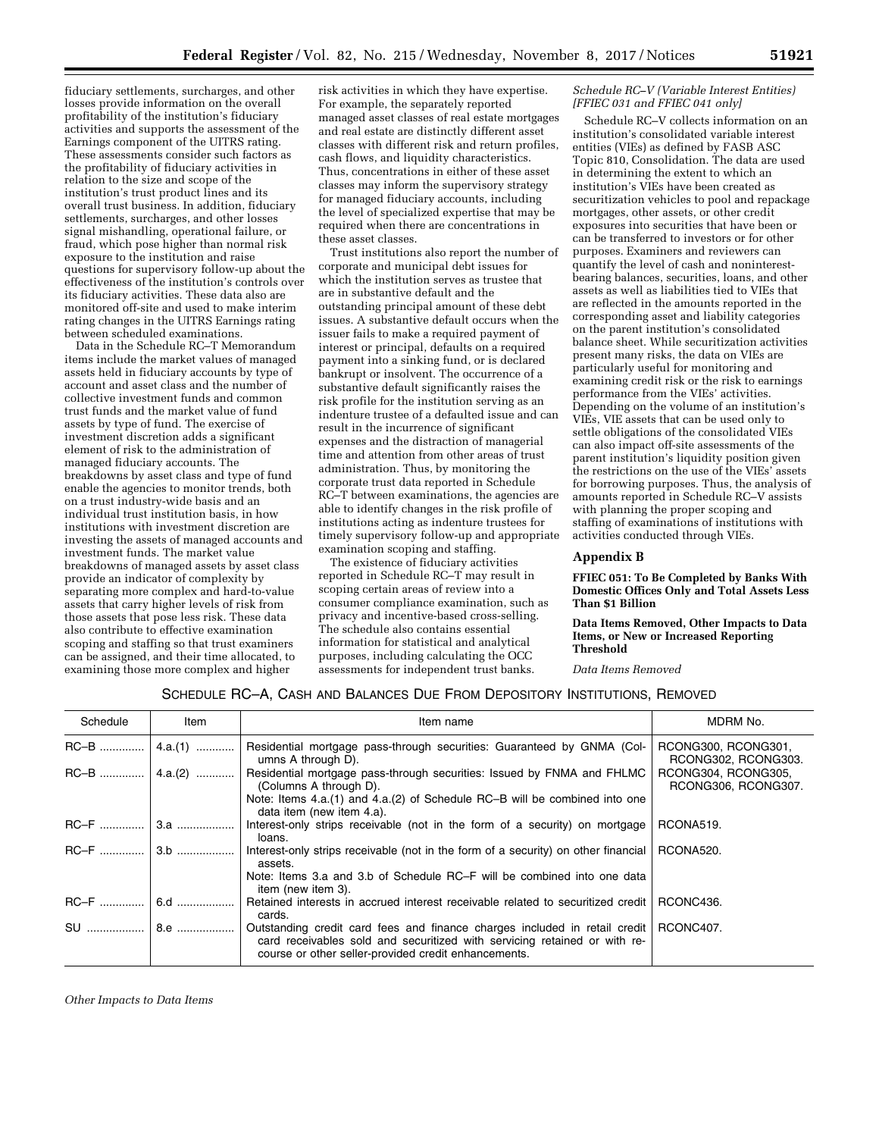fiduciary settlements, surcharges, and other losses provide information on the overall profitability of the institution's fiduciary activities and supports the assessment of the Earnings component of the UITRS rating. These assessments consider such factors as the profitability of fiduciary activities in relation to the size and scope of the institution's trust product lines and its overall trust business. In addition, fiduciary settlements, surcharges, and other losses signal mishandling, operational failure, or fraud, which pose higher than normal risk exposure to the institution and raise questions for supervisory follow-up about the effectiveness of the institution's controls over its fiduciary activities. These data also are monitored off-site and used to make interim rating changes in the UITRS Earnings rating between scheduled examinations.

Data in the Schedule RC–T Memorandum items include the market values of managed assets held in fiduciary accounts by type of account and asset class and the number of collective investment funds and common trust funds and the market value of fund assets by type of fund. The exercise of investment discretion adds a significant element of risk to the administration of managed fiduciary accounts. The breakdowns by asset class and type of fund enable the agencies to monitor trends, both on a trust industry-wide basis and an individual trust institution basis, in how institutions with investment discretion are investing the assets of managed accounts and investment funds. The market value breakdowns of managed assets by asset class provide an indicator of complexity by separating more complex and hard-to-value assets that carry higher levels of risk from those assets that pose less risk. These data also contribute to effective examination scoping and staffing so that trust examiners can be assigned, and their time allocated, to examining those more complex and higher

risk activities in which they have expertise. For example, the separately reported managed asset classes of real estate mortgages and real estate are distinctly different asset classes with different risk and return profiles, cash flows, and liquidity characteristics. Thus, concentrations in either of these asset classes may inform the supervisory strategy for managed fiduciary accounts, including the level of specialized expertise that may be required when there are concentrations in these asset classes.

Trust institutions also report the number of corporate and municipal debt issues for which the institution serves as trustee that are in substantive default and the outstanding principal amount of these debt issues. A substantive default occurs when the issuer fails to make a required payment of interest or principal, defaults on a required payment into a sinking fund, or is declared bankrupt or insolvent. The occurrence of a substantive default significantly raises the risk profile for the institution serving as an indenture trustee of a defaulted issue and can result in the incurrence of significant expenses and the distraction of managerial time and attention from other areas of trust administration. Thus, by monitoring the corporate trust data reported in Schedule RC–T between examinations, the agencies are able to identify changes in the risk profile of institutions acting as indenture trustees for timely supervisory follow-up and appropriate examination scoping and staffing.

The existence of fiduciary activities reported in Schedule RC–T may result in scoping certain areas of review into a consumer compliance examination, such as privacy and incentive-based cross-selling. The schedule also contains essential information for statistical and analytical purposes, including calculating the OCC assessments for independent trust banks.

## *Schedule RC–V (Variable Interest Entities) [FFIEC 031 and FFIEC 041 only]*

Schedule RC–V collects information on an institution's consolidated variable interest entities (VIEs) as defined by FASB ASC Topic 810, Consolidation. The data are used in determining the extent to which an institution's VIEs have been created as securitization vehicles to pool and repackage mortgages, other assets, or other credit exposures into securities that have been or can be transferred to investors or for other purposes. Examiners and reviewers can quantify the level of cash and noninterestbearing balances, securities, loans, and other assets as well as liabilities tied to VIEs that are reflected in the amounts reported in the corresponding asset and liability categories on the parent institution's consolidated balance sheet. While securitization activities present many risks, the data on VIEs are particularly useful for monitoring and examining credit risk or the risk to earnings performance from the VIEs' activities. Depending on the volume of an institution's VIEs, VIE assets that can be used only to settle obligations of the consolidated VIEs can also impact off-site assessments of the parent institution's liquidity position given the restrictions on the use of the VIEs' assets for borrowing purposes. Thus, the analysis of amounts reported in Schedule RC–V assists with planning the proper scoping and staffing of examinations of institutions with activities conducted through VIEs.

## **Appendix B**

**FFIEC 051: To Be Completed by Banks With Domestic Offices Only and Total Assets Less Than \$1 Billion** 

## **Data Items Removed, Other Impacts to Data Items, or New or Increased Reporting Threshold**

*Data Items Removed* 

# SCHEDULE RC–A, CASH AND BALANCES DUE FROM DEPOSITORY INSTITUTIONS, REMOVED

| Schedule | Item             | Item name                                                                                                                                                                                                       | MDRM No.                                   |
|----------|------------------|-----------------------------------------------------------------------------------------------------------------------------------------------------------------------------------------------------------------|--------------------------------------------|
|          |                  | Residential mortgage pass-through securities: Guaranteed by GNMA (Col-<br>umns A through D).                                                                                                                    | RCONG300, RCONG301,<br>RCONG302, RCONG303. |
|          | $RC-B$   4.a.(2) | Residential mortgage pass-through securities: Issued by FNMA and FHLMC<br>(Columns A through D).<br>Note: Items 4.a.(1) and 4.a.(2) of Schedule RC-B will be combined into one                                  | RCONG304, RCONG305,<br>RCONG306, RCONG307. |
|          |                  | data item (new item 4.a).<br>Interest-only strips receivable (not in the form of a security) on mortgage<br>loans.                                                                                              | RCONA519.                                  |
| $RC-F$   | 3.b              | Interest-only strips receivable (not in the form of a security) on other financial<br>assets.                                                                                                                   | RCONA520.                                  |
|          |                  | Note: Items 3.a and 3.b of Schedule RC–F will be combined into one data<br>item (new item 3).                                                                                                                   |                                            |
| $RC-F$   |                  | Retained interests in accrued interest receivable related to securitized credit<br>cards.                                                                                                                       | RCONC436.                                  |
| SU       | 8.e              | Outstanding credit card fees and finance charges included in retail credit<br>card receivables sold and securitized with servicing retained or with re-<br>course or other seller-provided credit enhancements. | RCONC407.                                  |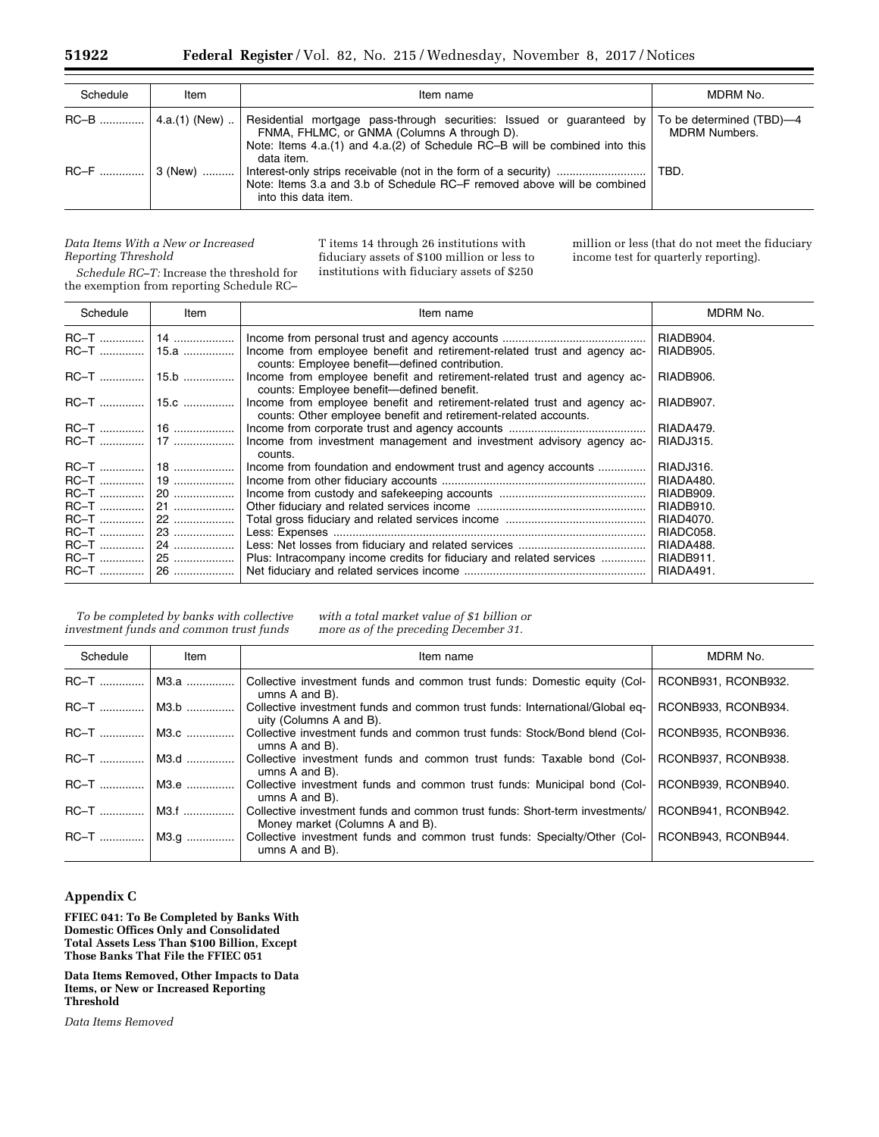| Schedule | Item                   | Item name                                                                                                                                                                                                                                    | MDRM No.             |
|----------|------------------------|----------------------------------------------------------------------------------------------------------------------------------------------------------------------------------------------------------------------------------------------|----------------------|
|          | $RC-B$   4.a.(1) (New) | Residential mortgage pass-through securities: Issued or guaranteed by   To be determined (TBD)-4<br>FNMA, FHLMC, or GNMA (Columns A through D).<br>Note: Items 4.a.(1) and 4.a.(2) of Schedule RC-B will be combined into this<br>data item. | <b>MDRM Numbers.</b> |
|          |                        | Note: Items 3.a and 3.b of Schedule RC–F removed above will be combined<br>into this data item.                                                                                                                                              | TBD.                 |

## *Data Items With a New or Increased Reporting Threshold*

million or less (that do not meet the fiduciary income test for quarterly reporting).

*Schedule RC–T:* Increase the threshold for the exemption from reporting Schedule RC–

| T items 14 through 26 institutions with      |
|----------------------------------------------|
| fiduciary assets of \$100 million or less to |
| institutions with fiduciary assets of \$250  |
|                                              |

| Schedule     | Item | Item name                                                                                                                                   | MDRM No.  |
|--------------|------|---------------------------------------------------------------------------------------------------------------------------------------------|-----------|
|              |      |                                                                                                                                             | RIADB904. |
| RC-T    15.a |      | Income from employee benefit and retirement-related trust and agency ac-<br>counts: Employee benefit-defined contribution.                  | RIADB905. |
|              |      | Income from employee benefit and retirement-related trust and agency ac-<br>counts: Employee benefit-defined benefit.                       | RIADB906. |
|              |      | Income from employee benefit and retirement-related trust and agency ac-<br>counts: Other employee benefit and retirement-related accounts. | RIADB907. |
|              |      |                                                                                                                                             | RIADA479. |
|              |      | Income from investment management and investment advisory agency ac-<br>counts.                                                             | RIADJ315. |
|              |      | Income from foundation and endowment trust and agency accounts                                                                              | RIADJ316. |
|              |      |                                                                                                                                             | RIADA480. |
|              |      |                                                                                                                                             | RIADB909. |
|              |      |                                                                                                                                             | RIADB910. |
|              |      |                                                                                                                                             | RIAD4070. |
|              |      |                                                                                                                                             | RIADC058. |
|              |      |                                                                                                                                             | RIADA488. |
|              |      | Plus: Intracompany income credits for fiduciary and related services                                                                        | RIADB911. |
|              |      |                                                                                                                                             | RIADA491. |

*To be completed by banks with collective investment funds and common trust funds* 

*with a total market value of \$1 billion or more as of the preceding December 31.* 

| Schedule     | Item | Item name                                                                                                      | MDRM No.            |
|--------------|------|----------------------------------------------------------------------------------------------------------------|---------------------|
| $RC-T$       | M3.a | Collective investment funds and common trust funds: Domestic equity (Col-<br>umns A and B).                    | RCONB931, RCONB932. |
| RC-T    M3.b |      | Collective investment funds and common trust funds: International/Global eq-<br>uity (Columns A and B).        | RCONB933, RCONB934. |
| RC-T    M3.c |      | Collective investment funds and common trust funds: Stock/Bond blend (Col-<br>umns A and B).                   | RCONB935, RCONB936. |
| RC-T    M3.d |      | Collective investment funds and common trust funds: Taxable bond (Col-<br>umns A and B).                       | RCONB937, RCONB938. |
| $RC-T$       | M3.e | Collective investment funds and common trust funds: Municipal bond (Col-<br>umns A and B).                     | RCONB939, RCONB940. |
| RC-T    M3.f |      | Collective investment funds and common trust funds: Short-term investments/<br>Money market (Columns A and B). | RCONB941, RCONB942. |
| RC-T    M3.g |      | Collective investment funds and common trust funds: Specialty/Other (Col-<br>umns $A$ and $B$ ).               | RCONB943, RCONB944. |

# **Appendix C**

**FFIEC 041: To Be Completed by Banks With Domestic Offices Only and Consolidated Total Assets Less Than \$100 Billion, Except Those Banks That File the FFIEC 051** 

**Data Items Removed, Other Impacts to Data Items, or New or Increased Reporting Threshold** 

*Data Items Removed*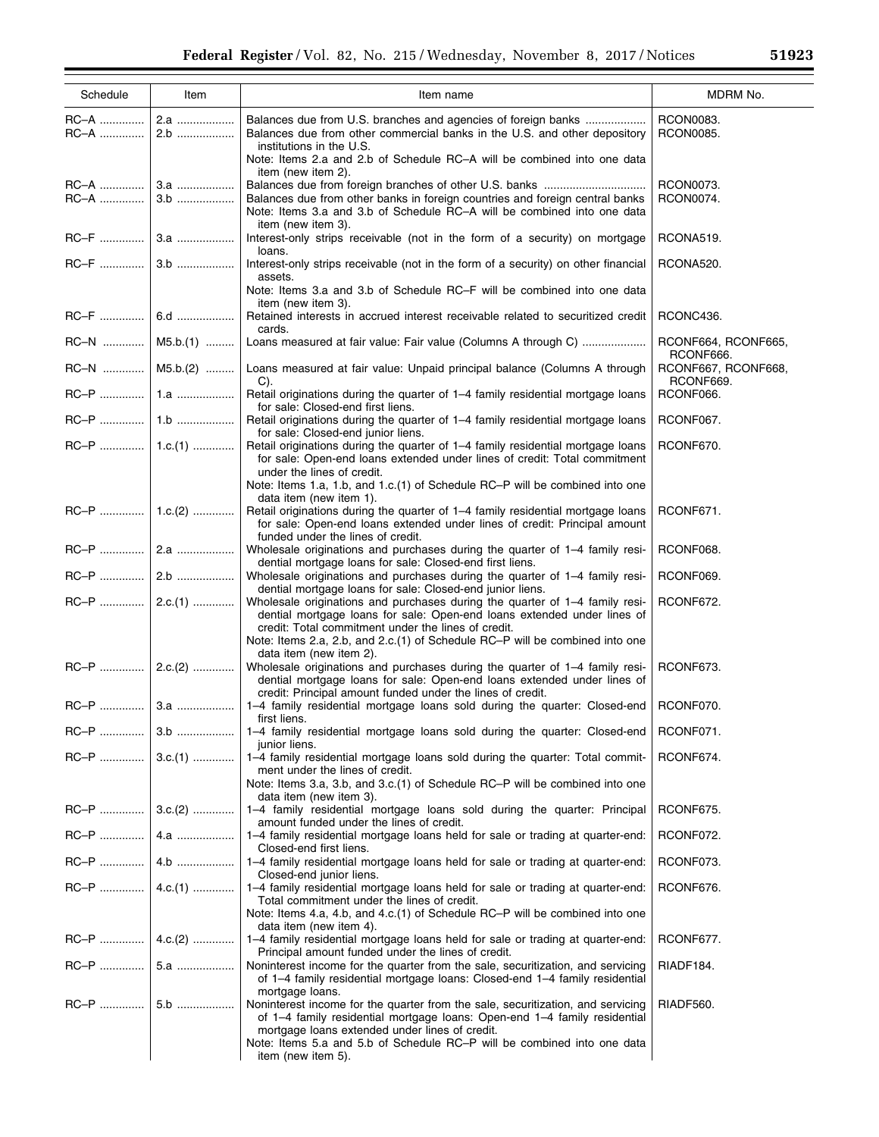| Schedule     | Item              | Item name                                                                                                                                                                                                                                                                                                                                                  | MDRM No.                         |
|--------------|-------------------|------------------------------------------------------------------------------------------------------------------------------------------------------------------------------------------------------------------------------------------------------------------------------------------------------------------------------------------------------------|----------------------------------|
| RC-A<br>RC–A | 2.a<br>2.b        | Balances due from U.S. branches and agencies of foreign banks<br>Balances due from other commercial banks in the U.S. and other depository<br>institutions in the U.S.<br>Note: Items 2.a and 2.b of Schedule RC-A will be combined into one data<br>item (new item 2).                                                                                    | RCON0083.<br>RCON0085.           |
| RC-A         | 3.b               | Balances due from foreign branches of other U.S. banks<br>Balances due from other banks in foreign countries and foreign central banks<br>Note: Items 3.a and 3.b of Schedule RC-A will be combined into one data<br>item (new item 3).                                                                                                                    | RCON0073.<br>RCON0074.           |
|              |                   | Interest-only strips receivable (not in the form of a security) on mortgage<br>loans.                                                                                                                                                                                                                                                                      | RCONA519.                        |
|              |                   | Interest-only strips receivable (not in the form of a security) on other financial<br>assets.                                                                                                                                                                                                                                                              | RCONA520.                        |
|              |                   | Note: Items 3.a and 3.b of Schedule RC-F will be combined into one data<br>item (new item 3).                                                                                                                                                                                                                                                              |                                  |
|              |                   | Retained interests in accrued interest receivable related to securitized credit<br>cards.                                                                                                                                                                                                                                                                  | RCONC436.                        |
|              | $RC-N$   M5.b.(1) | Loans measured at fair value: Fair value (Columns A through C)                                                                                                                                                                                                                                                                                             | RCONF664, RCONF665,<br>RCONF666. |
|              | RC-N    M5.b.(2)  | Loans measured at fair value: Unpaid principal balance (Columns A through<br>C).                                                                                                                                                                                                                                                                           | RCONF667, RCONF668,<br>RCONF669. |
|              |                   | Retail originations during the quarter of 1–4 family residential mortgage loans<br>for sale: Closed-end first liens.                                                                                                                                                                                                                                       | RCONF066.                        |
|              |                   | Retail originations during the quarter of 1-4 family residential mortgage loans<br>for sale: Closed-end junior liens.                                                                                                                                                                                                                                      | RCONF067.                        |
|              |                   | Retail originations during the quarter of 1-4 family residential mortgage loans<br>for sale: Open-end loans extended under lines of credit: Total commitment<br>under the lines of credit.                                                                                                                                                                 | RCONF670.                        |
|              |                   | Note: Items 1.a, 1.b, and 1.c.(1) of Schedule RC-P will be combined into one<br>data item (new item 1).<br>Retail originations during the quarter of 1-4 family residential mortgage loans<br>for sale: Open-end loans extended under lines of credit: Principal amount                                                                                    | RCONF671.                        |
|              |                   | funded under the lines of credit.<br>Wholesale originations and purchases during the quarter of 1-4 family resi-                                                                                                                                                                                                                                           | RCONF068.                        |
|              |                   | dential mortgage loans for sale: Closed-end first liens.<br>Wholesale originations and purchases during the quarter of 1-4 family resi-                                                                                                                                                                                                                    | RCONF069.                        |
|              | $RC-P$   2.c.(1)  | dential mortgage loans for sale: Closed-end junior liens.<br>Wholesale originations and purchases during the quarter of 1-4 family resi-<br>dential mortgage loans for sale: Open-end loans extended under lines of<br>credit: Total commitment under the lines of credit.<br>Note: Items 2.a, 2.b, and 2.c.(1) of Schedule RC-P will be combined into one | RCONF672.                        |
|              | $RC-P$   2.c.(2)  | data item (new item 2).<br>Wholesale originations and purchases during the quarter of 1-4 family resi-<br>dential mortgage loans for sale: Open-end loans extended under lines of                                                                                                                                                                          | RCONF673.                        |
|              |                   | credit: Principal amount funded under the lines of credit.<br>1-4 family residential mortgage loans sold during the quarter: Closed-end                                                                                                                                                                                                                    | RCONF070.                        |
|              |                   | first liens.<br>1-4 family residential mortgage loans sold during the quarter: Closed-end                                                                                                                                                                                                                                                                  | RCONF071.                        |
|              | $RC-P$   3.c.(1)  | junior liens.<br>1-4 family residential mortgage loans sold during the quarter: Total commit-<br>ment under the lines of credit.<br>Note: Items 3.a, 3.b, and 3.c.(1) of Schedule RC-P will be combined into one                                                                                                                                           | RCONF674.                        |
|              | $RC-P$   3.c.(2)  | data item (new item 3).<br>1-4 family residential mortgage loans sold during the quarter: Principal                                                                                                                                                                                                                                                        | RCONF675.                        |
|              |                   | amount funded under the lines of credit.<br>1-4 family residential mortgage loans held for sale or trading at quarter-end:                                                                                                                                                                                                                                 | RCONF072.                        |
|              |                   | Closed-end first liens.<br>1-4 family residential mortgage loans held for sale or trading at quarter-end:                                                                                                                                                                                                                                                  | RCONF073.                        |
|              | $RC-P$   4.c.(1)  | Closed-end junior liens.<br>1-4 family residential mortgage loans held for sale or trading at quarter-end:                                                                                                                                                                                                                                                 | RCONF676.                        |
|              |                   | Total commitment under the lines of credit.<br>Note: Items 4.a, 4.b, and 4.c.(1) of Schedule RC-P will be combined into one                                                                                                                                                                                                                                |                                  |
|              | $RC-P$   4.c.(2)  | data item (new item 4).<br>1-4 family residential mortgage loans held for sale or trading at quarter-end:<br>Principal amount funded under the lines of credit.                                                                                                                                                                                            | RCONF677.                        |
|              |                   | Noninterest income for the quarter from the sale, securitization, and servicing<br>of 1–4 family residential mortgage loans: Closed-end 1–4 family residential                                                                                                                                                                                             | RIADF184.                        |
|              |                   | mortgage loans.<br>Noninterest income for the quarter from the sale, securitization, and servicing<br>of 1-4 family residential mortgage loans: Open-end 1-4 family residential<br>mortgage loans extended under lines of credit.<br>Note: Items 5.a and 5.b of Schedule RC-P will be combined into one data<br>item (new item 5).                         | RIADF560.                        |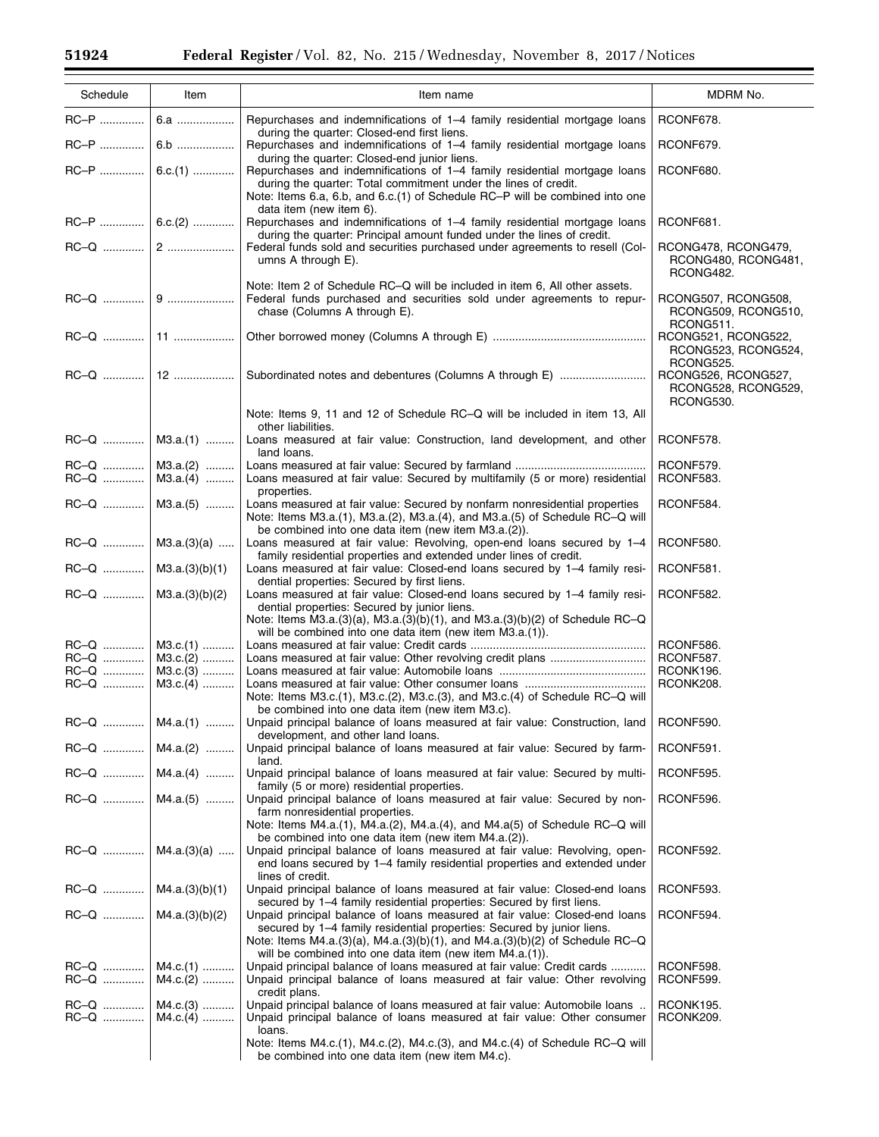$\equiv$ 

| Schedule                | Item                                   | Item name                                                                                                                                                                                                                                                                                                   | MDRM No.                                                |
|-------------------------|----------------------------------------|-------------------------------------------------------------------------------------------------------------------------------------------------------------------------------------------------------------------------------------------------------------------------------------------------------------|---------------------------------------------------------|
| RC-P                    | 6.a                                    | Repurchases and indemnifications of 1–4 family residential mortgage loans                                                                                                                                                                                                                                   | RCONF678.                                               |
| RC-P                    | $6.b$                                  | during the quarter: Closed-end first liens.<br>Repurchases and indemnifications of 1-4 family residential mortgage loans                                                                                                                                                                                    | RCONF679.                                               |
|                         | $RC-P$   6.c.(1)                       | during the quarter: Closed-end junior liens.<br>Repurchases and indemnifications of 1–4 family residential mortgage loans<br>during the quarter: Total commitment under the lines of credit.<br>Note: Items 6.a, 6.b, and 6.c.(1) of Schedule RC-P will be combined into one                                | RCONF680.                                               |
|                         | $RC-P$   6.c.(2)                       | data item (new item 6).<br>Repurchases and indemnifications of 1–4 family residential mortgage loans<br>during the quarter: Principal amount funded under the lines of credit.                                                                                                                              | RCONF681.                                               |
|                         |                                        | Federal funds sold and securities purchased under agreements to resell (Col-<br>umns A through E).                                                                                                                                                                                                          | RCONG478, RCONG479,<br>RCONG480, RCONG481,<br>RCONG482. |
|                         |                                        | Note: Item 2 of Schedule RC-Q will be included in item 6, All other assets.<br>Federal funds purchased and securities sold under agreements to repur-<br>chase (Columns A through E).                                                                                                                       | RCONG507, RCONG508,<br>RCONG509, RCONG510,<br>RCONG511. |
|                         |                                        |                                                                                                                                                                                                                                                                                                             | RCONG521, RCONG522,<br>RCONG523, RCONG524,<br>RCONG525. |
|                         |                                        | Note: Items 9, 11 and 12 of Schedule RC-Q will be included in item 13, All                                                                                                                                                                                                                                  | RCONG526, RCONG527,<br>RCONG528, RCONG529,<br>RCONG530. |
|                         | $RC-Q$   M3.a.(1)                      | other liabilities.<br>Loans measured at fair value: Construction, land development, and other                                                                                                                                                                                                               | RCONF578.                                               |
| RC-Q                    | $M3.a.(2)$<br>$RC-Q$   M3.a.(4)        | land loans.<br>Loans measured at fair value: Secured by multifamily (5 or more) residential<br>properties.                                                                                                                                                                                                  | RCONF579.<br>RCONF583.                                  |
|                         | $RC-Q$   M3.a.(5)                      | Loans measured at fair value: Secured by nonfarm nonresidential properties<br>Note: Items M3.a.(1), M3.a.(2), M3.a.(4), and M3.a.(5) of Schedule RC-Q will                                                                                                                                                  | RCONF584.                                               |
|                         | $RC-Q$   M3.a.(3)(a)                   | be combined into one data item (new item M3.a.(2)).<br>Loans measured at fair value: Revolving, open-end loans secured by 1-4<br>family residential properties and extended under lines of credit.                                                                                                          | RCONF580.                                               |
| $RC-Q$   M3.a.(3)(b)(1) |                                        | Loans measured at fair value: Closed-end loans secured by 1–4 family resi-<br>dential properties: Secured by first liens.                                                                                                                                                                                   | RCONF581.                                               |
| $RC-Q$   M3.a.(3)(b)(2) |                                        | Loans measured at fair value: Closed-end loans secured by 1-4 family resi-<br>dential properties: Secured by junior liens.<br>Note: Items M3.a.(3)(a), M3.a.(3)(b)(1), and M3.a.(3)(b)(2) of Schedule RC-Q                                                                                                  | RCONF582.                                               |
|                         | $RC-Q$   M3.c.(1)                      | will be combined into one data item (new item M3.a.(1)).                                                                                                                                                                                                                                                    | RCONF586.                                               |
| RC-Q                    | M3.c.(2)                               |                                                                                                                                                                                                                                                                                                             | RCONF587.                                               |
| RC-Q                    | $M3.c.(3)$                             |                                                                                                                                                                                                                                                                                                             | RCONK196.                                               |
| RC-Q                    | $M3.c.(4)$                             | Note: Items M3.c.(1), M3.c.(2), M3.c.(3), and M3.c.(4) of Schedule RC-Q will<br>be combined into one data item (new item M3.c).                                                                                                                                                                             | RCONK208.                                               |
|                         | $RC-Q$   M4.a.(1)                      | Unpaid principal balance of loans measured at fair value: Construction, land   RCONF590.<br>development, and other land loans.                                                                                                                                                                              |                                                         |
|                         | $RC-Q$   M4.a.(2)                      | Unpaid principal balance of loans measured at fair value: Secured by farm-<br>land.                                                                                                                                                                                                                         | RCONF591.                                               |
|                         | RC-Q    M4.a.(4)                       | Unpaid principal balance of loans measured at fair value: Secured by multi-<br>family (5 or more) residential properties.                                                                                                                                                                                   | RCONF595.                                               |
|                         | $RC-Q$   M4.a.(5)                      | Unpaid principal balance of loans measured at fair value: Secured by non-<br>farm nonresidential properties.<br>Note: Items $M4.a.(1)$ , $M4.a.(2)$ , $M4.a.(4)$ , and $M4.a(5)$ of Schedule RC-Q will<br>be combined into one data item (new item M4.a.(2)).                                               | RCONF596.                                               |
|                         | $RC-Q$   M4.a.(3)(a)                   | Unpaid principal balance of loans measured at fair value: Revolving, open-<br>end loans secured by 1-4 family residential properties and extended under                                                                                                                                                     | RCONF592.                                               |
| $RC-Q$   M4.a.(3)(b)(1) |                                        | lines of credit.<br>Unpaid principal balance of loans measured at fair value: Closed-end loans<br>secured by 1-4 family residential properties: Secured by first liens.                                                                                                                                     | RCONF593.                                               |
| $RC-Q$   M4.a.(3)(b)(2) |                                        | Unpaid principal balance of loans measured at fair value: Closed-end loans<br>secured by 1–4 family residential properties: Secured by junior liens.<br>Note: Items M4.a. $(3)(a)$ , M4.a. $(3)(b)(1)$ , and M4.a. $(3)(b)(2)$ of Schedule RC-Q<br>will be combined into one data item (new item M4.a.(1)). | RCONF594.                                               |
|                         | $RC-Q$   M4.c.(1)<br>RC-Q    M4.c.(2)  | Unpaid principal balance of loans measured at fair value: Credit cards<br>Unpaid principal balance of loans measured at fair value: Other revolving<br>credit plans.                                                                                                                                        | RCONF598.<br>RCONF599.                                  |
|                         | $RC-Q$   M4.c.(3)<br>$RC-Q$   M4.c.(4) | Unpaid principal balance of loans measured at fair value: Automobile loans<br>Unpaid principal balance of loans measured at fair value: Other consumer<br>loans.                                                                                                                                            | RCONK195.<br>RCONK209.                                  |
|                         |                                        | Note: Items M4.c.(1), M4.c.(2), M4.c.(3), and M4.c.(4) of Schedule RC-Q will<br>be combined into one data item (new item M4.c).                                                                                                                                                                             |                                                         |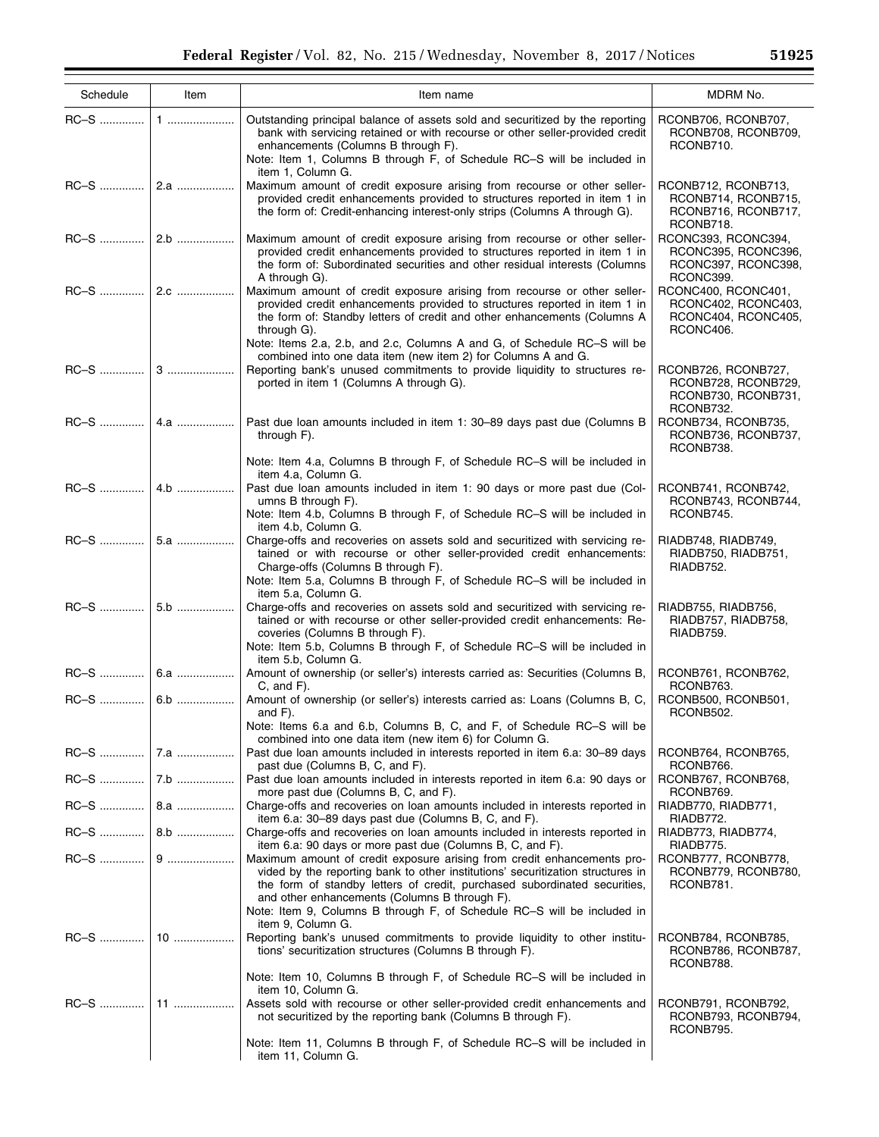÷

| Schedule | Item | Item name                                                                                                                                                                                                                                                                                                                                                                     | MDRM No.                                                                       |
|----------|------|-------------------------------------------------------------------------------------------------------------------------------------------------------------------------------------------------------------------------------------------------------------------------------------------------------------------------------------------------------------------------------|--------------------------------------------------------------------------------|
|          |      | Outstanding principal balance of assets sold and securitized by the reporting<br>bank with servicing retained or with recourse or other seller-provided credit<br>enhancements (Columns B through F).<br>Note: Item 1, Columns B through F, of Schedule RC-S will be included in<br>item 1, Column G.                                                                         | RCONB706, RCONB707,<br>RCONB708, RCONB709,<br>RCONB710.                        |
|          |      | Maximum amount of credit exposure arising from recourse or other seller-<br>provided credit enhancements provided to structures reported in item 1 in<br>the form of: Credit-enhancing interest-only strips (Columns A through G).                                                                                                                                            | RCONB712, RCONB713,<br>RCONB714, RCONB715,<br>RCONB716, RCONB717,<br>RCONB718. |
|          |      | Maximum amount of credit exposure arising from recourse or other seller-<br>provided credit enhancements provided to structures reported in item 1 in<br>the form of: Subordinated securities and other residual interests (Columns<br>A through G).                                                                                                                          | RCONC393, RCONC394,<br>RCONC395, RCONC396,<br>RCONC397, RCONC398,<br>RCONC399. |
|          |      | Maximum amount of credit exposure arising from recourse or other seller-<br>provided credit enhancements provided to structures reported in item 1 in<br>the form of: Standby letters of credit and other enhancements (Columns A<br>through G).<br>Note: Items 2.a, 2.b, and 2.c, Columns A and G, of Schedule RC-S will be                                                  | RCONC400, RCONC401,<br>RCONC402, RCONC403,<br>RCONC404, RCONC405,<br>RCONC406. |
|          |      | combined into one data item (new item 2) for Columns A and G.<br>Reporting bank's unused commitments to provide liquidity to structures re-<br>ported in item 1 (Columns A through G).                                                                                                                                                                                        | RCONB726, RCONB727,<br>RCONB728, RCONB729,<br>RCONB730, RCONB731,<br>RCONB732. |
|          |      | Past due loan amounts included in item 1: 30-89 days past due (Columns B<br>through F).                                                                                                                                                                                                                                                                                       | RCONB734, RCONB735,<br>RCONB736, RCONB737,<br>RCONB738.                        |
|          |      | Note: Item 4.a, Columns B through F, of Schedule RC-S will be included in<br>item 4.a, Column G.<br>Past due loan amounts included in item 1: 90 days or more past due (Col-<br>umns B through F).<br>Note: Item 4.b, Columns B through F, of Schedule RC-S will be included in                                                                                               | RCONB741, RCONB742,<br>RCONB743, RCONB744,<br>RCONB745.                        |
|          |      | item 4.b, Column G.<br>Charge-offs and recoveries on assets sold and securitized with servicing re-<br>tained or with recourse or other seller-provided credit enhancements:<br>Charge-offs (Columns B through F).                                                                                                                                                            | RIADB748, RIADB749,<br>RIADB750, RIADB751,<br>RIADB752.                        |
|          |      | Note: Item 5.a, Columns B through F, of Schedule RC-S will be included in<br>item 5.a, Column G.<br>Charge-offs and recoveries on assets sold and securitized with servicing re-<br>tained or with recourse or other seller-provided credit enhancements: Re-<br>coveries (Columns B through F).<br>Note: Item 5.b, Columns B through F, of Schedule RC-S will be included in | RIADB755, RIADB756,<br>RIADB757, RIADB758,<br>RIADB759.                        |
|          |      | item 5.b. Column G.<br>Amount of ownership (or seller's) interests carried as: Securities (Columns B,<br>$C$ , and $F$ ).                                                                                                                                                                                                                                                     | RCONB761, RCONB762,<br>RCONB763.                                               |
|          |      | Amount of ownership (or seller's) interests carried as: Loans (Columns B, C,<br>and $F$ ).                                                                                                                                                                                                                                                                                    | RCONB500, RCONB501,<br>RCONB502.                                               |
|          |      | Note: Items 6.a and 6.b, Columns B, C, and F, of Schedule RC-S will be<br>combined into one data item (new item 6) for Column G.<br>Past due loan amounts included in interests reported in item 6.a: 30–89 days                                                                                                                                                              | RCONB764, RCONB765,                                                            |
|          |      | past due (Columns B, C, and F).<br>Past due loan amounts included in interests reported in item 6.a: 90 days or<br>more past due (Columns B, C, and F).                                                                                                                                                                                                                       | RCONB766.<br>RCONB767, RCONB768,<br>RCONB769.                                  |
|          |      | Charge-offs and recoveries on loan amounts included in interests reported in<br>item 6.a: 30–89 days past due (Columns B, C, and F).                                                                                                                                                                                                                                          | RIADB770, RIADB771,<br>RIADB772.                                               |
|          |      | Charge-offs and recoveries on loan amounts included in interests reported in<br>item 6.a: 90 days or more past due (Columns B, C, and F).                                                                                                                                                                                                                                     | RIADB773, RIADB774,<br>RIADB775.                                               |
|          |      | Maximum amount of credit exposure arising from credit enhancements pro-<br>vided by the reporting bank to other institutions' securitization structures in<br>the form of standby letters of credit, purchased subordinated securities,<br>and other enhancements (Columns B through F).<br>Note: Item 9, Columns B through F, of Schedule RC–S will be included in           | RCONB777, RCONB778,<br>RCONB779, RCONB780,<br>RCONB781.                        |
|          |      | item 9, Column G.<br>Reporting bank's unused commitments to provide liquidity to other institu-<br>tions' securitization structures (Columns B through F).                                                                                                                                                                                                                    | RCONB784, RCONB785,<br>RCONB786, RCONB787,<br>RCONB788.                        |
|          |      | Note: Item 10, Columns B through F, of Schedule RC-S will be included in<br>item 10, Column G.                                                                                                                                                                                                                                                                                |                                                                                |
|          |      | Assets sold with recourse or other seller-provided credit enhancements and<br>not securitized by the reporting bank (Columns B through F).                                                                                                                                                                                                                                    | RCONB791, RCONB792,<br>RCONB793, RCONB794,<br>RCONB795.                        |
|          |      | Note: Item 11, Columns B through F, of Schedule RC-S will be included in<br>item 11, Column G.                                                                                                                                                                                                                                                                                |                                                                                |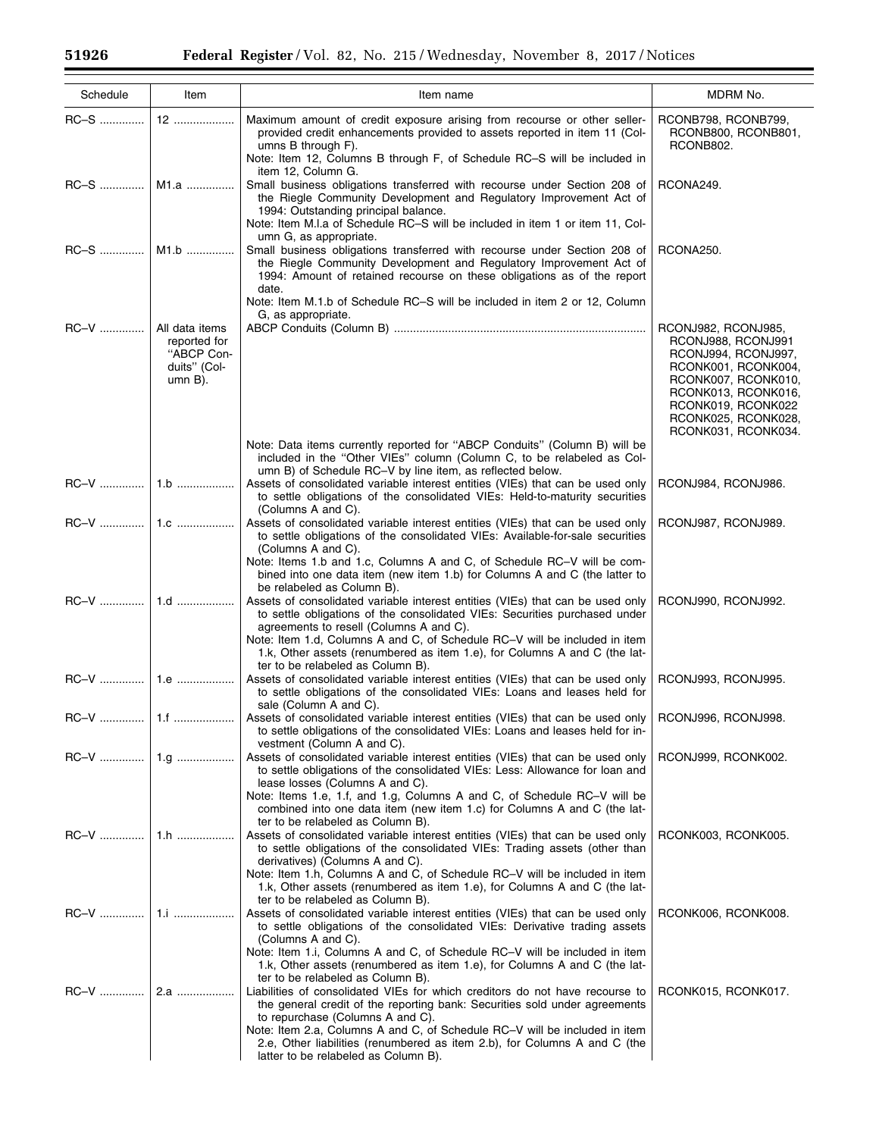$\equiv$ 

Ξ

| Schedule | Item                                                                       | Item name                                                                                                                                                                                                                                                                                                                                                                                                                                                                      | MDRM No.                                                                                                                                                                                                  |
|----------|----------------------------------------------------------------------------|--------------------------------------------------------------------------------------------------------------------------------------------------------------------------------------------------------------------------------------------------------------------------------------------------------------------------------------------------------------------------------------------------------------------------------------------------------------------------------|-----------------------------------------------------------------------------------------------------------------------------------------------------------------------------------------------------------|
| RC-S     | 12                                                                         | Maximum amount of credit exposure arising from recourse or other seller-<br>provided credit enhancements provided to assets reported in item 11 (Col-<br>umns B through F).<br>Note: Item 12, Columns B through F, of Schedule RC-S will be included in                                                                                                                                                                                                                        | RCONB798, RCONB799,<br>RCONB800, RCONB801,<br>RCONB802.                                                                                                                                                   |
|          | RC-S    M1.a                                                               | item 12, Column G.<br>Small business obligations transferred with recourse under Section 208 of<br>the Riegle Community Development and Regulatory Improvement Act of<br>1994: Outstanding principal balance.<br>Note: Item M.I.a of Schedule RC-S will be included in item 1 or item 11, Col-                                                                                                                                                                                 | RCONA249.                                                                                                                                                                                                 |
| RC-S     | M1.b                                                                       | umn G, as appropriate.<br>Small business obligations transferred with recourse under Section 208 of<br>the Riegle Community Development and Regulatory Improvement Act of<br>1994: Amount of retained recourse on these obligations as of the report<br>date.                                                                                                                                                                                                                  | RCONA250.                                                                                                                                                                                                 |
| RC-V     | All data items<br>reported for<br>"ABCP Con-<br>duits" (Col-<br>$umn B$ ). | Note: Item M.1.b of Schedule RC-S will be included in item 2 or 12, Column<br>G, as appropriate.                                                                                                                                                                                                                                                                                                                                                                               | RCONJ982, RCONJ985,<br>RCONJ988, RCONJ991<br>RCONJ994, RCONJ997,<br>RCONK001, RCONK004,<br>RCONK007, RCONK010,<br>RCONK013, RCONK016,<br>RCONK019, RCONK022<br>RCONK025, RCONK028,<br>RCONK031, RCONK034. |
|          |                                                                            | Note: Data items currently reported for "ABCP Conduits" (Column B) will be<br>included in the "Other VIEs" column (Column C, to be relabeled as Col-<br>umn B) of Schedule RC-V by line item, as reflected below.<br>Assets of consolidated variable interest entities (VIEs) that can be used only<br>to settle obligations of the consolidated VIEs: Held-to-maturity securities                                                                                             | RCONJ984, RCONJ986.                                                                                                                                                                                       |
| RC-V     | 1.c                                                                        | (Columns A and C).<br>Assets of consolidated variable interest entities (VIEs) that can be used only<br>to settle obligations of the consolidated VIEs: Available-for-sale securities<br>(Columns A and C).<br>Note: Items 1.b and 1.c, Columns A and C, of Schedule RC-V will be com-                                                                                                                                                                                         | RCONJ987, RCONJ989.                                                                                                                                                                                       |
|          |                                                                            | bined into one data item (new item 1.b) for Columns A and C (the latter to<br>be relabeled as Column B).<br>Assets of consolidated variable interest entities (VIEs) that can be used only<br>to settle obligations of the consolidated VIEs: Securities purchased under<br>agreements to resell (Columns A and C).<br>Note: Item 1.d, Columns A and C, of Schedule RC-V will be included in item<br>1.k, Other assets (renumbered as item 1.e), for Columns A and C (the lat- | RCONJ990, RCONJ992.                                                                                                                                                                                       |
| RC-V     |                                                                            | ter to be relabeled as Column B).<br>Assets of consolidated variable interest entities (VIEs) that can be used only<br>to settle obligations of the consolidated VIEs: Loans and leases held for                                                                                                                                                                                                                                                                               | RCONJ993, RCONJ995.                                                                                                                                                                                       |
|          |                                                                            | sale (Column A and C).<br>Assets of consolidated variable interest entities (VIEs) that can be used only<br>to settle obligations of the consolidated VIEs: Loans and leases held for in-<br>vestment (Column A and C).                                                                                                                                                                                                                                                        | RCONJ996, RCONJ998.                                                                                                                                                                                       |
|          | 1.g                                                                        | Assets of consolidated variable interest entities (VIEs) that can be used only<br>to settle obligations of the consolidated VIEs: Less: Allowance for loan and<br>lease losses (Columns A and C).<br>Note: Items 1.e, 1.f, and 1.g, Columns A and C, of Schedule RC-V will be<br>combined into one data item (new item 1.c) for Columns A and C (the lat-<br>ter to be relabeled as Column B).                                                                                 | RCONJ999, RCONK002.                                                                                                                                                                                       |
| RC-V     | 1.h                                                                        | Assets of consolidated variable interest entities (VIEs) that can be used only<br>to settle obligations of the consolidated VIEs: Trading assets (other than<br>derivatives) (Columns A and C).<br>Note: Item 1.h, Columns A and C, of Schedule RC-V will be included in item<br>1.k, Other assets (renumbered as item 1.e), for Columns A and C (the lat-                                                                                                                     | RCONK003, RCONK005.                                                                                                                                                                                       |
| $RC-V$   | <u>1.i </u>                                                                | ter to be relabeled as Column B).<br>Assets of consolidated variable interest entities (VIEs) that can be used only<br>to settle obligations of the consolidated VIEs: Derivative trading assets<br>(Columns A and C).<br>Note: Item 1.i, Columns A and C, of Schedule RC-V will be included in item<br>1.k, Other assets (renumbered as item 1.e), for Columns A and C (the lat-                                                                                              | RCONK006, RCONK008.                                                                                                                                                                                       |
|          | 2.a                                                                        | ter to be relabeled as Column B).<br>Liabilities of consolidated VIEs for which creditors do not have recourse to<br>the general credit of the reporting bank: Securities sold under agreements<br>to repurchase (Columns A and C).<br>Note: Item 2.a, Columns A and C, of Schedule RC-V will be included in item<br>2.e, Other liabilities (renumbered as item 2.b), for Columns A and C (the<br>latter to be relabeled as Column B).                                         | RCONK015, RCONK017.                                                                                                                                                                                       |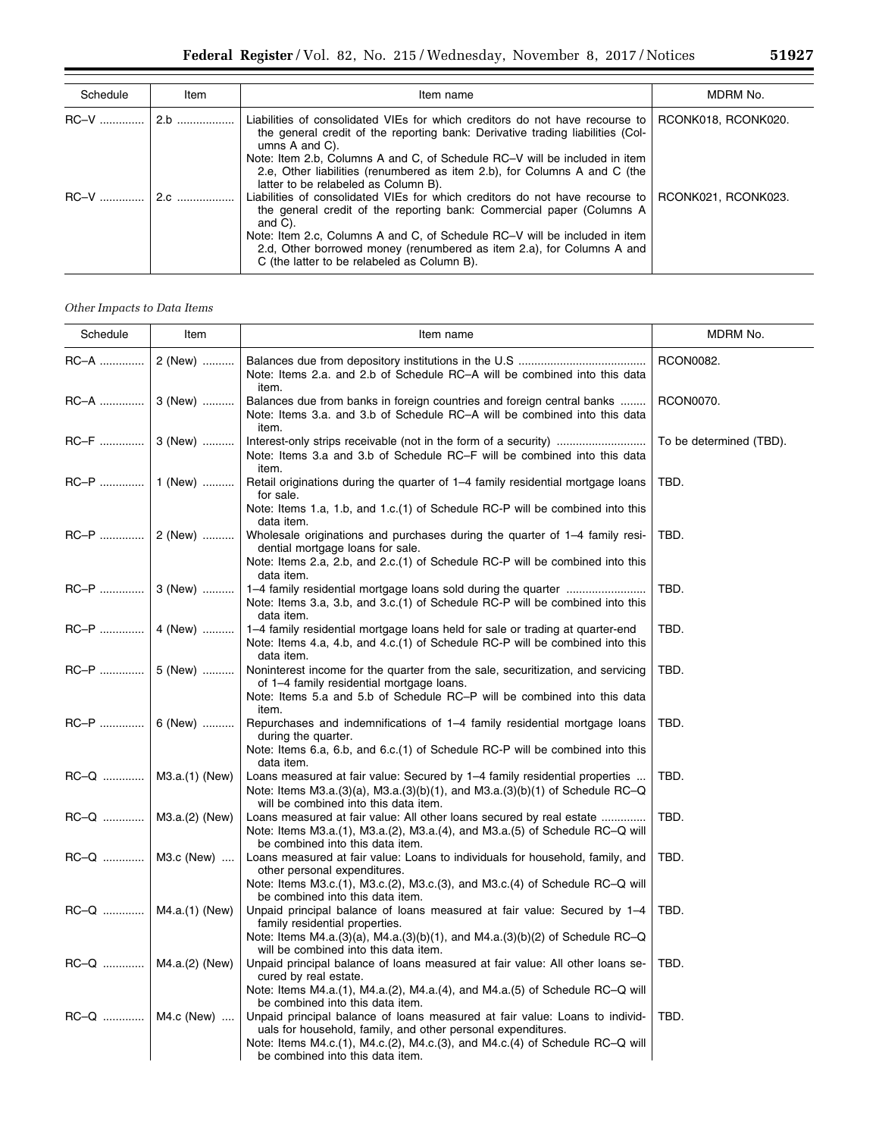| Schedule    | Item | Item name                                                                                                                                                                                                                                                                                                                                                                                | MDRM No.            |
|-------------|------|------------------------------------------------------------------------------------------------------------------------------------------------------------------------------------------------------------------------------------------------------------------------------------------------------------------------------------------------------------------------------------------|---------------------|
| $RC-V$      |      | Liabilities of consolidated VIEs for which creditors do not have recourse to<br>the general credit of the reporting bank: Derivative trading liabilities (Col-<br>umns $A$ and $C$ ).<br>Note: Item 2.b, Columns A and C, of Schedule RC–V will be included in item<br>2.e, Other liabilities (renumbered as item 2.b), for Columns A and C (the<br>latter to be relabeled as Column B). | RCONK018, RCONK020. |
| $RC-V$ $20$ |      | Liabilities of consolidated VIEs for which creditors do not have recourse to<br>the general credit of the reporting bank: Commercial paper (Columns A)<br>and $C$ ).<br>Note: Item 2.c, Columns A and C, of Schedule RC-V will be included in item<br>2.d, Other borrowed money (renumbered as item 2.a), for Columns A and<br>C (the latter to be relabeled as Column B).               | RCONK021, RCONK023. |

# *Other Impacts to Data Items*

| Schedule                | Item                    | Item name                                                                                                                                                                                                                              | MDRM No.                |
|-------------------------|-------------------------|----------------------------------------------------------------------------------------------------------------------------------------------------------------------------------------------------------------------------------------|-------------------------|
| RC-A                    | 2 (New)                 | Note: Items 2.a. and 2.b of Schedule RC-A will be combined into this data<br>item.                                                                                                                                                     | RCON0082.               |
|                         | RC-A    3 (New)         | Balances due from banks in foreign countries and foreign central banks<br>Note: Items 3.a. and 3.b of Schedule RC-A will be combined into this data<br>item.                                                                           | RCON0070.               |
| RC–F ……………              | 3 (New)                 | Note: Items 3.a and 3.b of Schedule RC–F will be combined into this data<br>item.                                                                                                                                                      | To be determined (TBD). |
|                         | RC-P    1 (New)         | Retail originations during the quarter of 1–4 family residential mortgage loans<br>for sale.                                                                                                                                           | TBD.                    |
|                         |                         | Note: Items 1.a, 1.b, and 1.c.(1) of Schedule RC-P will be combined into this<br>data item.                                                                                                                                            |                         |
|                         |                         | Wholesale originations and purchases during the quarter of 1–4 family resi-<br>dential mortgage loans for sale.<br>Note: Items 2.a, 2.b, and 2.c.(1) of Schedule RC-P will be combined into this                                       | TBD.                    |
|                         |                         | data item.                                                                                                                                                                                                                             |                         |
|                         | RC-P  3 (New)           | Note: Items 3.a, 3.b, and 3.c. (1) of Schedule RC-P will be combined into this<br>data item.                                                                                                                                           | TBD.                    |
|                         | RC-P    4 (New)         | 1–4 family residential mortgage loans held for sale or trading at quarter-end<br>Note: Items 4.a, 4.b, and 4.c. (1) of Schedule RC-P will be combined into this<br>data item.                                                          | TBD.                    |
|                         | RC-P    5 (New)         | Noninterest income for the quarter from the sale, securitization, and servicing<br>of 1-4 family residential mortgage loans.                                                                                                           | TBD.                    |
|                         |                         | Note: Items 5.a and 5.b of Schedule RC-P will be combined into this data<br>item.                                                                                                                                                      |                         |
|                         | RC-P    6 (New)         | Repurchases and indemnifications of 1–4 family residential mortgage loans<br>during the quarter.<br>Note: Items 6.a, 6.b, and 6.c. (1) of Schedule RC-P will be combined into this                                                     | TBD.                    |
|                         |                         | data item.                                                                                                                                                                                                                             |                         |
| $RC-Q$   M3.a.(1) (New) |                         | Loans measured at fair value: Secured by 1–4 family residential properties<br>Note: Items M3.a. $(3)(a)$ , M3.a. $(3)(b)(1)$ , and M3.a. $(3)(b)(1)$ of Schedule RC-Q<br>will be combined into this data item.                         | TBD.                    |
|                         | RC-Q    M3.a.(2) (New)  | Loans measured at fair value: All other loans secured by real estate<br>Note: Items $M3.a.(1)$ , $M3.a.(2)$ , $M3.a.(4)$ , and $M3.a.(5)$ of Schedule RC-Q will                                                                        | TBD.                    |
|                         | RC-Q    M3.c (New)      | be combined into this data item.<br>Loans measured at fair value: Loans to individuals for household, family, and<br>other personal expenditures.                                                                                      | TBD.                    |
|                         |                         | Note: Items M3.c.(1), M3.c.(2), M3.c.(3), and M3.c.(4) of Schedule RC-Q will<br>be combined into this data item.                                                                                                                       |                         |
|                         | $RC-Q$   M4.a.(1) (New) | Unpaid principal balance of loans measured at fair value: Secured by 1-4<br>family residential properties.                                                                                                                             | TBD.                    |
|                         |                         | Note: Items M4.a. $(3)(a)$ , M4.a. $(3)(b)(1)$ , and M4.a. $(3)(b)(2)$ of Schedule RC-Q<br>will be combined into this data item.                                                                                                       |                         |
| $RC-Q$   M4.a.(2) (New) |                         | Unpaid principal balance of loans measured at fair value: All other loans se-<br>cured by real estate.                                                                                                                                 | TBD.                    |
|                         |                         | Note: Items $M4.a.(1)$ , $M4.a.(2)$ , $M4.a.(4)$ , and $M4.a.(5)$ of Schedule RC-Q will<br>be combined into this data item.                                                                                                            |                         |
|                         | RC-Q    M4.c (New)      | Unpaid principal balance of loans measured at fair value: Loans to individ-<br>uals for household, family, and other personal expenditures.<br>Note: Items $M4.c.(1)$ , $M4.c.(2)$ , $M4.c.(3)$ , and $M4.c.(4)$ of Schedule RC-Q will | TBD.                    |
|                         |                         | be combined into this data item.                                                                                                                                                                                                       |                         |

÷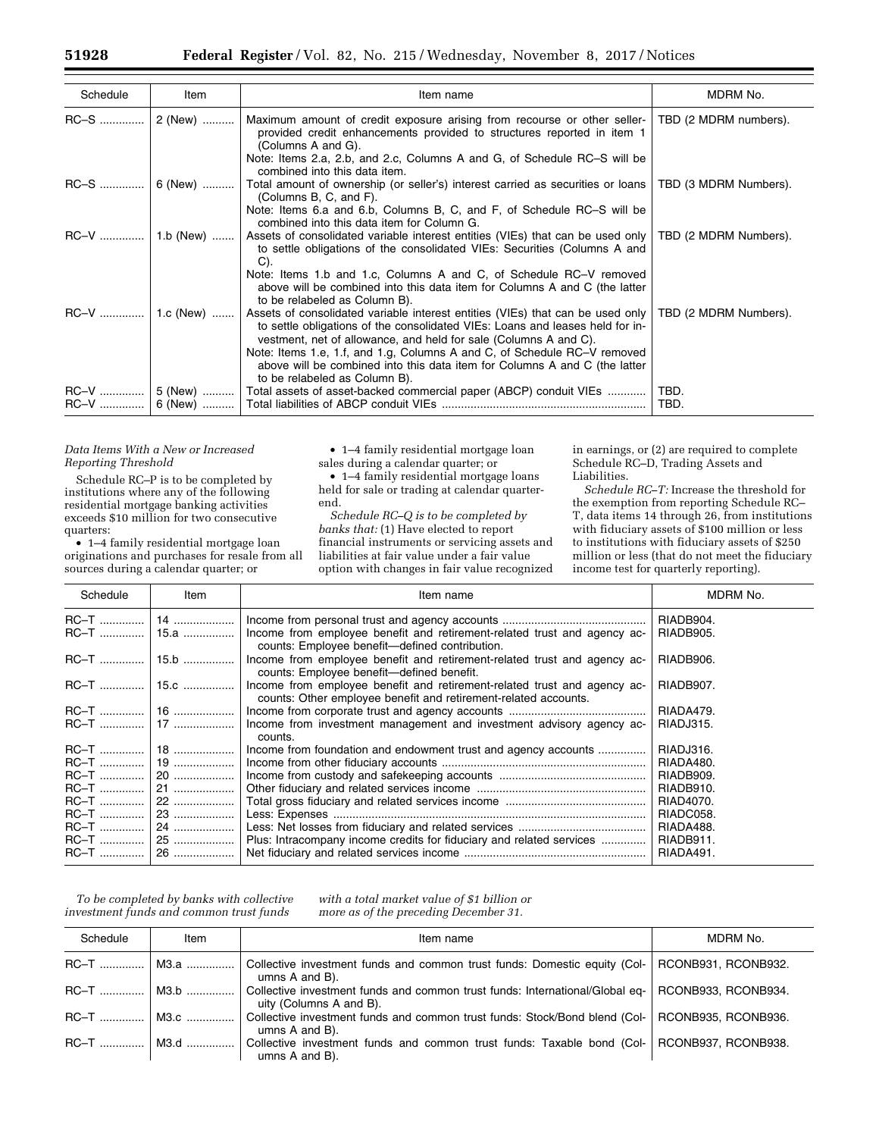| Schedule | Item | Item name                                                                                                                                                                                                                                                                                                                                                                                                                      | MDRM No.              |
|----------|------|--------------------------------------------------------------------------------------------------------------------------------------------------------------------------------------------------------------------------------------------------------------------------------------------------------------------------------------------------------------------------------------------------------------------------------|-----------------------|
|          |      | Maximum amount of credit exposure arising from recourse or other seller-<br>provided credit enhancements provided to structures reported in item 1<br>(Columns A and G).<br>Note: Items 2.a, 2.b, and 2.c, Columns A and G, of Schedule RC–S will be                                                                                                                                                                           | TBD (2 MDRM numbers). |
|          |      | combined into this data item.                                                                                                                                                                                                                                                                                                                                                                                                  |                       |
|          |      | RC-S  6 (New)  Total amount of ownership (or seller's) interest carried as securities or loans<br>(Columns B, C, and F).                                                                                                                                                                                                                                                                                                       | TBD (3 MDRM Numbers). |
|          |      | Note: Items 6.a and 6.b, Columns B, C, and F, of Schedule RC–S will be<br>combined into this data item for Column G.                                                                                                                                                                                                                                                                                                           |                       |
|          |      | Assets of consolidated variable interest entities (VIEs) that can be used only<br>to settle obligations of the consolidated VIEs: Securities (Columns A and<br>$C$ ).                                                                                                                                                                                                                                                          | TBD (2 MDRM Numbers). |
|          |      | Note: Items 1.b and 1.c, Columns A and C, of Schedule RC-V removed<br>above will be combined into this data item for Columns A and C (the latter<br>to be relabeled as Column B).                                                                                                                                                                                                                                              |                       |
|          |      | Assets of consolidated variable interest entities (VIEs) that can be used only<br>to settle obligations of the consolidated VIEs: Loans and leases held for in-<br>vestment, net of allowance, and held for sale (Columns A and C).<br>Note: Items 1.e, 1.f, and 1.g, Columns A and C, of Schedule RC-V removed<br>above will be combined into this data item for Columns A and C (the latter<br>to be relabeled as Column B). | TBD (2 MDRM Numbers). |
|          |      | RC-V  5 (New)  Total assets of asset-backed commercial paper (ABCP) conduit VIEs                                                                                                                                                                                                                                                                                                                                               | TBD.<br>TBD.          |

## *Data Items With a New or Increased Reporting Threshold*

Schedule RC–P is to be completed by institutions where any of the following residential mortgage banking activities exceeds \$10 million for two consecutive quarters:

• 1–4 family residential mortgage loan originations and purchases for resale from all sources during a calendar quarter; or

• 1–4 family residential mortgage loan sales during a calendar quarter; or

• 1–4 family residential mortgage loans held for sale or trading at calendar quarterend.

*Schedule RC–Q is to be completed by banks that:* (1) Have elected to report financial instruments or servicing assets and liabilities at fair value under a fair value option with changes in fair value recognized

in earnings, or (2) are required to complete Schedule RC–D, Trading Assets and Liabilities.

*Schedule RC–T:* Increase the threshold for the exemption from reporting Schedule RC– T, data items 14 through 26, from institutions with fiduciary assets of \$100 million or less to institutions with fiduciary assets of \$250 million or less (that do not meet the fiduciary income test for quarterly reporting).

| Schedule    | Item   | Item name                                                                                                                                   | MDRM No.  |
|-------------|--------|---------------------------------------------------------------------------------------------------------------------------------------------|-----------|
|             |        |                                                                                                                                             | RIADB904. |
| <b>RC-T</b> | , 15.a | Income from employee benefit and retirement-related trust and agency ac-<br>counts: Employee benefit-defined contribution.                  | RIADB905. |
| RC-T        | l 15.b | Income from employee benefit and retirement-related trust and agency ac-<br>counts: Employee benefit—defined benefit.                       | RIADB906. |
|             |        | Income from employee benefit and retirement-related trust and agency ac-<br>counts: Other employee benefit and retirement-related accounts. | RIADB907. |
|             |        |                                                                                                                                             | RIADA479. |
|             |        | Income from investment management and investment advisory agency ac-<br>counts.                                                             | RIADJ315. |
|             |        | Income from foundation and endowment trust and agency accounts                                                                              | RIADJ316. |
| <b>RC-T</b> | 19     |                                                                                                                                             | RIADA480. |
| <b>RC-T</b> | 20     |                                                                                                                                             | RIADB909. |
|             | 21     |                                                                                                                                             | RIADB910. |
| <b>RC-T</b> | 22     |                                                                                                                                             | RIAD4070. |
|             | 23     |                                                                                                                                             | RIADC058. |
| RC-T        | 24     |                                                                                                                                             | RIADA488. |
|             | 25     | Plus: Intracompany income credits for fiduciary and related services                                                                        | RIADB911. |
|             |        |                                                                                                                                             | RIADA491. |

*To be completed by banks with collective investment funds and common trust funds* 

*with a total market value of \$1 billion or more as of the preceding December 31.* 

| Schedule      | Item | Item name                                                                                                                     | MDRM No. |
|---------------|------|-------------------------------------------------------------------------------------------------------------------------------|----------|
| RC-T    M3.a  |      | Collective investment funds and common trust funds: Domestic equity (Col-   RCONB931, RCONB932.<br>umns $A$ and $B$ ).        |          |
| $RC-T$   M3.b |      | Collective investment funds and common trust funds: International/Global eq-   RCONB933, RCONB934.<br>uity (Columns A and B). |          |
| $RC-T$   M3.c |      | Collective investment funds and common trust funds: Stock/Bond blend (Col-   RCONB935, RCONB936.<br>umns A and B).            |          |
| $RC-T$ $M3d$  |      | Collective investment funds and common trust funds: Taxable bond (Col-   RCONB937, RCONB938.<br>umns $A$ and $B$ ).           |          |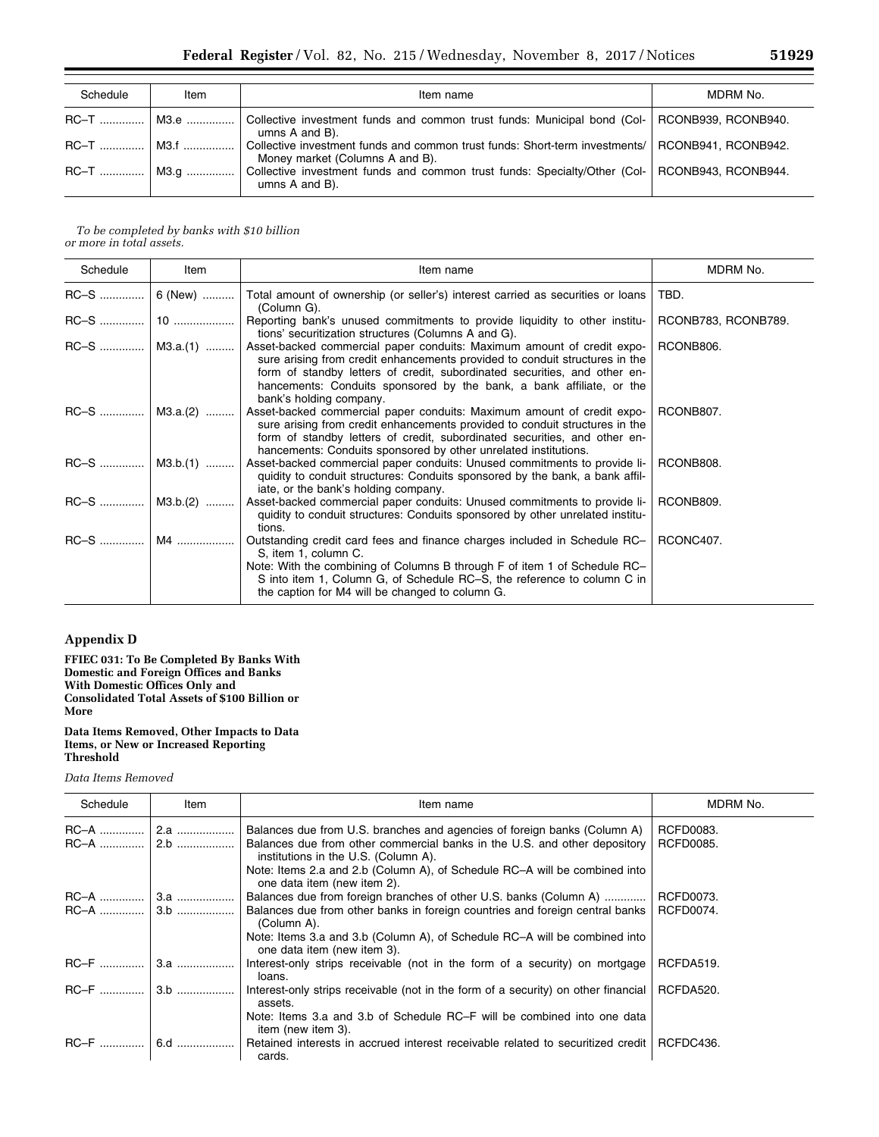| Schedule | Item | Item name                                                                                                                              | MDRM No. |
|----------|------|----------------------------------------------------------------------------------------------------------------------------------------|----------|
|          |      | RC-T    M3.e    Collective investment funds and common trust funds: Municipal bond (Col-   RCONB939, RCONB940.<br>umns $A$ and $B$ ).  |          |
|          |      | Collective investment funds and common trust funds: Short-term investments/   RCONB941, RCONB942.<br>Money market (Columns A and B).   |          |
|          |      | RC-T    M3.g    Collective investment funds and common trust funds: Specialty/Other (Col-   RCONB943, RCONB944.<br>umns $A$ and $B$ ). |          |

## *To be completed by banks with \$10 billion or more in total assets.*

| Schedule | Item              | Item name                                                                                                                                                                                                                                                                                                                             | MDRM No.            |
|----------|-------------------|---------------------------------------------------------------------------------------------------------------------------------------------------------------------------------------------------------------------------------------------------------------------------------------------------------------------------------------|---------------------|
|          | $RC-S$   6 (New)  | Total amount of ownership (or seller's) interest carried as securities or loans<br>(Column G).                                                                                                                                                                                                                                        | TBD.                |
|          |                   | Reporting bank's unused commitments to provide liquidity to other institu-<br>tions' securitization structures (Columns A and G).                                                                                                                                                                                                     | RCONB783, RCONB789. |
|          | $RC-S$   M3.a.(1) | Asset-backed commercial paper conduits: Maximum amount of credit expo-<br>sure arising from credit enhancements provided to conduit structures in the<br>form of standby letters of credit, subordinated securities, and other en-<br>hancements: Conduits sponsored by the bank, a bank affiliate, or the<br>bank's holding company. | RCONB806.           |
|          | $RC-S$   M3.a.(2) | Asset-backed commercial paper conduits: Maximum amount of credit expo-<br>sure arising from credit enhancements provided to conduit structures in the<br>form of standby letters of credit, subordinated securities, and other en-<br>hancements: Conduits sponsored by other unrelated institutions.                                 | RCONB807.           |
|          |                   | Asset-backed commercial paper conduits: Unused commitments to provide li-<br>quidity to conduit structures: Conduits sponsored by the bank, a bank affil-<br>iate, or the bank's holding company.                                                                                                                                     | RCONB808.           |
|          | $RC-S$   M3.b.(2) | Asset-backed commercial paper conduits: Unused commitments to provide li-<br>quidity to conduit structures: Conduits sponsored by other unrelated institu-<br>tions.                                                                                                                                                                  | RCONB809.           |
|          |                   | Outstanding credit card fees and finance charges included in Schedule RC-<br>S, item 1, column C.<br>Note: With the combining of Columns B through F of item 1 of Schedule RC-<br>S into item 1, Column G, of Schedule RC-S, the reference to column C in<br>the caption for M4 will be changed to column G.                          | RCONC407.           |

# **Appendix D**

**FFIEC 031: To Be Completed By Banks With Domestic and Foreign Offices and Banks With Domestic Offices Only and Consolidated Total Assets of \$100 Billion or More** 

#### **Data Items Removed, Other Impacts to Data Items, or New or Increased Reporting Threshold**

## *Data Items Removed*

| Schedule         | Item         | Item name                                                                                                                                             | MDRM No.                      |
|------------------|--------------|-------------------------------------------------------------------------------------------------------------------------------------------------------|-------------------------------|
| $RC-A$<br>$RC-A$ | 2.a<br>$2.b$ | Balances due from U.S. branches and agencies of foreign banks (Column A)<br>Balances due from other commercial banks in the U.S. and other depository | RCFD0083.<br><b>RCFD0085.</b> |
|                  |              | institutions in the U.S. (Column A).<br>Note: Items 2.a and 2.b (Column A), of Schedule RC-A will be combined into<br>one data item (new item 2).     |                               |
| RC-A             | 3.a          | Balances due from foreign branches of other U.S. banks (Column A)                                                                                     | RCFD0073.                     |
| $RC-A$           | $3.b$        | Balances due from other banks in foreign countries and foreign central banks<br>(Column A).                                                           | RCFD0074.                     |
|                  |              | Note: Items 3.a and 3.b (Column A), of Schedule RC-A will be combined into<br>one data item (new item 3).                                             |                               |
| <b>RC-F</b>      | 3.a          | Interest-only strips receivable (not in the form of a security) on mortgage<br>loans.                                                                 | RCFDA519.                     |
| <b>RC-F</b>      | $3.b$        | Interest-only strips receivable (not in the form of a security) on other financial<br>assets.                                                         | RCFDA520.                     |
|                  |              | Note: Items 3.a and 3.b of Schedule RC–F will be combined into one data<br>item (new item 3).                                                         |                               |
| $RC-F$           | 6.d          | Retained interests in accrued interest receivable related to securitized credit<br>cards.                                                             | RCFDC436.                     |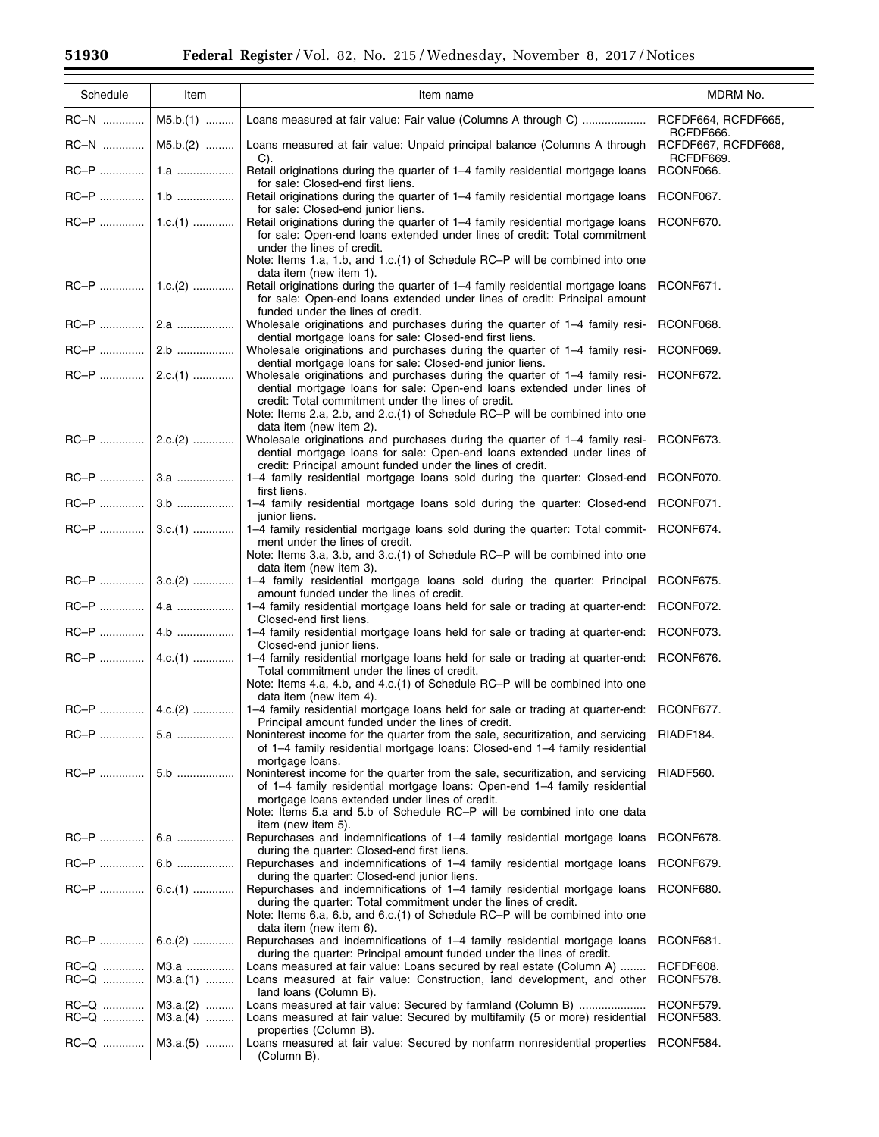$\equiv$ 

| Schedule | Item               | Item name                                                                                                                                                                                                                        | MDRM No.                                      |
|----------|--------------------|----------------------------------------------------------------------------------------------------------------------------------------------------------------------------------------------------------------------------------|-----------------------------------------------|
| RC-N     | $M5.b.(1)$         | Loans measured at fair value: Fair value (Columns A through C)                                                                                                                                                                   | RCFDF664, RCFDF665,                           |
| RC-N     | $M5.b.(2)$         | Loans measured at fair value: Unpaid principal balance (Columns A through                                                                                                                                                        | RCFDF666.<br>RCFDF667, RCFDF668,<br>RCFDF669. |
|          |                    | C).<br>Retail originations during the quarter of 1-4 family residential mortgage loans<br>for sale: Closed-end first liens.                                                                                                      | RCONF066.                                     |
|          |                    | Retail originations during the quarter of 1-4 family residential mortgage loans                                                                                                                                                  | RCONF067.                                     |
|          |                    | for sale: Closed-end junior liens.<br>Retail originations during the quarter of 1-4 family residential mortgage loans<br>for sale: Open-end loans extended under lines of credit: Total commitment<br>under the lines of credit. | RCONF670.                                     |
|          |                    | Note: Items 1.a, 1.b, and 1.c.(1) of Schedule RC-P will be combined into one<br>data item (new item 1).                                                                                                                          |                                               |
|          |                    | Retail originations during the quarter of 1–4 family residential mortgage loans<br>for sale: Open-end loans extended under lines of credit: Principal amount                                                                     | RCONF671.                                     |
|          |                    | funded under the lines of credit.<br>Wholesale originations and purchases during the quarter of 1-4 family resi-<br>dential mortgage loans for sale: Closed-end first liens.                                                     | RCONF068.                                     |
|          |                    | Wholesale originations and purchases during the quarter of 1–4 family resi-<br>dential mortgage loans for sale: Closed-end junior liens.                                                                                         | RCONF069.                                     |
|          |                    | Wholesale originations and purchases during the quarter of 1-4 family resi-<br>dential mortgage loans for sale: Open-end loans extended under lines of<br>credit: Total commitment under the lines of credit.                    | RCONF672.                                     |
|          |                    | Note: Items 2.a, 2.b, and 2.c.(1) of Schedule RC-P will be combined into one<br>data item (new item 2).                                                                                                                          |                                               |
|          |                    | Wholesale originations and purchases during the quarter of 1-4 family resi-<br>dential mortgage loans for sale: Open-end loans extended under lines of<br>credit: Principal amount funded under the lines of credit.             | RCONF673.                                     |
|          |                    | 1-4 family residential mortgage loans sold during the quarter: Closed-end<br>first liens.                                                                                                                                        | RCONF070.                                     |
|          |                    | 1-4 family residential mortgage loans sold during the quarter: Closed-end<br>junior liens.                                                                                                                                       | RCONF071.                                     |
|          |                    | 1–4 family residential mortgage loans sold during the quarter: Total commit-<br>ment under the lines of credit.                                                                                                                  | RCONF674.                                     |
|          |                    | Note: Items 3.a, 3.b, and 3.c.(1) of Schedule RC-P will be combined into one<br>data item (new item 3).                                                                                                                          |                                               |
|          |                    | 1-4 family residential mortgage loans sold during the quarter: Principal<br>amount funded under the lines of credit.                                                                                                             | RCONF675.                                     |
|          |                    | 1–4 family residential mortgage loans held for sale or trading at quarter-end:<br>Closed-end first liens.                                                                                                                        | RCONF072.                                     |
|          |                    | 1-4 family residential mortgage loans held for sale or trading at quarter-end:<br>Closed-end junior liens.                                                                                                                       | RCONF073.                                     |
|          |                    | 1-4 family residential mortgage loans held for sale or trading at quarter-end:<br>Total commitment under the lines of credit.                                                                                                    | RCONF676.                                     |
|          |                    | Note: Items 4.a, 4.b, and 4.c.(1) of Schedule RC-P will be combined into one<br>data item (new item 4).                                                                                                                          |                                               |
|          | $RC-P$   4.c.(2)   | 1-4 family residential mortgage loans held for sale or trading at quarter-end:<br>Principal amount funded under the lines of credit.                                                                                             | RCONF677.                                     |
| RC-P     | 5.a                | Noninterest income for the quarter from the sale, securitization, and servicing<br>of 1–4 family residential mortgage loans: Closed-end 1–4 family residential                                                                   | RIADF184.                                     |
|          | 5.b                | mortgage loans.<br>Noninterest income for the quarter from the sale, securitization, and servicing<br>of 1–4 family residential mortgage loans: Open-end 1–4 family residential                                                  | RIADF560.                                     |
|          |                    | mortgage loans extended under lines of credit.<br>Note: Items 5.a and 5.b of Schedule RC-P will be combined into one data                                                                                                        |                                               |
|          |                    | item (new item 5).<br>Repurchases and indemnifications of 1–4 family residential mortgage loans                                                                                                                                  | RCONF678.                                     |
|          | 6.b                | during the quarter: Closed-end first liens.<br>Repurchases and indemnifications of 1–4 family residential mortgage loans                                                                                                         | RCONF679.                                     |
|          | $RC-P$   6.c.(1)   | during the quarter: Closed-end junior liens.<br>Repurchases and indemnifications of 1–4 family residential mortgage loans                                                                                                        | RCONF680.                                     |
|          |                    | during the quarter: Total commitment under the lines of credit.<br>Note: Items 6.a, 6.b, and 6.c.(1) of Schedule RC-P will be combined into one<br>data item (new item 6).                                                       |                                               |
|          | $RC-P$   6.c.(2)   | Repurchases and indemnifications of 1-4 family residential mortgage loans<br>during the quarter: Principal amount funded under the lines of credit.                                                                              | RCONF681.                                     |
| RC-Q     | M3.a<br>$M3.a.(1)$ | Loans measured at fair value: Loans secured by real estate (Column A)<br>Loans measured at fair value: Construction, land development, and other                                                                                 | RCFDF608.<br>RCONF578.                        |
|          | $M3.a.(2)$         | land loans (Column B).<br>Loans measured at fair value: Secured by farmland (Column B)                                                                                                                                           | RCONF579.                                     |
|          | $M3.a.(4)$         | Loans measured at fair value: Secured by multifamily (5 or more) residential<br>properties (Column B).                                                                                                                           | RCONF583.                                     |
|          | $RC-Q$   M3.a.(5)  | Loans measured at fair value: Secured by nonfarm nonresidential properties<br>(Column B).                                                                                                                                        | RCONF584.                                     |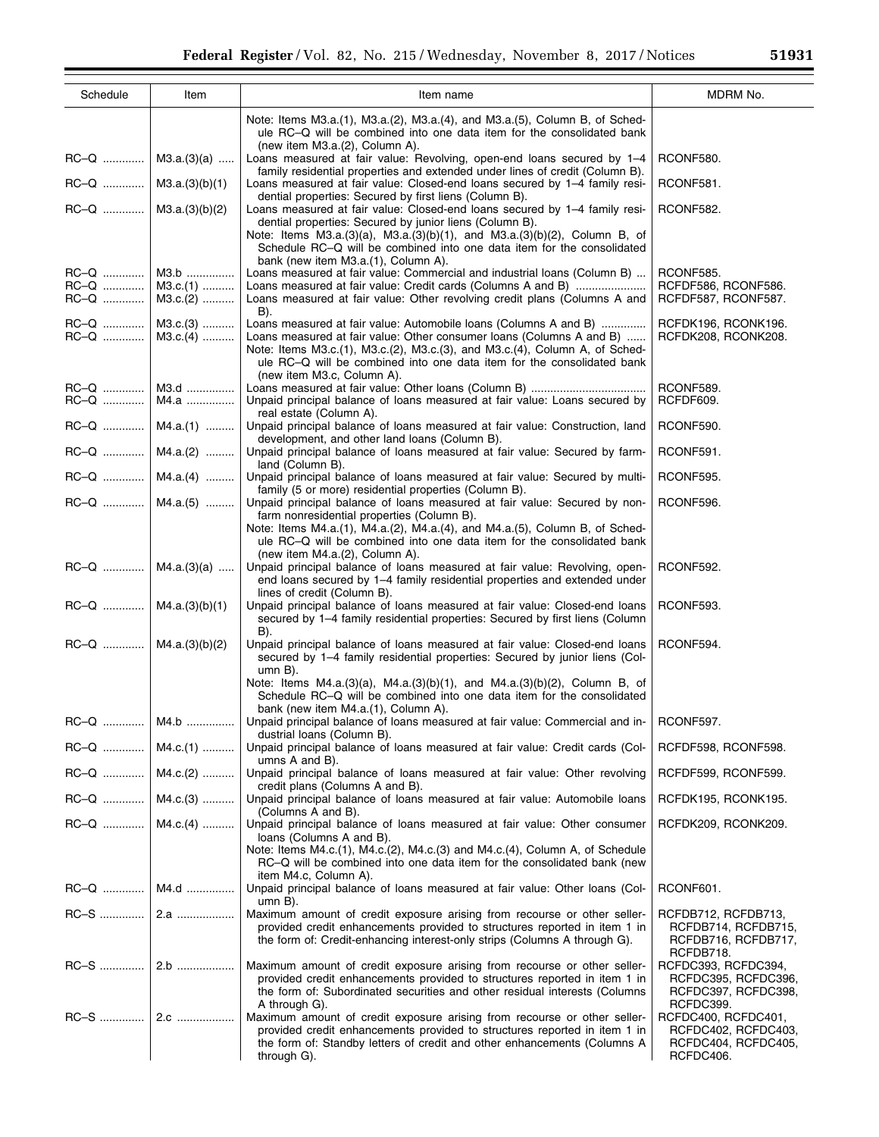Ξ

| Schedule                       | Item                             | Item name                                                                                                                                                                                                                                                                                                                               | MDRM No.                                                                       |
|--------------------------------|----------------------------------|-----------------------------------------------------------------------------------------------------------------------------------------------------------------------------------------------------------------------------------------------------------------------------------------------------------------------------------------|--------------------------------------------------------------------------------|
|                                |                                  | Note: Items M3.a.(1), M3.a.(2), M3.a.(4), and M3.a.(5), Column B, of Sched-<br>ule RC-Q will be combined into one data item for the consolidated bank<br>(new item $M3.a.(2)$ , Column A).                                                                                                                                              |                                                                                |
|                                | $RC-Q$   M3.a.(3)(a)             | Loans measured at fair value: Revolving, open-end loans secured by 1-4<br>family residential properties and extended under lines of credit (Column B).                                                                                                                                                                                  | RCONF580.                                                                      |
| RC-Q                           | M3.a.(3)(b)(1)                   | Loans measured at fair value: Closed-end loans secured by 1–4 family resi-<br>dential properties: Secured by first liens (Column B).                                                                                                                                                                                                    | RCONF581.                                                                      |
| RC-Q                           | M3.a.(3)(b)(2)                   | Loans measured at fair value: Closed-end loans secured by 1–4 family resi-<br>dential properties: Secured by junior liens (Column B).<br>Note: Items M3.a.(3)(a), M3.a.(3)(b)(1), and M3.a.(3)(b)(2), Column B, of<br>Schedule RC-Q will be combined into one data item for the consolidated<br>bank (new item M3.a.(1), Column A).     | RCONF582.                                                                      |
| RC–Q<br>RC–Q …………<br>RC–Q ………… | M3.b<br>$M3.c.(1)$<br>$M3.c.(2)$ | Loans measured at fair value: Commercial and industrial loans (Column B)<br>Loans measured at fair value: Credit cards (Columns A and B)<br>Loans measured at fair value: Other revolving credit plans (Columns A and<br>B).                                                                                                            | RCONF585.<br>RCFDF586, RCONF586.<br>RCFDF587, RCONF587.                        |
| $RC-Q$   M3.c.(3)<br>RC-Q      | $M3.c.(4)$                       | Loans measured at fair value: Automobile loans (Columns A and B)<br>Loans measured at fair value: Other consumer loans (Columns A and B)<br>Note: Items M3.c.(1), M3.c.(2), M3.c.(3), and M3.c.(4), Column A, of Sched-<br>ule RC-Q will be combined into one data item for the consolidated bank<br>(new item M3.c, Column A).         | RCFDK196, RCONK196.<br>RCFDK208, RCONK208.                                     |
| RC-Q<br>RC-Q                   | M3.d<br>M4.a                     | Unpaid principal balance of loans measured at fair value: Loans secured by<br>real estate (Column A).                                                                                                                                                                                                                                   | RCONF589.<br>RCFDF609.                                                         |
|                                | $RC-Q$   M4.a.(1)                | Unpaid principal balance of loans measured at fair value: Construction, land<br>development, and other land loans (Column B).                                                                                                                                                                                                           | RCONF590.                                                                      |
|                                | $RC-Q$   M4.a.(2)                | Unpaid principal balance of loans measured at fair value: Secured by farm-<br>land (Column B).                                                                                                                                                                                                                                          | RCONF591.                                                                      |
|                                | $RC-Q$   M4.a.(4)                | Unpaid principal balance of loans measured at fair value: Secured by multi-<br>family (5 or more) residential properties (Column B).                                                                                                                                                                                                    | RCONF595.                                                                      |
|                                | $RC-Q$   M4.a.(5)                | Unpaid principal balance of loans measured at fair value: Secured by non-<br>farm nonresidential properties (Column B).<br>Note: Items M4.a.(1), M4.a.(2), M4.a.(4), and M4.a.(5), Column B, of Sched-<br>ule RC-Q will be combined into one data item for the consolidated bank                                                        | RCONF596.                                                                      |
| $RC-Q$   M4.a.(3)(a)           |                                  | (new item M4.a.(2), Column A).<br>Unpaid principal balance of loans measured at fair value: Revolving, open-<br>end loans secured by 1-4 family residential properties and extended under<br>lines of credit (Column B).                                                                                                                | RCONF592.                                                                      |
| $RC-Q$   M4.a.(3)(b)(1)        |                                  | Unpaid principal balance of loans measured at fair value: Closed-end loans<br>secured by 1-4 family residential properties: Secured by first liens (Column<br>B).                                                                                                                                                                       | RCONF593.                                                                      |
| RC-Q                           | M4.a.(3)(b)(2)                   | Unpaid principal balance of loans measured at fair value: Closed-end loans<br>secured by 1-4 family residential properties: Secured by junior liens (Col-<br>$umn B$ ).<br>Note: Items $M4.a.(3)(a)$ , $M4.a.(3)(b)(1)$ , and $M4.a.(3)(b)(2)$ , Column B, of<br>Schedule RC-Q will be combined into one data item for the consolidated | RCONF594.                                                                      |
| $RC-Q$                         | M4.b                             | bank (new item M4.a.(1), Column A).<br>Unpaid principal balance of loans measured at fair value: Commercial and in- RCONF597.                                                                                                                                                                                                           |                                                                                |
|                                | $RC-Q$   M4.c.(1)                | dustrial loans (Column B).<br>Unpaid principal balance of loans measured at fair value: Credit cards (Col-                                                                                                                                                                                                                              | RCFDF598, RCONF598.                                                            |
|                                | RC-Q    M4.c.(2)                 | umns A and B).<br>Unpaid principal balance of loans measured at fair value: Other revolving                                                                                                                                                                                                                                             | RCFDF599, RCONF599.                                                            |
|                                | $RC-Q$   M4.c.(3)                | credit plans (Columns A and B).<br>Unpaid principal balance of loans measured at fair value: Automobile loans                                                                                                                                                                                                                           | RCFDK195, RCONK195.                                                            |
|                                | $RC-Q$   M4.c.(4)                | (Columns A and B).<br>Unpaid principal balance of loans measured at fair value: Other consumer<br>loans (Columns A and B).                                                                                                                                                                                                              | RCFDK209, RCONK209.                                                            |
|                                |                                  | Note: Items M4.c.(1), M4.c.(2), M4.c.(3) and M4.c.(4), Column A, of Schedule<br>RC-Q will be combined into one data item for the consolidated bank (new<br>item M4.c, Column A).                                                                                                                                                        |                                                                                |
|                                | RC-Q    M4.d                     | Unpaid principal balance of loans measured at fair value: Other loans (Col-<br>$umn B$ ).                                                                                                                                                                                                                                               | RCONF601.                                                                      |
|                                |                                  | Maximum amount of credit exposure arising from recourse or other seller-<br>provided credit enhancements provided to structures reported in item 1 in<br>the form of: Credit-enhancing interest-only strips (Columns A through G).                                                                                                      | RCFDB712, RCFDB713,<br>RCFDB714, RCFDB715,<br>RCFDB716, RCFDB717,<br>RCFDB718. |
|                                |                                  | Maximum amount of credit exposure arising from recourse or other seller-<br>provided credit enhancements provided to structures reported in item 1 in<br>the form of: Subordinated securities and other residual interests (Columns<br>A through G).                                                                                    | RCFDC393, RCFDC394,<br>RCFDC395, RCFDC396,<br>RCFDC397, RCFDC398,<br>RCFDC399. |
|                                |                                  | Maximum amount of credit exposure arising from recourse or other seller-<br>provided credit enhancements provided to structures reported in item 1 in<br>the form of: Standby letters of credit and other enhancements (Columns A<br>through G).                                                                                        | RCFDC400, RCFDC401,<br>RCFDC402, RCFDC403,<br>RCFDC404, RCFDC405,<br>RCFDC406. |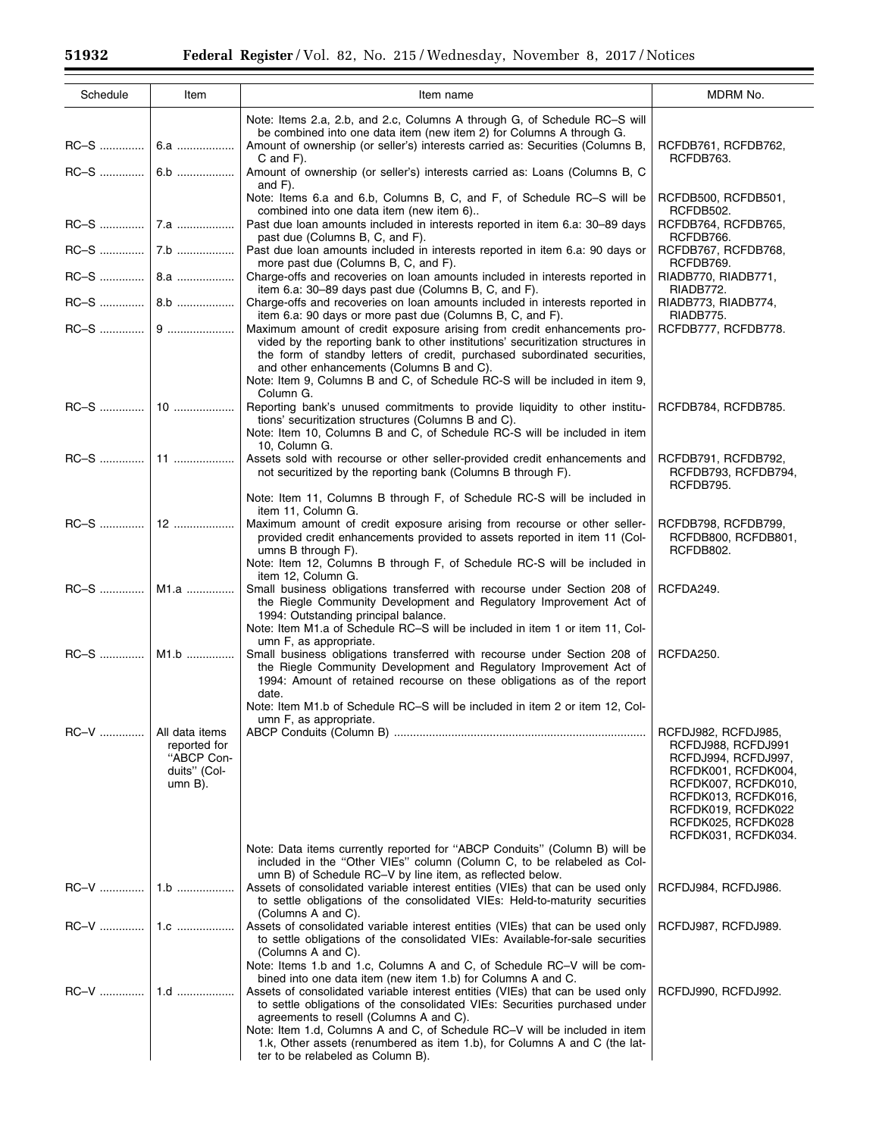| Schedule     | Item                                                                       | Item name                                                                                                                                                                                                                                                                                                                                                                                                                                                               | MDRM No.                                                                                                                                                                                                 |
|--------------|----------------------------------------------------------------------------|-------------------------------------------------------------------------------------------------------------------------------------------------------------------------------------------------------------------------------------------------------------------------------------------------------------------------------------------------------------------------------------------------------------------------------------------------------------------------|----------------------------------------------------------------------------------------------------------------------------------------------------------------------------------------------------------|
|              |                                                                            | Note: Items 2.a, 2.b, and 2.c, Columns A through G, of Schedule RC-S will<br>be combined into one data item (new item 2) for Columns A through G.<br>Amount of ownership (or seller's) interests carried as: Securities (Columns B,<br>$C$ and $F$ ).                                                                                                                                                                                                                   | RCFDB761, RCFDB762,<br>RCFDB763.                                                                                                                                                                         |
| RC-S         | 6.b                                                                        | Amount of ownership (or seller's) interests carried as: Loans (Columns B, C<br>and $F$ ).                                                                                                                                                                                                                                                                                                                                                                               |                                                                                                                                                                                                          |
|              |                                                                            | Note: Items 6.a and 6.b, Columns B, C, and F, of Schedule RC-S will be<br>combined into one data item (new item 6)                                                                                                                                                                                                                                                                                                                                                      | RCFDB500, RCFDB501,<br>RCFDB502.                                                                                                                                                                         |
|              |                                                                            | Past due loan amounts included in interests reported in item 6.a: 30–89 days<br>past due (Columns B, C, and F).                                                                                                                                                                                                                                                                                                                                                         | RCFDB764, RCFDB765,<br>RCFDB766.                                                                                                                                                                         |
|              |                                                                            | Past due loan amounts included in interests reported in item 6.a: 90 days or<br>more past due (Columns B, C, and F).                                                                                                                                                                                                                                                                                                                                                    | RCFDB767, RCFDB768,<br>RCFDB769.                                                                                                                                                                         |
|              |                                                                            | Charge-offs and recoveries on loan amounts included in interests reported in<br>item 6.a: 30-89 days past due (Columns B, C, and F).                                                                                                                                                                                                                                                                                                                                    | RIADB770, RIADB771,<br>RIADB772.                                                                                                                                                                         |
|              |                                                                            | Charge-offs and recoveries on loan amounts included in interests reported in<br>item 6.a: 90 days or more past due (Columns B, C, and F).                                                                                                                                                                                                                                                                                                                               | RIADB773, RIADB774,<br>RIADB775.                                                                                                                                                                         |
|              |                                                                            | Maximum amount of credit exposure arising from credit enhancements pro-<br>vided by the reporting bank to other institutions' securitization structures in<br>the form of standby letters of credit, purchased subordinated securities,<br>and other enhancements (Columns B and C).<br>Note: Item 9, Columns B and C, of Schedule RC-S will be included in item 9,                                                                                                     | RCFDB777, RCFDB778.                                                                                                                                                                                      |
|              |                                                                            | Column G.<br>Reporting bank's unused commitments to provide liquidity to other institu-<br>tions' securitization structures (Columns B and C).<br>Note: Item 10, Columns B and C, of Schedule RC-S will be included in item                                                                                                                                                                                                                                             | RCFDB784, RCFDB785.                                                                                                                                                                                      |
|              |                                                                            | 10, Column G.<br>Assets sold with recourse or other seller-provided credit enhancements and<br>not securitized by the reporting bank (Columns B through F).                                                                                                                                                                                                                                                                                                             | RCFDB791, RCFDB792,<br>RCFDB793, RCFDB794,<br>RCFDB795.                                                                                                                                                  |
|              |                                                                            | Note: Item 11, Columns B through F, of Schedule RC-S will be included in<br>item 11, Column G.                                                                                                                                                                                                                                                                                                                                                                          |                                                                                                                                                                                                          |
|              |                                                                            | Maximum amount of credit exposure arising from recourse or other seller-<br>provided credit enhancements provided to assets reported in item 11 (Col-<br>umns B through F).<br>Note: Item 12, Columns B through F, of Schedule RC-S will be included in                                                                                                                                                                                                                 | RCFDB798, RCFDB799,<br>RCFDB800, RCFDB801,<br>RCFDB802.                                                                                                                                                  |
| RC-S    M1.a |                                                                            | item 12, Column G.<br>Small business obligations transferred with recourse under Section 208 of<br>the Riegle Community Development and Regulatory Improvement Act of<br>1994: Outstanding principal balance.                                                                                                                                                                                                                                                           | RCFDA249.                                                                                                                                                                                                |
| RC–S         | M1.b                                                                       | Note: Item M1.a of Schedule RC-S will be included in item 1 or item 11, Col-<br>umn F, as appropriate.<br>Small business obligations transferred with recourse under Section 208 of<br>the Riegle Community Development and Regulatory Improvement Act of<br>1994: Amount of retained recourse on these obligations as of the report<br>date.                                                                                                                           | RCFDA250.                                                                                                                                                                                                |
| RC-V         | All data items<br>reported for<br>"ABCP Con-<br>duits" (Col-<br>$umn B$ ). | Note: Item M1.b of Schedule RC-S will be included in item 2 or item 12, Col-<br>umn F, as appropriate.                                                                                                                                                                                                                                                                                                                                                                  | RCFDJ982, RCFDJ985,<br>RCFDJ988, RCFDJ991<br>RCFDJ994, RCFDJ997,<br>RCFDK001, RCFDK004,<br>RCFDK007, RCFDK010,<br>RCFDK013, RCFDK016,<br>RCFDK019, RCFDK022<br>RCFDK025, RCFDK028<br>RCFDK031, RCFDK034. |
|              |                                                                            | Note: Data items currently reported for "ABCP Conduits" (Column B) will be<br>included in the "Other VIEs" column (Column C, to be relabeled as Col-<br>umn B) of Schedule RC-V by line item, as reflected below.                                                                                                                                                                                                                                                       |                                                                                                                                                                                                          |
|              | $1.b$                                                                      | Assets of consolidated variable interest entities (VIEs) that can be used only<br>to settle obligations of the consolidated VIEs: Held-to-maturity securities<br>(Columns A and C).                                                                                                                                                                                                                                                                                     | RCFDJ984, RCFDJ986.                                                                                                                                                                                      |
|              |                                                                            | Assets of consolidated variable interest entities (VIEs) that can be used only<br>to settle obligations of the consolidated VIEs: Available-for-sale securities<br>(Columns A and C).<br>Note: Items 1.b and 1.c, Columns A and C, of Schedule RC-V will be com-                                                                                                                                                                                                        | RCFDJ987, RCFDJ989.                                                                                                                                                                                      |
|              | $1.d$                                                                      | bined into one data item (new item 1.b) for Columns A and C.<br>Assets of consolidated variable interest entities (VIEs) that can be used only<br>to settle obligations of the consolidated VIEs: Securities purchased under<br>agreements to resell (Columns A and C).<br>Note: Item 1.d, Columns A and C, of Schedule RC-V will be included in item<br>1.k, Other assets (renumbered as item 1.b), for Columns A and C (the lat-<br>ter to be relabeled as Column B). | RCFDJ990, RCFDJ992.                                                                                                                                                                                      |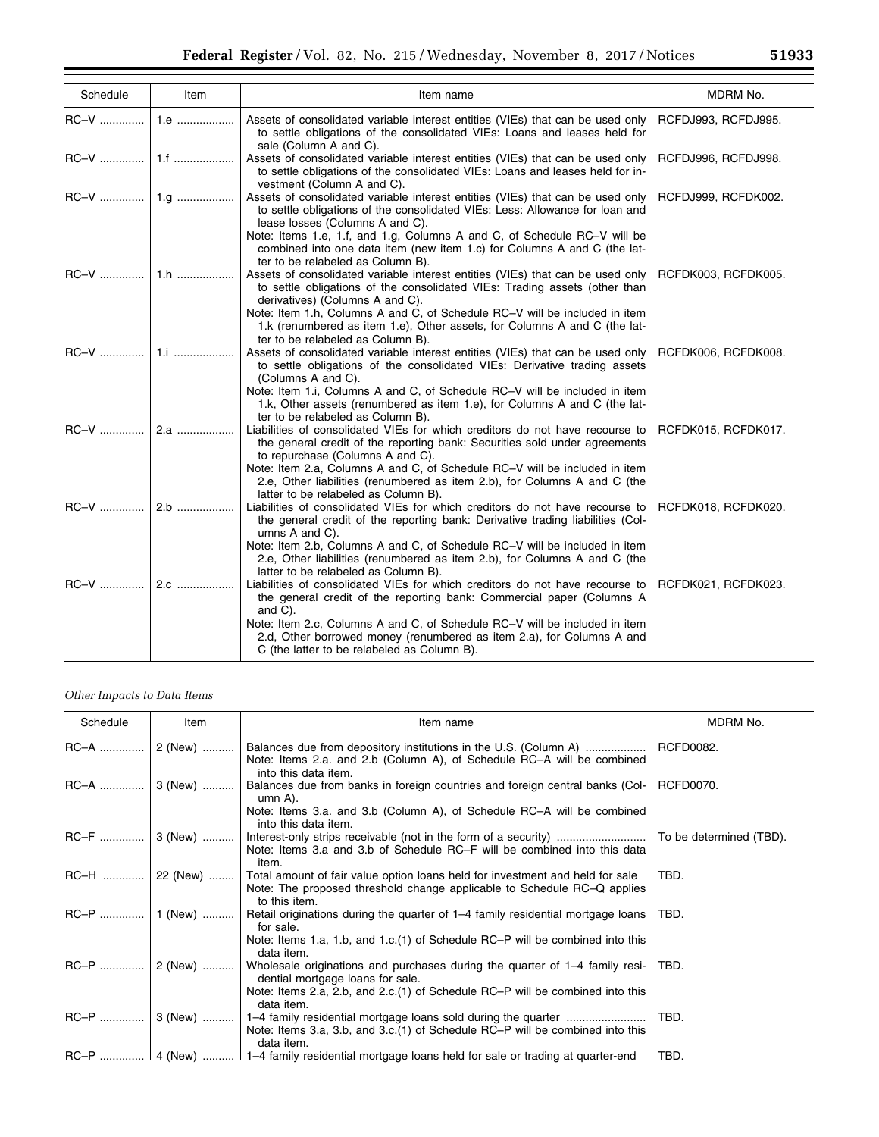| Schedule | Item  | Item name                                                                                                                                                                                                                                                                                                                                                                                         | MDRM No.            |
|----------|-------|---------------------------------------------------------------------------------------------------------------------------------------------------------------------------------------------------------------------------------------------------------------------------------------------------------------------------------------------------------------------------------------------------|---------------------|
| RC-V     | 1.e   | Assets of consolidated variable interest entities (VIEs) that can be used only<br>to settle obligations of the consolidated VIEs: Loans and leases held for<br>sale (Column A and C).                                                                                                                                                                                                             | RCFDJ993, RCFDJ995. |
| RC-V     | 1.f   | Assets of consolidated variable interest entities (VIEs) that can be used only<br>to settle obligations of the consolidated VIEs: Loans and leases held for in-<br>vestment (Column A and C).                                                                                                                                                                                                     | RCFDJ996, RCFDJ998. |
|          |       | Assets of consolidated variable interest entities (VIEs) that can be used only<br>to settle obligations of the consolidated VIEs: Less: Allowance for loan and<br>lease losses (Columns A and C).<br>Note: Items 1.e, 1.f, and 1.g, Columns A and C, of Schedule RC-V will be<br>combined into one data item (new item 1.c) for Columns A and C (the lat-<br>ter to be relabeled as Column B).    | RCFDJ999, RCFDK002. |
|          | $1.h$ | Assets of consolidated variable interest entities (VIEs) that can be used only<br>to settle obligations of the consolidated VIEs: Trading assets (other than<br>derivatives) (Columns A and C).<br>Note: Item 1.h, Columns A and C, of Schedule RC-V will be included in item<br>1.k (renumbered as item 1.e), Other assets, for Columns A and C (the lat-<br>ter to be relabeled as Column B).   | RCFDK003, RCFDK005. |
| RC-V     | 1.i   | Assets of consolidated variable interest entities (VIEs) that can be used only<br>to settle obligations of the consolidated VIEs: Derivative trading assets<br>(Columns A and C).<br>Note: Item 1.i, Columns A and C, of Schedule RC-V will be included in item<br>1.k, Other assets (renumbered as item 1.e), for Columns A and C (the lat-<br>ter to be relabeled as Column B).                 | RCFDK006, RCFDK008. |
| RC-V     | 2.a   | Liabilities of consolidated VIEs for which creditors do not have recourse to<br>the general credit of the reporting bank: Securities sold under agreements<br>to repurchase (Columns A and C).<br>Note: Item 2.a, Columns A and C, of Schedule RC-V will be included in item<br>2.e, Other liabilities (renumbered as item 2.b), for Columns A and C (the<br>latter to be relabeled as Column B). | RCFDK015, RCFDK017. |
| RC-V     | 2.b   | Liabilities of consolidated VIEs for which creditors do not have recourse to<br>the general credit of the reporting bank: Derivative trading liabilities (Col-<br>umns A and C).<br>Note: Item 2.b, Columns A and C, of Schedule RC-V will be included in item<br>2.e, Other liabilities (renumbered as item 2.b), for Columns A and C (the<br>latter to be relabeled as Column B).               | RCFDK018, RCFDK020. |
|          |       | Liabilities of consolidated VIEs for which creditors do not have recourse to<br>the general credit of the reporting bank: Commercial paper (Columns A<br>and C).<br>Note: Item 2.c, Columns A and C, of Schedule RC-V will be included in item<br>2.d, Other borrowed money (renumbered as item 2.a), for Columns A and<br>C (the latter to be relabeled as Column B).                            | RCFDK021, RCFDK023. |

# *Other Impacts to Data Items*

| Schedule | Item            | Item name                                                                                                                                                                                                                                                                                       | MDRM No.                |
|----------|-----------------|-------------------------------------------------------------------------------------------------------------------------------------------------------------------------------------------------------------------------------------------------------------------------------------------------|-------------------------|
| RC-A     | 2 (New)         | Balances due from depository institutions in the U.S. (Column A)<br>Note: Items 2.a. and 2.b (Column A), of Schedule RC-A will be combined<br>into this data item.                                                                                                                              | RCFD0082.               |
| RC-A     | 3 (New)         | Balances due from banks in foreign countries and foreign central banks (Col-<br>umn A).<br>Note: Items 3.a. and 3.b (Column A), of Schedule RC-A will be combined                                                                                                                               | RCFD0070.               |
|          | RC-F    3 (New) | into this data item.<br>Note: Items 3.a and 3.b of Schedule RC–F will be combined into this data<br>item.                                                                                                                                                                                       | To be determined (TBD). |
| RC-H     | 22 (New)        | Total amount of fair value option loans held for investment and held for sale<br>Note: The proposed threshold change applicable to Schedule RC–Q applies<br>to this item.                                                                                                                       | TBD.                    |
| RC-P     | 1 (New)         | Retail originations during the quarter of 1–4 family residential mortgage loans<br>for sale.                                                                                                                                                                                                    | TBD.                    |
| RC-P     | 2 (New)         | Note: Items 1.a, 1.b, and 1.c.(1) of Schedule RC-P will be combined into this<br>data item.<br>Wholesale originations and purchases during the quarter of 1–4 family resi-<br>dential mortgage loans for sale.<br>Note: Items 2.a, 2.b, and 2.c.(1) of Schedule RC-P will be combined into this | TBD.                    |
| RC-P     | 3 (New)         | data item.<br>1–4 family residential mortgage loans sold during the quarter<br>Note: Items 3.a, 3.b, and 3.c. (1) of Schedule RC-P will be combined into this<br>data item.                                                                                                                     | TBD.                    |
|          |                 | $RC-P$   4 (New)    1–4 family residential mortgage loans held for sale or trading at quarter-end                                                                                                                                                                                               | TBD.                    |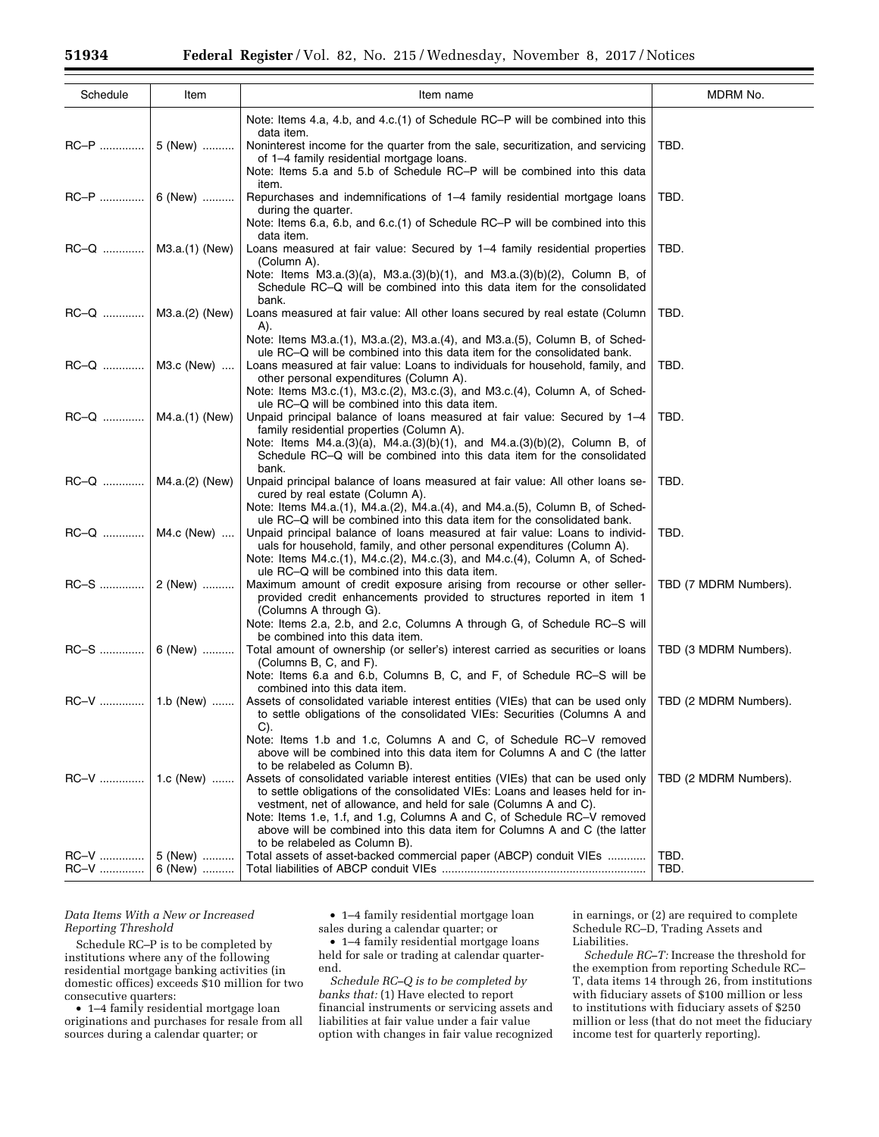| Schedule               | Item               | Item name                                                                                                                                                                                                                                                                                                                                                                                                                                                                                                                                                                                 | MDRM No.              |
|------------------------|--------------------|-------------------------------------------------------------------------------------------------------------------------------------------------------------------------------------------------------------------------------------------------------------------------------------------------------------------------------------------------------------------------------------------------------------------------------------------------------------------------------------------------------------------------------------------------------------------------------------------|-----------------------|
|                        |                    | Note: Items 4.a, 4.b, and 4.c.(1) of Schedule RC-P will be combined into this                                                                                                                                                                                                                                                                                                                                                                                                                                                                                                             |                       |
| RC-P    5 (New)        |                    | data item.<br>Noninterest income for the quarter from the sale, securitization, and servicing<br>of 1-4 family residential mortgage loans.<br>Note: Items 5.a and 5.b of Schedule RC-P will be combined into this data                                                                                                                                                                                                                                                                                                                                                                    | TBD.                  |
| RC-P    6 (New)        |                    | item.<br>Repurchases and indemnifications of 1–4 family residential mortgage loans<br>during the quarter.                                                                                                                                                                                                                                                                                                                                                                                                                                                                                 | TBD.                  |
|                        |                    | Note: Items 6.a, 6.b, and 6.c.(1) of Schedule RC-P will be combined into this<br>data item.                                                                                                                                                                                                                                                                                                                                                                                                                                                                                               |                       |
| RC-Q    M3.a.(1) (New) |                    | Loans measured at fair value: Secured by 1–4 family residential properties<br>(Column A).                                                                                                                                                                                                                                                                                                                                                                                                                                                                                                 | TBD.                  |
|                        |                    | Note: Items $M3.a.(3)(a)$ , $M3.a.(3)(b)(1)$ , and $M3.a.(3)(b)(2)$ , Column B, of<br>Schedule RC-Q will be combined into this data item for the consolidated<br>bank.                                                                                                                                                                                                                                                                                                                                                                                                                    |                       |
| RC-Q    M3.a.(2) (New) |                    | Loans measured at fair value: All other loans secured by real estate (Column<br>A).                                                                                                                                                                                                                                                                                                                                                                                                                                                                                                       | TBD.                  |
| RC-Q    M3.c (New)     |                    | Note: Items M3.a.(1), M3.a.(2), M3.a.(4), and M3.a.(5), Column B, of Sched-<br>ule RC-Q will be combined into this data item for the consolidated bank.<br>Loans measured at fair value: Loans to individuals for household, family, and                                                                                                                                                                                                                                                                                                                                                  | TBD.                  |
|                        |                    | other personal expenditures (Column A).<br>Note: Items M3.c.(1), M3.c.(2), M3.c.(3), and M3.c.(4), Column A, of Sched-<br>ule RC-Q will be combined into this data item.                                                                                                                                                                                                                                                                                                                                                                                                                  |                       |
| RC-Q    M4.a.(1) (New) |                    | Unpaid principal balance of loans measured at fair value: Secured by 1-4<br>family residential properties (Column A).<br>Note: Items $M4.a.(3)(a)$ , $M4.a.(3)(b)(1)$ , and $M4.a.(3)(b)(2)$ , Column B, of                                                                                                                                                                                                                                                                                                                                                                               | TBD.                  |
| RC-Q    M4.a.(2) (New) |                    | Schedule RC–Q will be combined into this data item for the consolidated<br>bank.<br>Unpaid principal balance of loans measured at fair value: All other loans se-<br>cured by real estate (Column A).                                                                                                                                                                                                                                                                                                                                                                                     | TBD.                  |
|                        | RC-Q    M4.c (New) | Note: Items M4.a.(1), M4.a.(2), M4.a.(4), and M4.a.(5), Column B, of Sched-<br>ule RC-Q will be combined into this data item for the consolidated bank.<br>Unpaid principal balance of loans measured at fair value: Loans to individ-<br>uals for household, family, and other personal expenditures (Column A).                                                                                                                                                                                                                                                                         | TBD.                  |
|                        |                    | Note: Items M4.c.(1), M4.c.(2), M4.c.(3), and M4.c.(4), Column A, of Sched-<br>ule RC-Q will be combined into this data item.<br>Maximum amount of credit exposure arising from recourse or other seller-<br>provided credit enhancements provided to structures reported in item 1                                                                                                                                                                                                                                                                                                       | TBD (7 MDRM Numbers). |
|                        | $RC-S$   6 (New)   | (Columns A through G).<br>Note: Items 2.a, 2.b, and 2.c, Columns A through G, of Schedule RC-S will<br>be combined into this data item.<br>Total amount of ownership (or seller's) interest carried as securities or loans                                                                                                                                                                                                                                                                                                                                                                | TBD (3 MDRM Numbers). |
|                        |                    | (Columns B, C, and F).<br>Note: Items 6.a and 6.b, Columns B, C, and F, of Schedule RC-S will be                                                                                                                                                                                                                                                                                                                                                                                                                                                                                          |                       |
|                        |                    | combined into this data item.<br>Assets of consolidated variable interest entities (VIEs) that can be used only<br>to settle obligations of the consolidated VIEs: Securities (Columns A and                                                                                                                                                                                                                                                                                                                                                                                              | TBD (2 MDRM Numbers). |
|                        |                    | C).<br>Note: Items 1.b and 1.c, Columns A and C, of Schedule RC-V removed<br>above will be combined into this data item for Columns A and C (the latter<br>to be relabeled as Column B).<br>Assets of consolidated variable interest entities (VIEs) that can be used only<br>to settle obligations of the consolidated VIEs: Loans and leases held for in-<br>vestment, net of allowance, and held for sale (Columns A and C).<br>Note: Items 1.e, 1.f, and 1.g, Columns A and C, of Schedule RC-V removed<br>above will be combined into this data item for Columns A and C (the latter | TBD (2 MDRM Numbers). |
| RC-V<br>RC-V           | 5 (New)<br>6 (New) | to be relabeled as Column B).<br>Total assets of asset-backed commercial paper (ABCP) conduit VIEs                                                                                                                                                                                                                                                                                                                                                                                                                                                                                        | TBD.<br>TBD.          |

# *Data Items With a New or Increased Reporting Threshold*

Schedule RC–P is to be completed by institutions where any of the following residential mortgage banking activities (in domestic offices) exceeds \$10 million for two consecutive quarters:

• 1–4 family residential mortgage loan originations and purchases for resale from all sources during a calendar quarter; or

• 1–4 family residential mortgage loan sales during a calendar quarter; or

• 1–4 family residential mortgage loans held for sale or trading at calendar quarterend.

*Schedule RC–Q is to be completed by banks that:* (1) Have elected to report financial instruments or servicing assets and liabilities at fair value under a fair value option with changes in fair value recognized in earnings, or (2) are required to complete Schedule RC–D, Trading Assets and Liabilities.

*Schedule RC–T:* Increase the threshold for the exemption from reporting Schedule RC– T, data items 14 through 26, from institutions with fiduciary assets of \$100 million or less to institutions with fiduciary assets of \$250 million or less (that do not meet the fiduciary income test for quarterly reporting).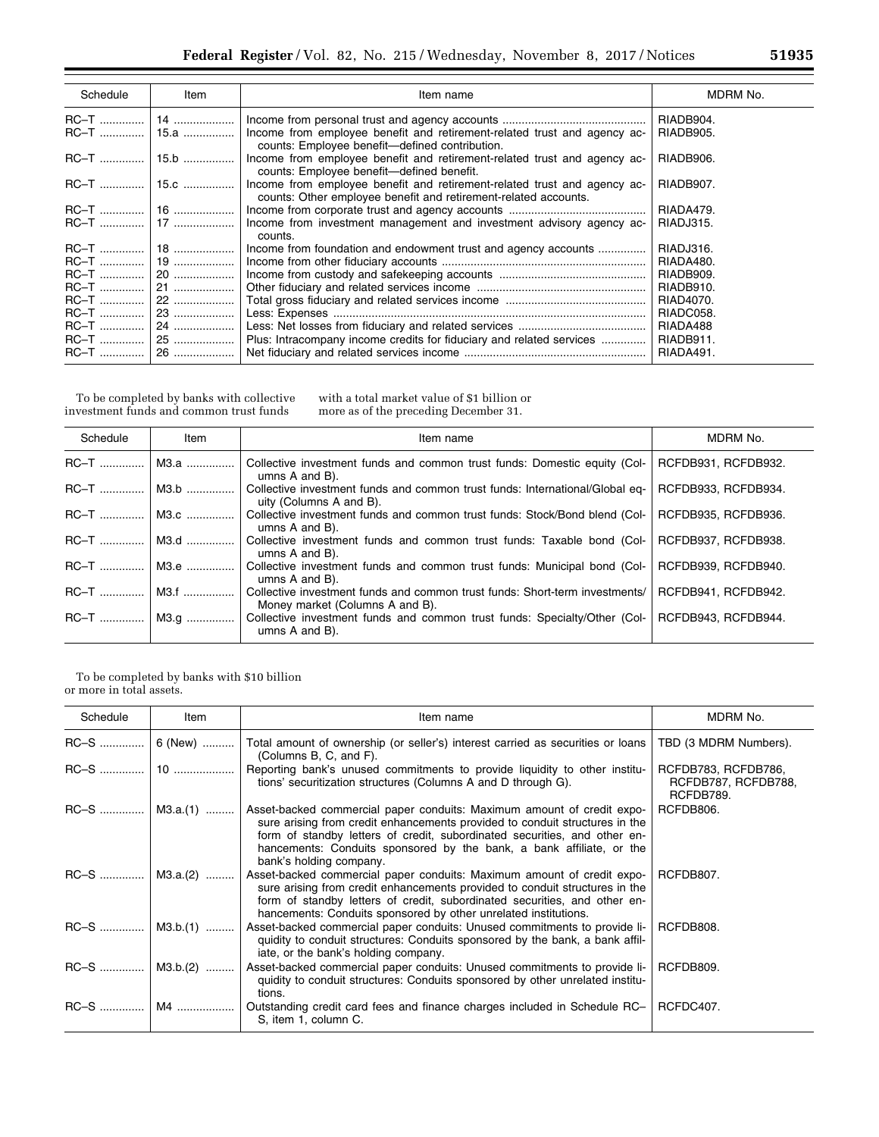| Schedule    | Item         | Item name                                                                                                                                   | MDRM No.  |
|-------------|--------------|---------------------------------------------------------------------------------------------------------------------------------------------|-----------|
|             |              |                                                                                                                                             | RIADB904. |
| <b>RC-T</b> | 15.a         | Income from employee benefit and retirement-related trust and agency ac-<br>counts: Employee benefit-defined contribution.                  | RIADB905. |
|             | RC-T    15.b | Income from employee benefit and retirement-related trust and agency ac-<br>counts: Employee benefit-defined benefit.                       | RIADB906. |
|             |              | Income from employee benefit and retirement-related trust and agency ac-<br>counts: Other employee benefit and retirement-related accounts. | RIADB907. |
|             |              |                                                                                                                                             | RIADA479. |
|             |              | Income from investment management and investment advisory agency ac-<br>counts.                                                             | RIADJ315. |
|             |              | Income from foundation and endowment trust and agency accounts                                                                              | RIADJ316. |
|             | 19           |                                                                                                                                             | RIADA480. |
| RC-T        | 20           |                                                                                                                                             | RIADB909. |
| RC-T !      | 21           |                                                                                                                                             | RIADB910. |
|             | 22           |                                                                                                                                             | RIAD4070. |
| <b>RC-T</b> | 23           |                                                                                                                                             | RIADC058. |
| <b>RC-T</b> | 24           |                                                                                                                                             | RIADA488  |
|             | 25           | Plus: Intracompany income credits for fiduciary and related services                                                                        | RIADB911. |
|             | 26           |                                                                                                                                             | RIADA491. |

To be completed by banks with collective investment funds and common trust funds

with a total market value of \$1 billion or more as of the preceding December 31.

| Schedule     | Item        | Item name                                                                                                      | MDRM No.            |
|--------------|-------------|----------------------------------------------------------------------------------------------------------------|---------------------|
| $RC-T$       | M3.a        | Collective investment funds and common trust funds: Domestic equity (Col-<br>umns A and B).                    | RCFDB931, RCFDB932. |
| $RC-T$       | M3.b        | Collective investment funds and common trust funds: International/Global eq-<br>uity (Columns A and B).        | RCFDB933, RCFDB934. |
| $RC-T$       | $M3.c$      | Collective investment funds and common trust funds: Stock/Bond blend (Col-<br>umns A and B).                   | RCFDB935, RCFDB936. |
| $RC-T$       | $\mid$ M3.d | Collective investment funds and common trust funds: Taxable bond (Col-<br>umns A and B).                       | RCFDB937, RCFDB938. |
| RC-T    M3.e |             | Collective investment funds and common trust funds: Municipal bond (Col-<br>umns A and B).                     | RCFDB939, RCFDB940. |
| $RC-T$       | M3.f        | Collective investment funds and common trust funds: Short-term investments/<br>Money market (Columns A and B). | RCFDB941, RCFDB942. |
| RC-T    M3.g |             | Collective investment funds and common trust funds: Specialty/Other (Col-<br>umns A and B).                    | RCFDB943, RCFDB944. |

To be completed by banks with \$10 billion or more in total assets.

| Schedule          | Item | Item name                                                                                                                                                                                                                                                                                                                             | MDRM No.                                                |
|-------------------|------|---------------------------------------------------------------------------------------------------------------------------------------------------------------------------------------------------------------------------------------------------------------------------------------------------------------------------------------|---------------------------------------------------------|
| $RC-S$   6 (New)  |      | Total amount of ownership (or seller's) interest carried as securities or loans<br>(Columns B, C, and F).                                                                                                                                                                                                                             | TBD (3 MDRM Numbers).                                   |
|                   |      | Reporting bank's unused commitments to provide liquidity to other institu-<br>tions' securitization structures (Columns A and D through G).                                                                                                                                                                                           | RCFDB783, RCFDB786,<br>RCFDB787, RCFDB788,<br>RCFDB789. |
| $RC-S$   M3.a.(1) |      | Asset-backed commercial paper conduits: Maximum amount of credit expo-<br>sure arising from credit enhancements provided to conduit structures in the<br>form of standby letters of credit, subordinated securities, and other en-<br>hancements: Conduits sponsored by the bank, a bank affiliate, or the<br>bank's holding company. | RCFDB806.                                               |
| $RC-S$   M3.a.(2) |      | Asset-backed commercial paper conduits: Maximum amount of credit expo-<br>sure arising from credit enhancements provided to conduit structures in the<br>form of standby letters of credit, subordinated securities, and other en-<br>hancements: Conduits sponsored by other unrelated institutions.                                 | RCFDB807.                                               |
| $RC-S$   M3.b.(1) |      | Asset-backed commercial paper conduits: Unused commitments to provide li-<br>quidity to conduit structures: Conduits sponsored by the bank, a bank affil-<br>iate, or the bank's holding company.                                                                                                                                     | RCFDB808.                                               |
| $RC-S$   M3.b.(2) |      | Asset-backed commercial paper conduits: Unused commitments to provide li-<br>quidity to conduit structures: Conduits sponsored by other unrelated institu-<br>tions.                                                                                                                                                                  | RCFDB809.                                               |
|                   |      | Outstanding credit card fees and finance charges included in Schedule RC-<br>S, item 1, column C.                                                                                                                                                                                                                                     | RCFDC407.                                               |